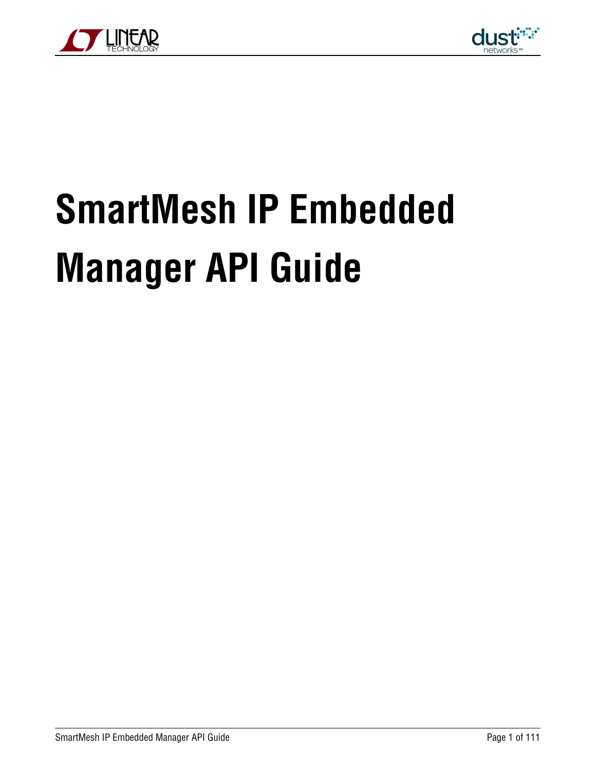



# **SmartMesh IP Embedded Manager API Guide**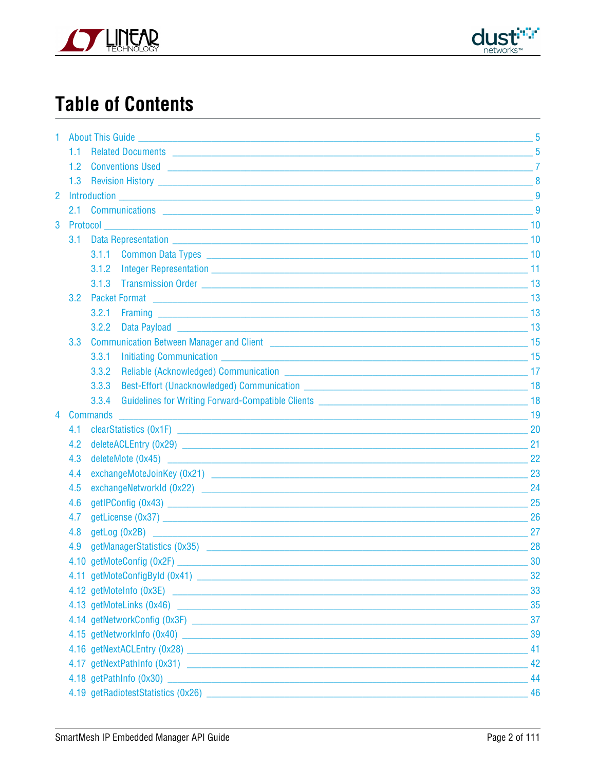



# **Table of Contents**

| 1.             |                  |                                                                                                                                                                                                                                      | 5  |  |  |  |  |
|----------------|------------------|--------------------------------------------------------------------------------------------------------------------------------------------------------------------------------------------------------------------------------------|----|--|--|--|--|
|                | 11.              | Related Documents <b>Contract Contract Contract Contract Contract Contract Contract Contract Contract Contract Contract Contract Contract Contract Contract Contract Contract Contract Contract Contract Contract Contract Contr</b> | 5  |  |  |  |  |
|                | 1.2 <sub>1</sub> | <b>Conventions Used 22 April 2018 19:00 Server Server Server Server Server Server Server Server Server Server Server Server Server Server Server Server Server Server Server Server Server Server Server Server Server Server Se</b> |    |  |  |  |  |
|                |                  |                                                                                                                                                                                                                                      |    |  |  |  |  |
| $\overline{2}$ |                  |                                                                                                                                                                                                                                      | 9  |  |  |  |  |
|                |                  |                                                                                                                                                                                                                                      |    |  |  |  |  |
| 3              | Protocol         |                                                                                                                                                                                                                                      |    |  |  |  |  |
|                | 3.1              |                                                                                                                                                                                                                                      |    |  |  |  |  |
|                |                  |                                                                                                                                                                                                                                      | 10 |  |  |  |  |
|                |                  | 3.1.2                                                                                                                                                                                                                                |    |  |  |  |  |
|                |                  | 3.1.3                                                                                                                                                                                                                                |    |  |  |  |  |
|                | 3.2              | <b>Packet Format</b>                                                                                                                                                                                                                 |    |  |  |  |  |
|                |                  | 3.2.1                                                                                                                                                                                                                                |    |  |  |  |  |
|                |                  | 3.2.2                                                                                                                                                                                                                                |    |  |  |  |  |
|                | 3.3              |                                                                                                                                                                                                                                      |    |  |  |  |  |
|                |                  | 3.3.1                                                                                                                                                                                                                                |    |  |  |  |  |
|                |                  | 3.3.2                                                                                                                                                                                                                                |    |  |  |  |  |
|                |                  | 3.3.3                                                                                                                                                                                                                                |    |  |  |  |  |
|                |                  | Guidelines for Writing Forward-Compatible Clients <b>Compatible Clients</b> 2004 18<br>3.3.4                                                                                                                                         |    |  |  |  |  |
| 4              |                  | <b>Commands</b>                                                                                                                                                                                                                      |    |  |  |  |  |
|                | 4.1              |                                                                                                                                                                                                                                      | 20 |  |  |  |  |
|                | 4.2              |                                                                                                                                                                                                                                      | 21 |  |  |  |  |
|                | 4.3              |                                                                                                                                                                                                                                      | 22 |  |  |  |  |
|                | 4.4              |                                                                                                                                                                                                                                      | 23 |  |  |  |  |
|                | 4.5              |                                                                                                                                                                                                                                      | 24 |  |  |  |  |
|                | 4.6              |                                                                                                                                                                                                                                      | 25 |  |  |  |  |
|                | 4.7              |                                                                                                                                                                                                                                      | 26 |  |  |  |  |
|                | 4.8              |                                                                                                                                                                                                                                      | 27 |  |  |  |  |
|                | 4.9              | getManagerStatistics (0x35) and the state of the state of the state of the state of the state of the state of the state of the state of the state of the state of the state of the state of the state of the state of the stat       | 28 |  |  |  |  |
|                |                  |                                                                                                                                                                                                                                      | 30 |  |  |  |  |
|                |                  |                                                                                                                                                                                                                                      |    |  |  |  |  |
|                |                  |                                                                                                                                                                                                                                      | 33 |  |  |  |  |
|                |                  |                                                                                                                                                                                                                                      | 35 |  |  |  |  |
|                |                  |                                                                                                                                                                                                                                      | 37 |  |  |  |  |
|                |                  |                                                                                                                                                                                                                                      | 39 |  |  |  |  |
|                |                  |                                                                                                                                                                                                                                      |    |  |  |  |  |
|                |                  | 4.17 getNextPathInfo (0x31)                                                                                                                                                                                                          | 42 |  |  |  |  |
|                |                  |                                                                                                                                                                                                                                      | 44 |  |  |  |  |
|                |                  |                                                                                                                                                                                                                                      |    |  |  |  |  |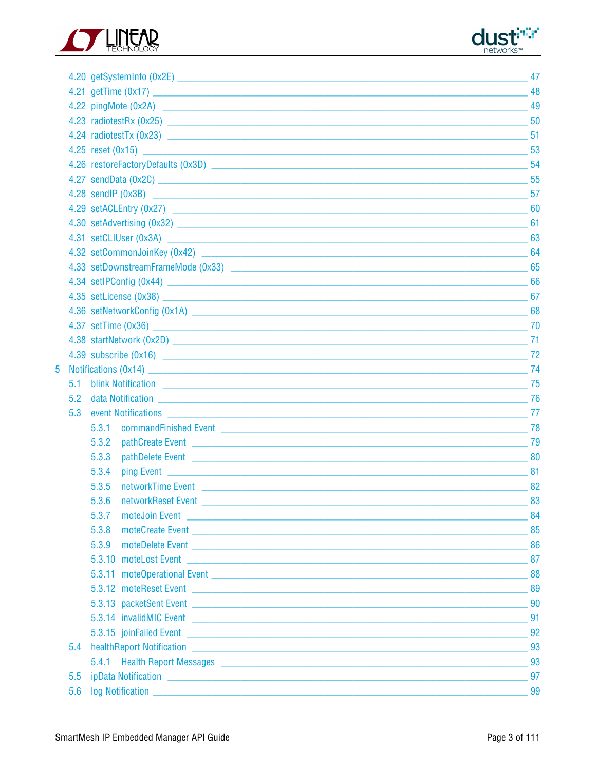



|   |     |                                                                                                                                                                                                                                              | 47  |  |  |  |  |
|---|-----|----------------------------------------------------------------------------------------------------------------------------------------------------------------------------------------------------------------------------------------------|-----|--|--|--|--|
|   |     |                                                                                                                                                                                                                                              | 48  |  |  |  |  |
|   |     |                                                                                                                                                                                                                                              |     |  |  |  |  |
|   |     |                                                                                                                                                                                                                                              |     |  |  |  |  |
|   |     |                                                                                                                                                                                                                                              | -51 |  |  |  |  |
|   |     |                                                                                                                                                                                                                                              |     |  |  |  |  |
|   |     |                                                                                                                                                                                                                                              | 54  |  |  |  |  |
|   |     |                                                                                                                                                                                                                                              |     |  |  |  |  |
|   |     | 4.28 sendIP $(0x3B)$ 57                                                                                                                                                                                                                      |     |  |  |  |  |
|   |     |                                                                                                                                                                                                                                              |     |  |  |  |  |
|   |     |                                                                                                                                                                                                                                              |     |  |  |  |  |
|   |     |                                                                                                                                                                                                                                              |     |  |  |  |  |
|   |     |                                                                                                                                                                                                                                              | 64  |  |  |  |  |
|   |     |                                                                                                                                                                                                                                              | 65  |  |  |  |  |
|   |     |                                                                                                                                                                                                                                              | 66  |  |  |  |  |
|   |     |                                                                                                                                                                                                                                              |     |  |  |  |  |
|   |     |                                                                                                                                                                                                                                              | 68  |  |  |  |  |
|   |     | 4.37 setTime (0x36) $\sim$ 70                                                                                                                                                                                                                |     |  |  |  |  |
|   |     | 4.38 startNetwork (0x2D) 21 21                                                                                                                                                                                                               |     |  |  |  |  |
|   |     | $4.39$ subscribe (0x16) 22                                                                                                                                                                                                                   |     |  |  |  |  |
| 5 |     | Notifications (0x14) 274                                                                                                                                                                                                                     |     |  |  |  |  |
|   | 5.1 | <b>Design to the Second Second Second Second Second Second Second Second Second Second Second Second Second Second Second Second Second Second Second Second Second Second Second Second Second Second Second Second Second Seco</b>         |     |  |  |  |  |
|   | 5.2 | data Notification 76                                                                                                                                                                                                                         |     |  |  |  |  |
|   | 5.3 | event Notifications 277                                                                                                                                                                                                                      |     |  |  |  |  |
|   |     | 5.3.1<br><b>COMMAND COMMAND COMMAND COMMAND COMMAND COMMAND COMMAND COMMAND COMMAND COMMAND COMMAND COMMAND COMMAND COMMAND COMM</b>                                                                                                         |     |  |  |  |  |
|   |     | 5.3.2                                                                                                                                                                                                                                        | 79  |  |  |  |  |
|   |     | 5.3.3<br>pathDelete Event 2008 2009 12:00 12:00 12:00 12:00 12:00 12:00 12:00 12:00 12:00 12:00 12:00 12:00 12:00 12:00                                                                                                                      |     |  |  |  |  |
|   |     | 5.3.4<br><b>ping Event</b> that the contract of the contract of the contract of the contract of the contract of the contract of the contract of the contract of the contract of the contract of the contract of the contract of the contract | -81 |  |  |  |  |
|   |     | 5.3.5<br>networkTime Event National Communications and Communications of the Communications and Communications are not                                                                                                                       | 82  |  |  |  |  |
|   |     | 5.3.6<br>networkReset Event                                                                                                                                                                                                                  | 83  |  |  |  |  |
|   |     | 5.3.7                                                                                                                                                                                                                                        |     |  |  |  |  |
|   |     | 5.3.8                                                                                                                                                                                                                                        |     |  |  |  |  |
|   |     | 5.3.9                                                                                                                                                                                                                                        |     |  |  |  |  |
|   |     | 5.3.10 moteLost Event 2000 and 2000 and 2000 and 2000 and 2000 and 2000 and 2000 and 2000 and 2000 and 2000 and 2000 and 2000 and 2000 and 2000 and 2000 and 2000 and 2000 and 2000 and 2000 and 2000 and 2000 and 2000 and 20               |     |  |  |  |  |
|   |     |                                                                                                                                                                                                                                              |     |  |  |  |  |
|   |     |                                                                                                                                                                                                                                              |     |  |  |  |  |
|   |     |                                                                                                                                                                                                                                              |     |  |  |  |  |
|   |     | 5.3.14 invalidMIC Event 91                                                                                                                                                                                                                   |     |  |  |  |  |
|   |     | 5.3.15 joinFailed Event 92                                                                                                                                                                                                                   |     |  |  |  |  |
|   | 5.4 | healthReport Notification 2008 2009 10:00 10:00 10:00 10:00 10:00 10:00 10:00 10:00 10:00 10:00 10:00 10:00 10                                                                                                                               |     |  |  |  |  |
|   |     | 5.4.1 Health Report Messages <b>Contract Contract Contract Contract Contract Contract Contract Contract Contract Contract Contract Contract Contract Contract Contract Contract Contract Contract Contract Contract Contract Con</b>         |     |  |  |  |  |
|   | 5.5 | ipData Notification Processors and Contract Contract Contract Contract Contract Contract Contract Contract Contract Contract Contract Contract Contract Contract Contract Contract Contract Contract Contract Contract Contrac               | 97  |  |  |  |  |
|   | 5.6 |                                                                                                                                                                                                                                              |     |  |  |  |  |
|   |     |                                                                                                                                                                                                                                              |     |  |  |  |  |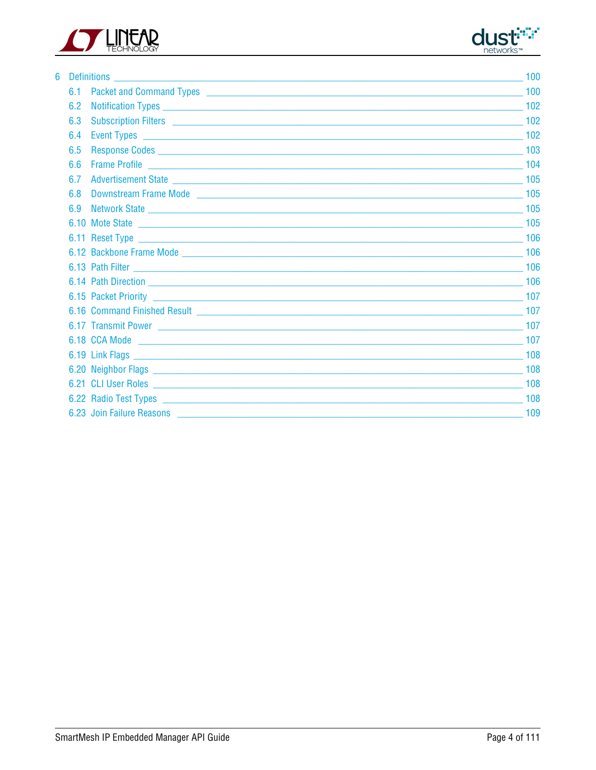



| 6 |     |                                                                                                                                                                                                                                      | 100 |
|---|-----|--------------------------------------------------------------------------------------------------------------------------------------------------------------------------------------------------------------------------------------|-----|
|   |     |                                                                                                                                                                                                                                      | 100 |
|   | 6.2 |                                                                                                                                                                                                                                      | 102 |
|   | 6.3 | Subscription Filters 2002 102                                                                                                                                                                                                        |     |
|   | 6.4 |                                                                                                                                                                                                                                      |     |
|   | 6.5 | Response Codes <b>Contract Contract Contract Contract Contract Contract Contract Contract Contract Contract Contract Contract Contract Contract Contract Contract Contract Contract Contract Contract Contract Contract Contract</b> |     |
|   | 66  |                                                                                                                                                                                                                                      |     |
|   |     | 6.7 Advertisement State 2000 Contract and Contract and Contract and Contract and Contract and Contract and Contract and Contract and Contract and Contract and Contract and Contract and Contract and Contract and Contract an       |     |
|   |     |                                                                                                                                                                                                                                      |     |
|   |     | 6.9 Network State 2008 2012 105                                                                                                                                                                                                      |     |
|   |     | 6.10 Mote State 2010 2020 105                                                                                                                                                                                                        |     |
|   |     |                                                                                                                                                                                                                                      | 106 |
|   |     |                                                                                                                                                                                                                                      |     |
|   |     |                                                                                                                                                                                                                                      |     |
|   |     | 6.14 Path Direction 106                                                                                                                                                                                                              |     |
|   |     |                                                                                                                                                                                                                                      |     |
|   |     |                                                                                                                                                                                                                                      |     |
|   |     | 6.17 Transmit Power 2008 2012 107                                                                                                                                                                                                    |     |
|   |     | 6.18 CCA Mode<br><b>107 107</b>                                                                                                                                                                                                      |     |
|   |     |                                                                                                                                                                                                                                      |     |
|   |     |                                                                                                                                                                                                                                      | 108 |
|   |     |                                                                                                                                                                                                                                      | 108 |
|   |     |                                                                                                                                                                                                                                      | 108 |
|   |     | 6.23 Join Failure Reasons 2008 2014 109 109 109 2014 109 2016 109 2016 109 2016 109 2016 109 2016 109 2016 109                                                                                                                       |     |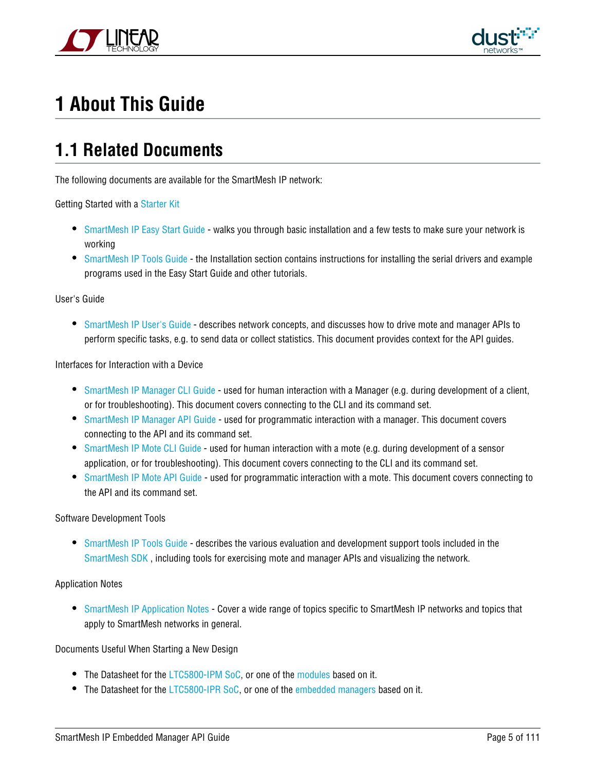



# <span id="page-4-0"></span>**1 About This Guide**

### <span id="page-4-1"></span>**1.1 Related Documents**

The following documents are available for the SmartMesh IP network:

Getting Started with a [Starter Kit](http://www.linear.com/demo/DC9000A)

- **[SmartMesh IP Easy Start Guide](http://www.linear.com/docs/41863)  walks you through basic installation and a few tests to make sure your network is** working
- [SmartMesh IP Tools Guide](http://www.linear.com/docs/42453)  the Installation section contains instructions for installing the serial drivers and example programs used in the Easy Start Guide and other tutorials.

#### User's Guide

[SmartMesh IP User's Guide](http://www.linear.com/docs/41880) - describes network concepts, and discusses how to drive mote and manager APIs to perform specific tasks, e.g. to send data or collect statistics. This document provides context for the API guides.

Interfaces for Interaction with a Device

- **[SmartMesh IP Manager CLI Guide](http://www.linear.com/docs/41882) used for human interaction with a Manager (e.g. during development of a client,** or for troubleshooting). This document covers connecting to the CLI and its command set.
- [SmartMesh IP Manager API Guide](http://www.linear.com/docs/41883) used for programmatic interaction with a manager. This document covers connecting to the API and its command set.
- [SmartMesh IP Mote CLI Guide](http://www.linear.com/docs/41885)  used for human interaction with a mote (e.g. during development of a sensor application, or for troubleshooting). This document covers connecting to the CLI and its command set.
- [SmartMesh IP Mote API Guide](http://www.linear.com/docs/41886)  used for programmatic interaction with a mote. This document covers connecting to the API and its command set.

#### Software Development Tools

[SmartMesh IP Tools Guide](http://www.linear.com/docs/42453) - describes the various evaluation and development support tools included in the [SmartMesh SDK](http://www.linear.com/designtools/software/#Dust) , including tools for exercising mote and manager APIs and visualizing the network.

#### Application Notes

**• [SmartMesh IP Application Notes](http://www.linear.com/docs/43189) - Cover a wide range of topics specific to SmartMesh IP networks and topics that** apply to SmartMesh networks in general.

#### Documents Useful When Starting a New Design

- The Datasheet for the [LTC5800-IPM SoC](http://www.linear.com/docs/41870), or one of the [modules](http://www.linear.com/docs/41871) based on it.
- The Datasheet for the [LTC5800-IPR SoC,](http://www.linear.com/docs/41873) or one of the [embedded managers](http://www.linear.com/docs/41872) based on it.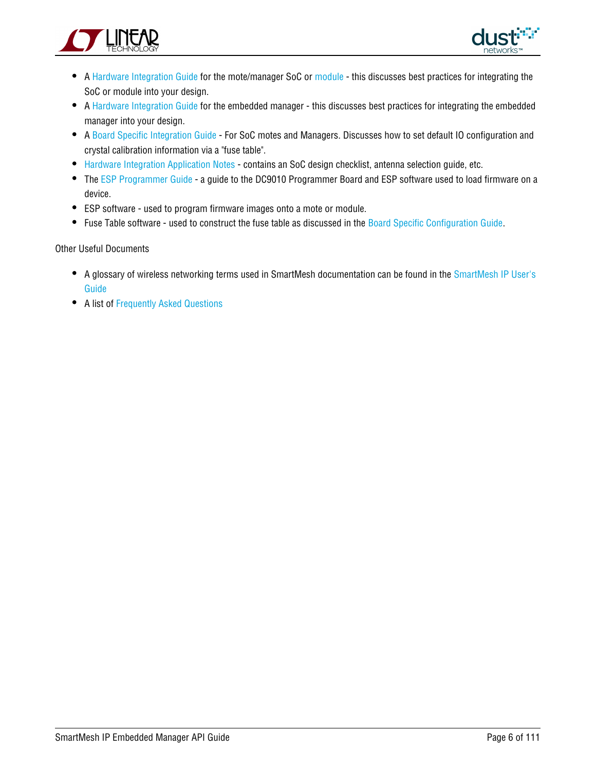



- A [Hardware Integration Guide](http://www.linear.com/docs/41874) for the mote/manager SoC or [module](http://www.linear.com/docs/41877) this discusses best practices for integrating the SoC or module into your design.
- A [Hardware Integration Guide](http://www.linear.com/docs/41877) for the embedded manager this discusses best practices for integrating the embedded manager into your design.
- A [Board Specific Integration Guide](http://www.linear.com/docs/41875)  For SoC motes and Managers. Discusses how to set default IO configuration and crystal calibration information via a "fuse table".
- [Hardware Integration Application Notes](http://www.linear.com/docs/43188)  contains an SoC design checklist, antenna selection guide, etc.
- The [ESP Programmer Guide](http://www.linear.com/docs/41876)  a guide to the DC9010 Programmer Board and ESP software used to load firmware on a device.
- ESP software used to program firmware images onto a mote or module.
- Fuse Table software used to construct the fuse table as discussed in the [Board Specific Configuration Guide.](http://www.linear.com/docs/41875)

#### Other Useful Documents

- A glossary of wireless networking terms used in SmartMesh documentation can be found in the [SmartMesh IP User's](http://www.linear.com/docs/41880) [Guide](http://www.linear.com/docs/41880)
- A list of [Frequently Asked Questions](http://www.linear.com/docs/43187)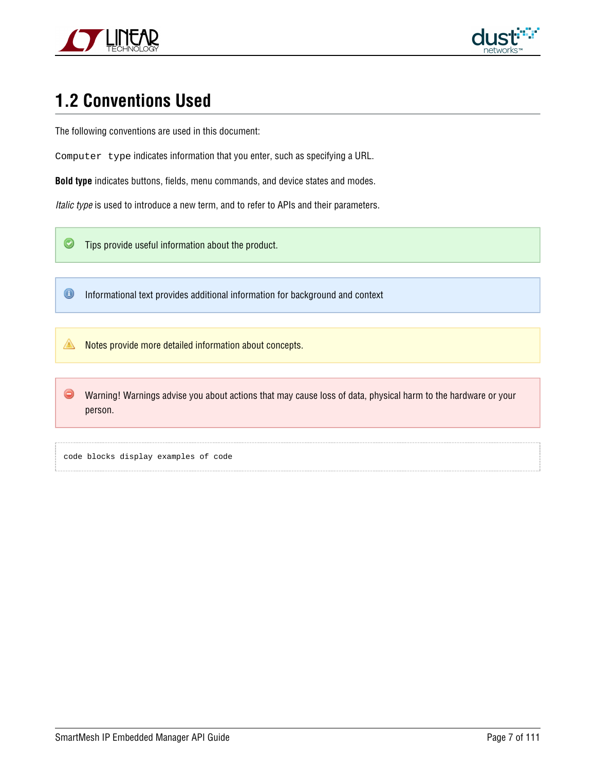



# <span id="page-6-0"></span>**1.2 Conventions Used**

The following conventions are used in this document:

Computer type indicates information that you enter, such as specifying a URL.

**Bold type** indicates buttons, fields, menu commands, and device states and modes.

Italic type is used to introduce a new term, and to refer to APIs and their parameters.

 $\bm{\circ}$ Tips provide useful information about the product.

 $\bigcirc$ Informational text provides additional information for background and context

◬ Notes provide more detailed information about concepts.

 $\bullet$ Warning! Warnings advise you about actions that may cause loss of data, physical harm to the hardware or your person.

code blocks display examples of code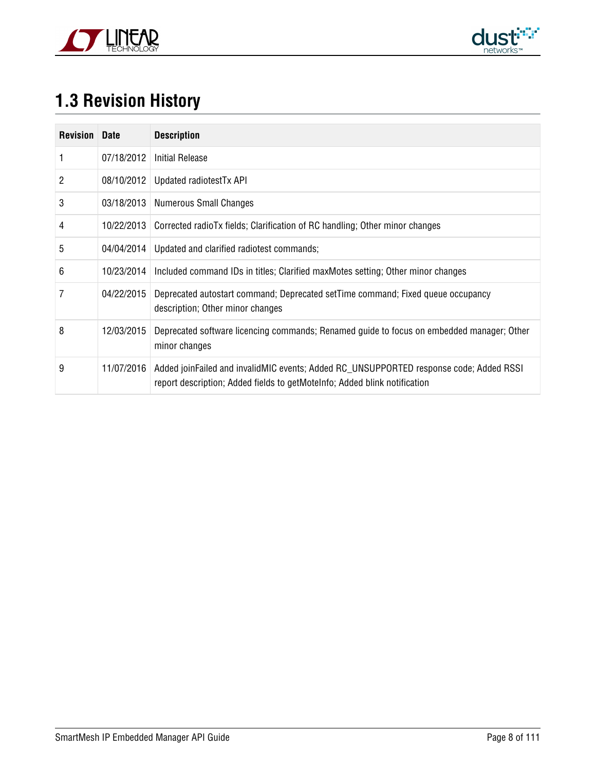



# <span id="page-7-0"></span>**1.3 Revision History**

| <b>Revision</b> | <b>Date</b> | <b>Description</b>                                                                                                                                                  |
|-----------------|-------------|---------------------------------------------------------------------------------------------------------------------------------------------------------------------|
|                 | 07/18/2012  | <b>Initial Release</b>                                                                                                                                              |
| 2               | 08/10/2012  | Updated radiotest Tx API                                                                                                                                            |
| 3               |             | 03/18/2013   Numerous Small Changes                                                                                                                                 |
| 4               | 10/22/2013  | Corrected radioTx fields; Clarification of RC handling; Other minor changes                                                                                         |
| 5               | 04/04/2014  | Updated and clarified radiotest commands;                                                                                                                           |
| 6               | 10/23/2014  | Included command IDs in titles; Clarified maxMotes setting; Other minor changes                                                                                     |
|                 | 04/22/2015  | Deprecated autostart command; Deprecated setTime command; Fixed queue occupancy<br>description; Other minor changes                                                 |
| 8               | 12/03/2015  | Deprecated software licencing commands; Renamed guide to focus on embedded manager; Other<br>minor changes                                                          |
| 9               | 11/07/2016  | Added joinFailed and invalidMIC events; Added RC UNSUPPORTED response code; Added RSSI<br>report description; Added fields to getMoteInfo; Added blink notification |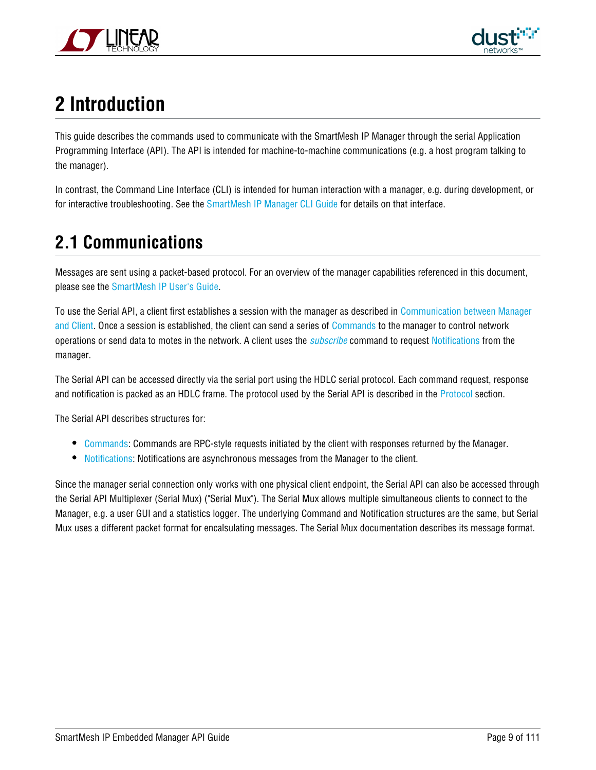



# <span id="page-8-0"></span>**2 Introduction**

This guide describes the commands used to communicate with the SmartMesh IP Manager through the serial Application Programming Interface (API). The API is intended for machine-to-machine communications (e.g. a host program talking to the manager).

In contrast, the Command Line Interface (CLI) is intended for human interaction with a manager, e.g. during development, or for interactive troubleshooting. See the [SmartMesh IP Manager CLI Guide](http://www.linear.com/docs/41882) for details on that interface.

# <span id="page-8-1"></span>**2.1 Communications**

Messages are sent using a packet-based protocol. For an overview of the manager capabilities referenced in this document, please see the [SmartMesh IP User's Guide.](http://www.linear.com/docs/41880)

To use the Serial API, a client first establishes a session with the manager as described in [Communication between Manager](#page-14-0) [and Client.](#page-14-0) Once a session is established, the client can send a series of [Commands](#page-18-0) to the manager to control network operations or send data to motes in the network. A client uses the *[subscribe](#page-71-0)* command to request [Notifications](#page-73-0) from the manager.

The Serial API can be accessed directly via the serial port using the HDLC serial protocol. Each command request, response and notification is packed as an HDLC frame. The protocol used by the Serial API is described in the [Protocol](#page-9-0) section.

The Serial API describes structures for:

- [Commands:](#page-18-0) Commands are RPC-style requests initiated by the client with responses returned by the Manager.
- [Notifications](#page-73-0): Notifications are asynchronous messages from the Manager to the client.

Since the manager serial connection only works with one physical client endpoint, the Serial API can also be accessed through the Serial API Multiplexer (Serial Mux) ("Serial Mux"). The Serial Mux allows multiple simultaneous clients to connect to the Manager, e.g. a user GUI and a statistics logger. The underlying Command and Notification structures are the same, but Serial Mux uses a different packet format for encalsulating messages. The Serial Mux documentation describes its message format.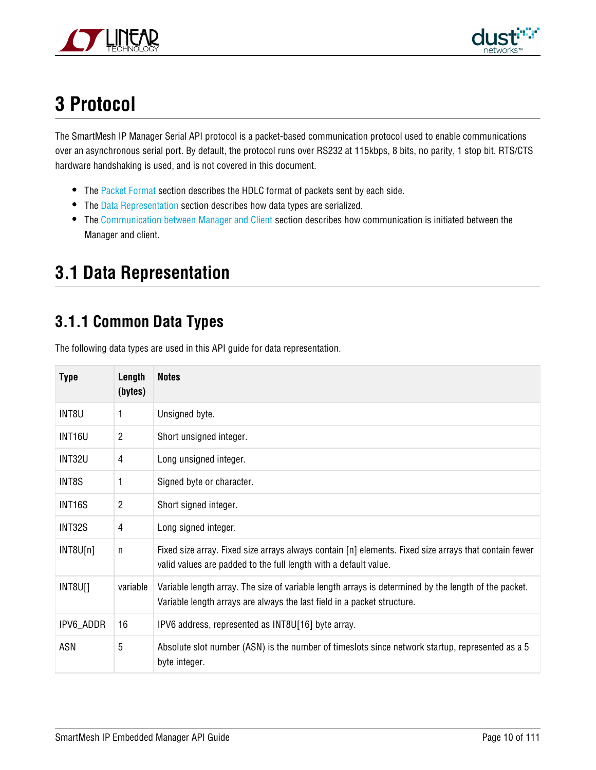



# <span id="page-9-0"></span>**3 Protocol**

The SmartMesh IP Manager Serial API protocol is a packet-based communication protocol used to enable communications over an asynchronous serial port. By default, the protocol runs over RS232 at 115kbps, 8 bits, no parity, 1 stop bit. RTS/CTS hardware handshaking is used, and is not covered in this document.

- The [Packet Format](#page-12-1) section describes the HDLC format of packets sent by each side.
- The [Data Representation](#page-9-1) section describes how data types are serialized.
- The [Communication between Manager and Client](#page-14-0) section describes how communication is initiated between the Manager and client.

# <span id="page-9-1"></span>**3.1 Data Representation**

### <span id="page-9-2"></span>**3.1.1 Common Data Types**

The following data types are used in this API guide for data representation.

| <b>Type</b>   | Length<br>(bytes) | <b>Notes</b>                                                                                                                                                                    |
|---------------|-------------------|---------------------------------------------------------------------------------------------------------------------------------------------------------------------------------|
| INT8U         | 1                 | Unsigned byte.                                                                                                                                                                  |
| INT16U        | $\overline{2}$    | Short unsigned integer.                                                                                                                                                         |
| <b>INT32U</b> | 4                 | Long unsigned integer.                                                                                                                                                          |
| INT8S         | 1                 | Signed byte or character.                                                                                                                                                       |
| INT16S        | $\overline{2}$    | Short signed integer.                                                                                                                                                           |
| INT32S        | 4                 | Long signed integer.                                                                                                                                                            |
| INT8U[n]      | n                 | Fixed size array. Fixed size arrays always contain [n] elements. Fixed size arrays that contain fewer<br>valid values are padded to the full length with a default value.       |
| INT8U[]       | variable          | Variable length array. The size of variable length arrays is determined by the length of the packet.<br>Variable length arrays are always the last field in a packet structure. |
| IPV6_ADDR     | 16                | IPV6 address, represented as INT8U[16] byte array.                                                                                                                              |
| ASN           | 5                 | Absolute slot number (ASN) is the number of timeslots since network startup, represented as a 5<br>byte integer.                                                                |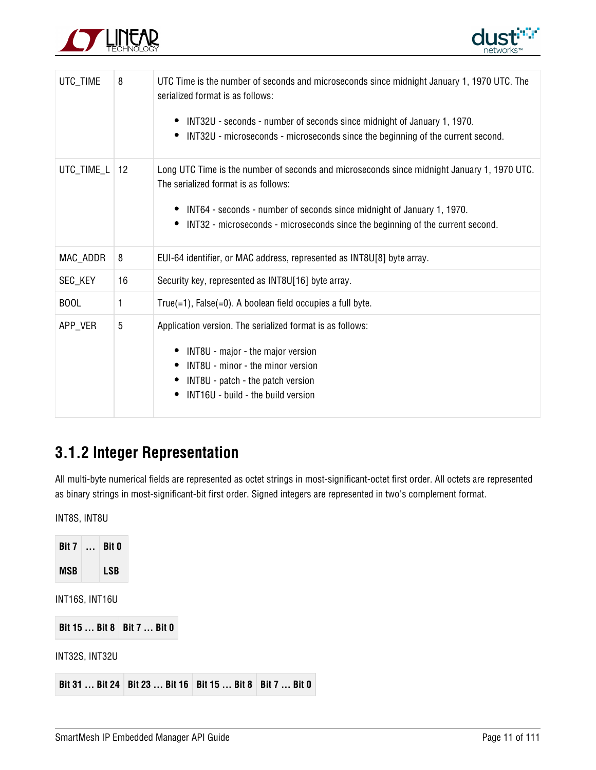



| UTC_TIME    | 8  | UTC Time is the number of seconds and microseconds since midnight January 1, 1970 UTC. The<br>serialized format is as follows:<br>INT32U - seconds - number of seconds since midnight of January 1, 1970.<br>INT32U - microseconds - microseconds since the beginning of the current second.<br>$\bullet$    |
|-------------|----|--------------------------------------------------------------------------------------------------------------------------------------------------------------------------------------------------------------------------------------------------------------------------------------------------------------|
| UTC_TIME_L  | 12 | Long UTC Time is the number of seconds and microseconds since midnight January 1, 1970 UTC.<br>The serialized format is as follows:<br>INT64 - seconds - number of seconds since midnight of January 1, 1970.<br>INT32 - microseconds - microseconds since the beginning of the current second.<br>$\bullet$ |
| MAC_ADDR    | 8  | EUI-64 identifier, or MAC address, represented as INT8U[8] byte array.                                                                                                                                                                                                                                       |
| SEC_KEY     | 16 | Security key, represented as INT8U[16] byte array.                                                                                                                                                                                                                                                           |
| <b>BOOL</b> | 1  | True(=1), $False (=0)$ . A boolean field occupies a full byte.                                                                                                                                                                                                                                               |
| APP_VER     | 5  | Application version. The serialized format is as follows:<br>INT8U - major - the major version<br>INT8U - minor - the minor version<br>INT8U - patch - the patch version<br>INT16U - build - the build version                                                                                               |

### <span id="page-10-0"></span>**3.1.2 Integer Representation**

All multi-byte numerical fields are represented as octet strings in most-significant-octet first order. All octets are represented as binary strings in most-significant-bit first order. Signed integers are represented in two's complement format.

INT8S, INT8U

| Bit $71$       | $\ddotsc$ | <b>Bit 0</b>   |                                                                |  |  |
|----------------|-----------|----------------|----------------------------------------------------------------|--|--|
| <b>MSB</b>     |           | <b>LSB</b>     |                                                                |  |  |
| INT16S, INT16U |           |                |                                                                |  |  |
|                |           |                |                                                                |  |  |
|                |           |                | Bit 15  Bit 8   Bit 7  Bit 0                                   |  |  |
|                |           | INT32S, INT32U |                                                                |  |  |
|                |           |                |                                                                |  |  |
|                |           |                | Bit 31  Bit 24   Bit 23  Bit 16   Bit 15  Bit 8   Bit 7  Bit 0 |  |  |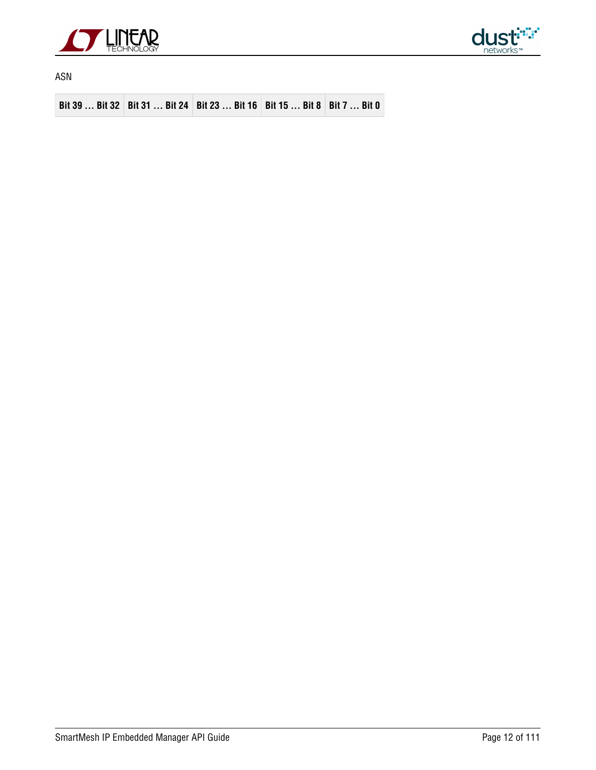



ASN

**Bit 39 ... Bit 32 Bit 31 ... Bit 24 Bit 23 ... Bit 16 Bit 15 ... Bit 8 Bit 7 ... Bit 0**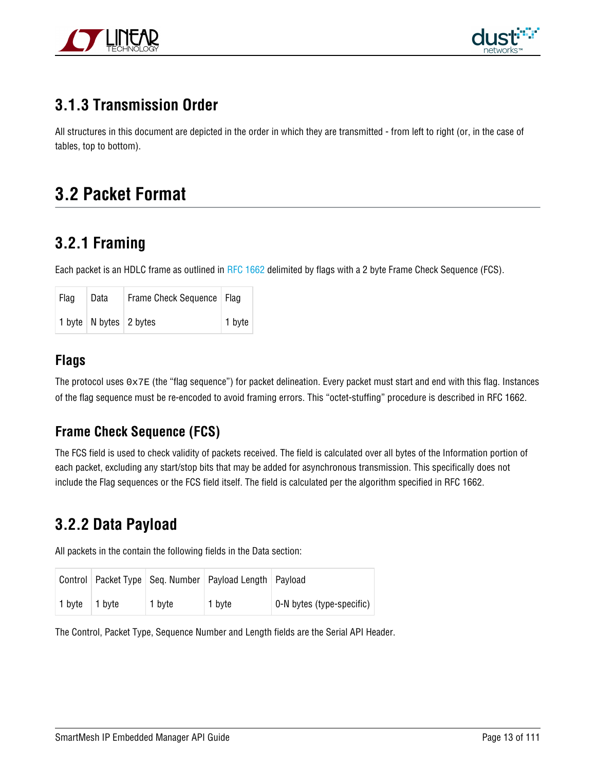



### <span id="page-12-0"></span>**3.1.3 Transmission Order**

All structures in this document are depicted in the order in which they are transmitted - from left to right (or, in the case of tables, top to bottom).

### <span id="page-12-1"></span>**3.2 Packet Format**

### <span id="page-12-2"></span>**3.2.1 Framing**

Each packet is an HDLC frame as outlined in [RFC 1662](https://tools.ietf.org/html/rfc1662) delimited by flags with a 2 byte Frame Check Sequence (FCS).

| Flag | Data                                   | Frame Check Sequence   Flag |        |
|------|----------------------------------------|-----------------------------|--------|
|      | 1 byte $\vert$ N bytes $\vert$ 2 bytes |                             | 1 byte |

### **Flags**

The protocol uses  $0 \times 7E$  (the "flag sequence") for packet delineation. Every packet must start and end with this flag. Instances of the flag sequence must be re-encoded to avoid framing errors. This "octet-stuffing" procedure is described in RFC 1662.

### **Frame Check Sequence (FCS)**

The FCS field is used to check validity of packets received. The field is calculated over all bytes of the Information portion of each packet, excluding any start/stop bits that may be added for asynchronous transmission. This specifically does not include the Flag sequences or the FCS field itself. The field is calculated per the algorithm specified in RFC 1662.

### <span id="page-12-3"></span>**3.2.2 Data Payload**

All packets in the contain the following fields in the Data section:

|        |        |        | Control   Packet Type   Seq. Number   Payload Length   Payload |                           |
|--------|--------|--------|----------------------------------------------------------------|---------------------------|
| 1 byte | 1 byte | 1 byte | 1 byte                                                         | 0-N bytes (type-specific) |

The Control, Packet Type, Sequence Number and Length fields are the Serial API Header.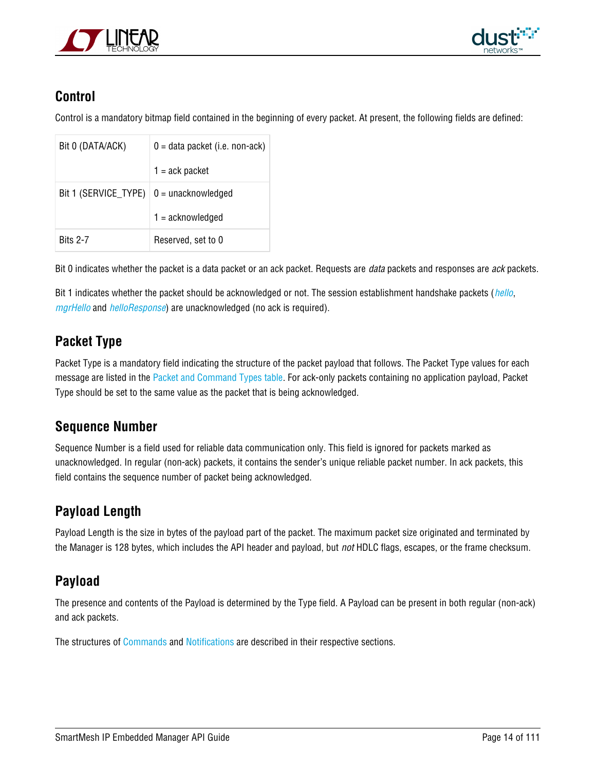



### **Control**

Control is a mandatory bitmap field contained in the beginning of every packet. At present, the following fields are defined:

| Bit 0 (DATA/ACK)                                | $0 =$ data packet (i.e. non-ack) |
|-------------------------------------------------|----------------------------------|
|                                                 | $1 = \text{ack packet}$          |
| Bit 1 (SERVICE_TYPE) $\vert 0 =$ unacknowledged |                                  |
|                                                 | $1 =$ acknowledged               |
| <b>Bits 2-7</b>                                 | Reserved, set to 0               |

Bit 0 indicates whether the packet is a data packet or an ack packet. Requests are *data* packets and responses are *ack* packets.

Bit 1 indicates whether the packet should be acknowledged or not. The session establishment handshake packets ([hello](#page-15-0), [mgrHello](#page-14-2) and [helloResponse](#page-15-1)) are unacknowledged (no ack is required).

### **Packet Type**

Packet Type is a mandatory field indicating the structure of the packet payload that follows. The Packet Type values for each message are listed in the [Packet and Command Types table.](#page-99-1) For ack-only packets containing no application payload, Packet Type should be set to the same value as the packet that is being acknowledged.

### **Sequence Number**

Sequence Number is a field used for reliable data communication only. This field is ignored for packets marked as unacknowledged. In regular (non-ack) packets, it contains the sender's unique reliable packet number. In ack packets, this field contains the sequence number of packet being acknowledged.

### **Payload Length**

Payload Length is the size in bytes of the payload part of the packet. The maximum packet size originated and terminated by the Manager is 128 bytes, which includes the API header and payload, but not HDLC flags, escapes, or the frame checksum.

### **Payload**

The presence and contents of the Payload is determined by the Type field. A Payload can be present in both regular (non-ack) and ack packets.

The structures of [Commands](#page-18-0) and [Notifications](#page-73-0) are described in their respective sections.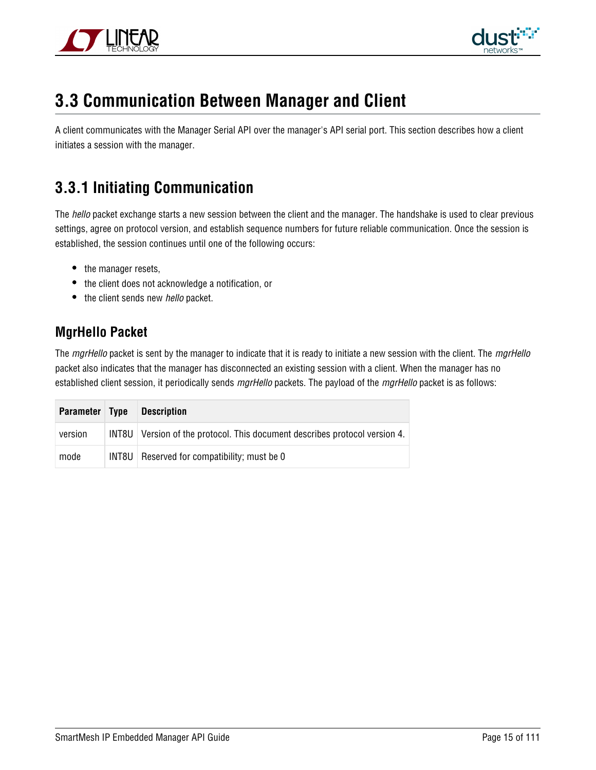



### <span id="page-14-0"></span>**3.3 Communication Between Manager and Client**

A client communicates with the Manager Serial API over the manager's API serial port. This section describes how a client initiates a session with the manager.

### <span id="page-14-1"></span>**3.3.1 Initiating Communication**

The hello packet exchange starts a new session between the client and the manager. The handshake is used to clear previous settings, agree on protocol version, and establish sequence numbers for future reliable communication. Once the session is established, the session continues until one of the following occurs:

- the manager resets,
- the client does not acknowledge a notification, or
- the client sends new hello packet.

### <span id="page-14-2"></span>**MgrHello Packet**

The mgrHello packet is sent by the manager to indicate that it is ready to initiate a new session with the client. The mgrHello packet also indicates that the manager has disconnected an existing session with a client. When the manager has no established client session, it periodically sends mgrHello packets. The payload of the mgrHello packet is as follows:

| Parameter Type | <b>Description</b>                                                           |
|----------------|------------------------------------------------------------------------------|
| version        | INT8U   Version of the protocol. This document describes protocol version 4. |
| mode           | INT8U   Reserved for compatibility; must be 0                                |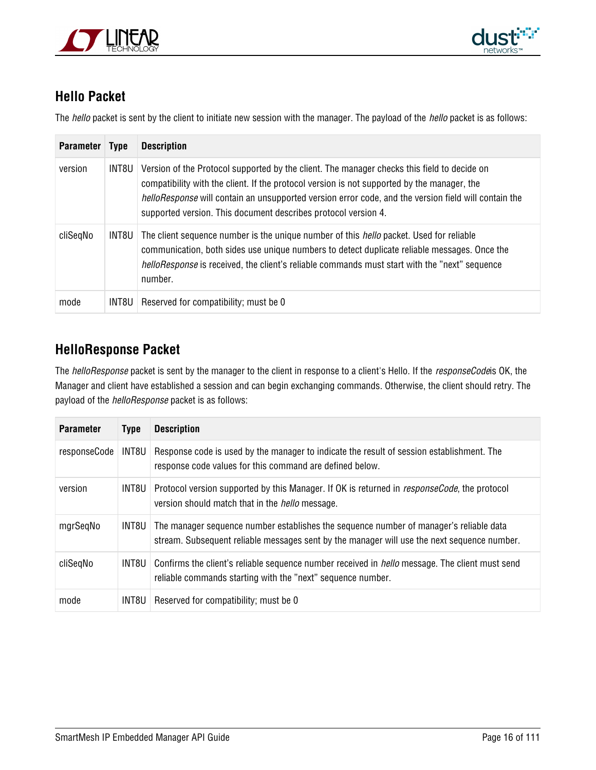



### <span id="page-15-0"></span>**Hello Packet**

The hello packet is sent by the client to initiate new session with the manager. The payload of the hello packet is as follows:

| <b>Parameter</b> | <b>Type</b> | <b>Description</b>                                                                                                                                                                                                                                                                                                                                                          |
|------------------|-------------|-----------------------------------------------------------------------------------------------------------------------------------------------------------------------------------------------------------------------------------------------------------------------------------------------------------------------------------------------------------------------------|
| version          | INT8U       | Version of the Protocol supported by the client. The manager checks this field to decide on<br>compatibility with the client. If the protocol version is not supported by the manager, the<br><i>helloResponse</i> will contain an unsupported version error code, and the version field will contain the<br>supported version. This document describes protocol version 4. |
| cliSegNo         | INT8U       | The client sequence number is the unique number of this <i>hello</i> packet. Used for reliable<br>communication, both sides use unique numbers to detect duplicate reliable messages. Once the<br><i>helloResponse</i> is received, the client's reliable commands must start with the "next" sequence<br>number.                                                           |
| mode             | INT8U I     | Reserved for compatibility; must be 0                                                                                                                                                                                                                                                                                                                                       |

### <span id="page-15-1"></span>**HelloResponse Packet**

The helloResponse packet is sent by the manager to the client in response to a client's Hello. If the responseCodeis OK, the Manager and client have established a session and can begin exchanging commands. Otherwise, the client should retry. The payload of the helloResponse packet is as follows:

| <b>Parameter</b> | <b>Type</b> | <b>Description</b>                                                                                                                                                                    |
|------------------|-------------|---------------------------------------------------------------------------------------------------------------------------------------------------------------------------------------|
| responseCode     | INT8U       | Response code is used by the manager to indicate the result of session establishment. The<br>response code values for this command are defined below.                                 |
| version          | INT8U       | Protocol version supported by this Manager. If OK is returned in responseCode, the protocol<br>version should match that in the <i>hello</i> message.                                 |
| mgrSeqNo         | INT8U       | The manager sequence number establishes the sequence number of manager's reliable data<br>stream. Subsequent reliable messages sent by the manager will use the next sequence number. |
| cliSegNo         | INT8U       | Confirms the client's reliable sequence number received in <i>hello</i> message. The client must send<br>reliable commands starting with the "next" sequence number.                  |
| mode             | INT8U       | Reserved for compatibility; must be 0                                                                                                                                                 |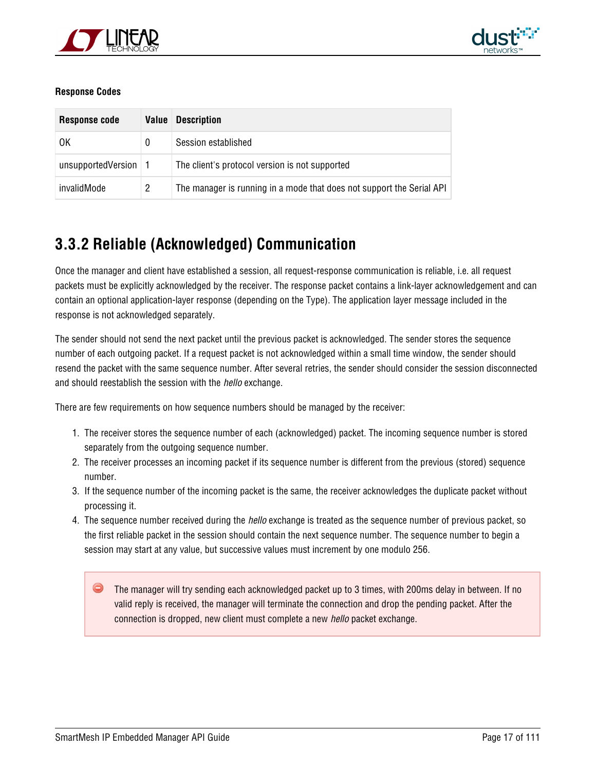



#### **Response Codes**

| Response code      | Value | <b>Description</b>                                                    |  |
|--------------------|-------|-----------------------------------------------------------------------|--|
| OK                 |       | Session established                                                   |  |
| unsupportedVersion |       | The client's protocol version is not supported                        |  |
| invalidMode        | 2     | The manager is running in a mode that does not support the Serial API |  |

### <span id="page-16-0"></span>**3.3.2 Reliable (Acknowledged) Communication**

Once the manager and client have established a session, all request-response communication is reliable, i.e. all request packets must be explicitly acknowledged by the receiver. The response packet contains a link-layer acknowledgement and can contain an optional application-layer response (depending on the Type). The application layer message included in the response is not acknowledged separately.

The sender should not send the next packet until the previous packet is acknowledged. The sender stores the sequence number of each outgoing packet. If a request packet is not acknowledged within a small time window, the sender should resend the packet with the same sequence number. After several retries, the sender should consider the session disconnected and should reestablish the session with the *hello* exchange.

There are few requirements on how sequence numbers should be managed by the receiver:

- 1. The receiver stores the sequence number of each (acknowledged) packet. The incoming sequence number is stored separately from the outgoing sequence number.
- 2. The receiver processes an incoming packet if its sequence number is different from the previous (stored) sequence number.
- 3. If the sequence number of the incoming packet is the same, the receiver acknowledges the duplicate packet without processing it.
- 4. The sequence number received during the hello exchange is treated as the sequence number of previous packet, so the first reliable packet in the session should contain the next sequence number. The sequence number to begin a session may start at any value, but successive values must increment by one modulo 256.

The manager will try sending each acknowledged packet up to 3 times, with 200ms delay in between. If no valid reply is received, the manager will terminate the connection and drop the pending packet. After the connection is dropped, new client must complete a new hello packet exchange.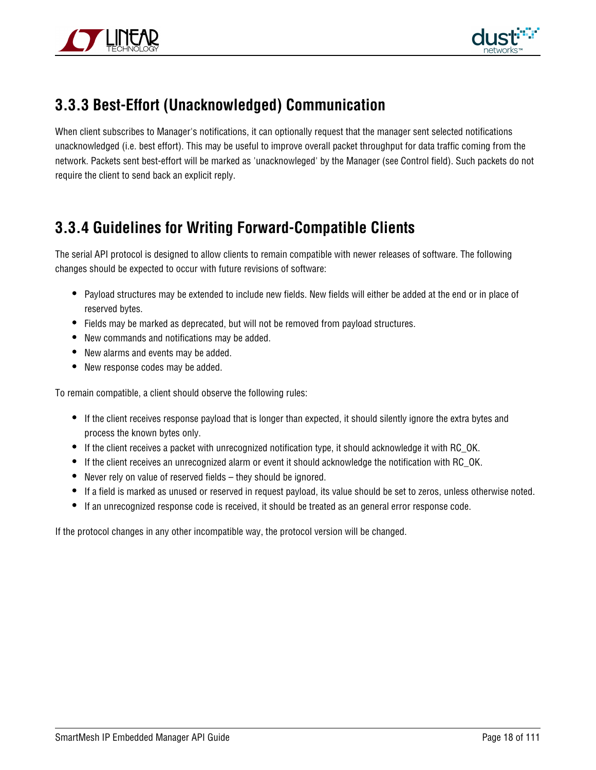



### <span id="page-17-0"></span>**3.3.3 Best-Effort (Unacknowledged) Communication**

When client subscribes to Manager's notifications, it can optionally request that the manager sent selected notifications unacknowledged (i.e. best effort). This may be useful to improve overall packet throughput for data traffic coming from the network. Packets sent best-effort will be marked as 'unacknowleged' by the Manager (see Control field). Such packets do not require the client to send back an explicit reply.

### <span id="page-17-1"></span>**3.3.4 Guidelines for Writing Forward-Compatible Clients**

The serial API protocol is designed to allow clients to remain compatible with newer releases of software. The following changes should be expected to occur with future revisions of software:

- Payload structures may be extended to include new fields. New fields will either be added at the end or in place of reserved bytes.
- Fields may be marked as deprecated, but will not be removed from payload structures.
- New commands and notifications may be added.
- New alarms and events may be added.
- New response codes may be added.

To remain compatible, a client should observe the following rules:

- If the client receives response payload that is longer than expected, it should silently ignore the extra bytes and process the known bytes only.
- If the client receives a packet with unrecognized notification type, it should acknowledge it with RC\_OK.
- If the client receives an unrecognized alarm or event it should acknowledge the notification with RC\_OK.
- Never rely on value of reserved fields they should be ignored.
- If a field is marked as unused or reserved in request payload, its value should be set to zeros, unless otherwise noted.
- If an unrecognized response code is received, it should be treated as an general error response code.

If the protocol changes in any other incompatible way, the protocol version will be changed.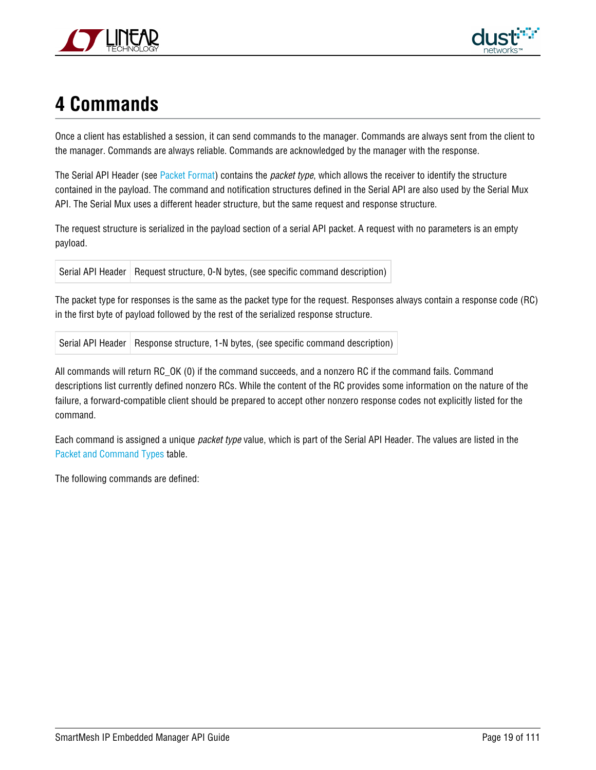



# <span id="page-18-0"></span>**4 Commands**

Once a client has established a session, it can send commands to the manager. Commands are always sent from the client to the manager. Commands are always reliable. Commands are acknowledged by the manager with the response.

The Serial API Header (see [Packet Format\)](#page-12-1) contains the packet type, which allows the receiver to identify the structure contained in the payload. The command and notification structures defined in the Serial API are also used by the Serial Mux API. The Serial Mux uses a different header structure, but the same request and response structure.

The request structure is serialized in the payload section of a serial API packet. A request with no parameters is an empty payload.

Serial API Header | Request structure, 0-N bytes, (see specific command description)

The packet type for responses is the same as the packet type for the request. Responses always contain a response code (RC) in the first byte of payload followed by the rest of the serialized response structure.

Serial API Header Response structure, 1-N bytes, (see specific command description)

All commands will return RC\_OK (0) if the command succeeds, and a nonzero RC if the command fails. Command descriptions list currently defined nonzero RCs. While the content of the RC provides some information on the nature of the failure, a forward-compatible client should be prepared to accept other nonzero response codes not explicitly listed for the command.

Each command is assigned a unique packet type value, which is part of the Serial API Header. The values are listed in the [Packet and Command Types](#page-99-1) table.

The following commands are defined: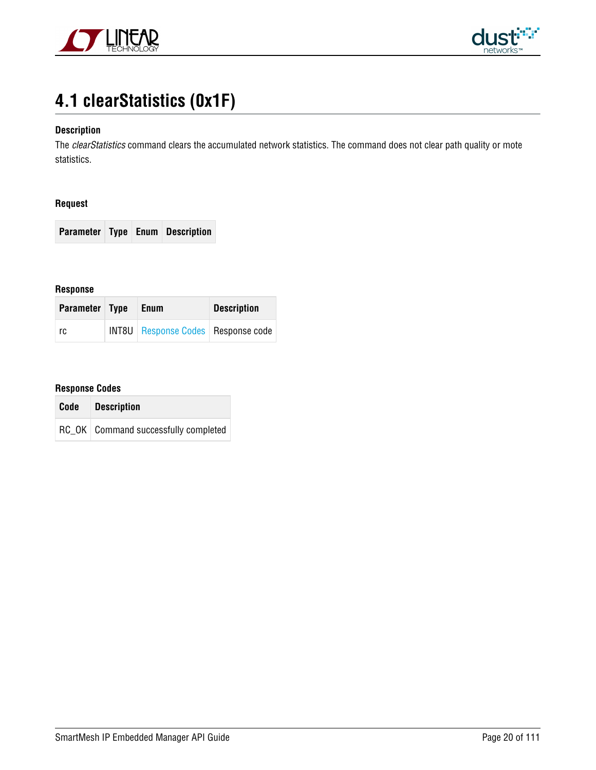



# <span id="page-19-0"></span>**4.1 clearStatistics (0x1F)**

#### **Description**

The clearStatistics command clears the accumulated network statistics. The command does not clear path quality or mote statistics.

#### **Request**

**Parameter Type Enum Description**

#### **Response**

| Parameter Type | <b>Enum</b>                                 | <b>Description</b> |  |
|----------------|---------------------------------------------|--------------------|--|
| rc.            | <b>INT8U</b> Response Codes   Response code |                    |  |

| Code | <i>Description</i>                     |
|------|----------------------------------------|
|      | RC OK   Command successfully completed |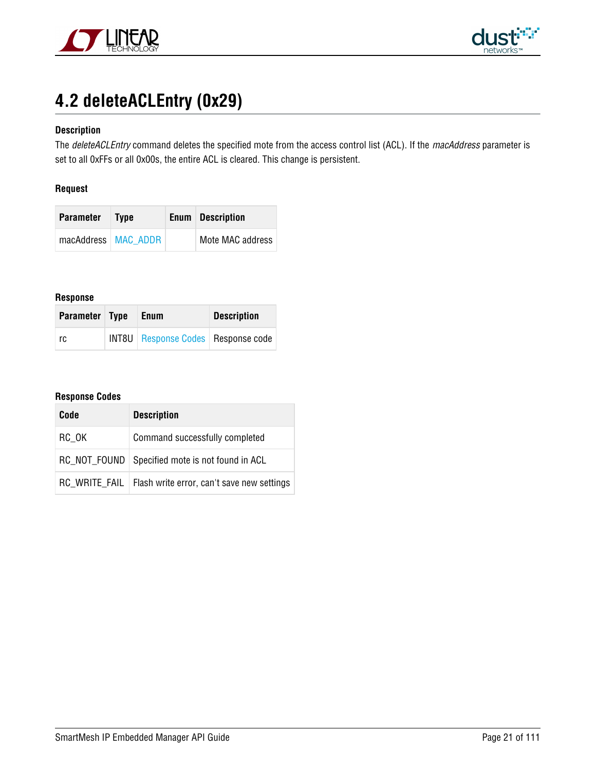



# <span id="page-20-0"></span>**4.2 deleteACLEntry (0x29)**

#### **Description**

The deleteACLEntry command deletes the specified mote from the access control list (ACL). If the macAddress parameter is set to all 0xFFs or all 0x00s, the entire ACL is cleared. This change is persistent.

#### **Request**

| Parameter             | <b>Type</b> | <b>Enum</b> Description |
|-----------------------|-------------|-------------------------|
| macAddress   MAC ADDR |             | Mote MAC address        |

#### **Response**

| Parameter Type | <b>Enum</b>                                 | <b>Description</b> |  |
|----------------|---------------------------------------------|--------------------|--|
| rc             | <b>INT8U</b> Response Codes   Response code |                    |  |

| Code  | <b>Description</b>                                         |  |  |
|-------|------------------------------------------------------------|--|--|
| RC OK | Command successfully completed                             |  |  |
|       | RC_NOT_FOUND   Specified mote is not found in ACL          |  |  |
|       | RC WRITE FAIL   Flash write error, can't save new settings |  |  |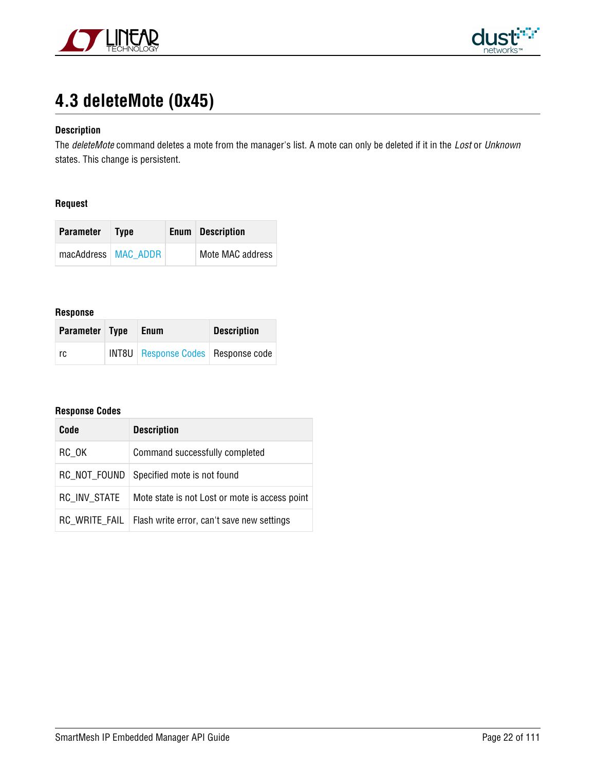



# <span id="page-21-0"></span>**4.3 deleteMote (0x45)**

#### **Description**

The deleteMote command deletes a mote from the manager's list. A mote can only be deleted if it in the Lost or Unknown states. This change is persistent.

#### **Request**

| Parameter             | <b>Type</b> | <b>Enum</b> Description |
|-----------------------|-------------|-------------------------|
| macAddress   MAC ADDR |             | Mote MAC address        |

#### **Response**

| Parameter Type | Enum                                        | <b>Description</b> |  |
|----------------|---------------------------------------------|--------------------|--|
| rc             | <b>INT8U</b> Response Codes   Response code |                    |  |

| Code                | <b>Description</b>                                         |  |  |
|---------------------|------------------------------------------------------------|--|--|
| RC OK               | Command successfully completed                             |  |  |
| RC NOT FOUND        | Specified mote is not found                                |  |  |
| <b>RC INV STATE</b> | Mote state is not Lost or mote is access point             |  |  |
|                     | RC WRITE FAIL   Flash write error, can't save new settings |  |  |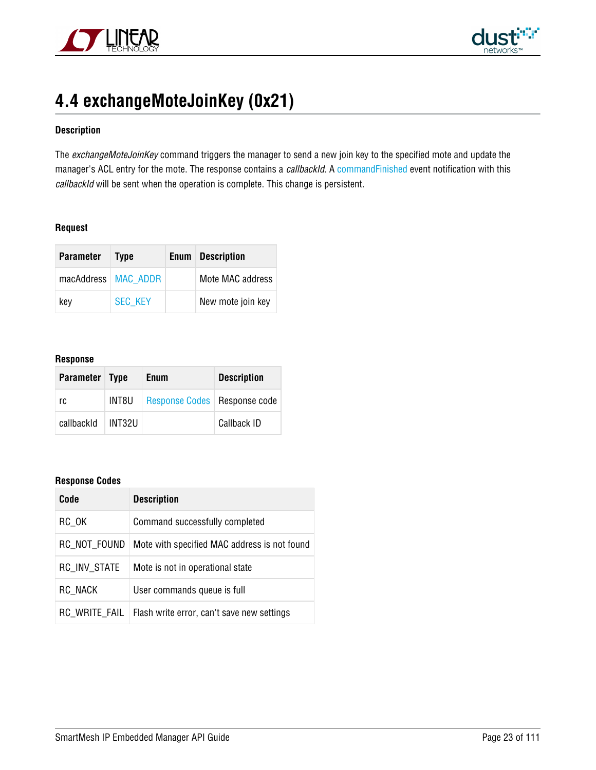



# <span id="page-22-0"></span>**4.4 exchangeMoteJoinKey (0x21)**

#### **Description**

The exchangeMoteJoinKey command triggers the manager to send a new join key to the specified mote and update the manager's ACL entry for the mote. The response contains a callbackId. A [commandFinished](#page-77-0) event notification with this callbackId will be sent when the operation is complete. This change is persistent.

#### **Request**

| <b>Parameter</b>      | <b>Type</b>    | <b>Enum</b> Description |
|-----------------------|----------------|-------------------------|
| macAddress   MAC_ADDR |                | Mote MAC address        |
| kev                   | <b>SEC KEY</b> | New mote join key       |

#### **Response**

| Parameter Type |        | <b>Enum</b>                    | <b>Description</b> |
|----------------|--------|--------------------------------|--------------------|
| rc             | INT8U  | Response Codes   Response code |                    |
| callbackId     | INT32U |                                | Callback ID        |

| Code                | <b>Description</b>                           |  |
|---------------------|----------------------------------------------|--|
| $RC_0$ K            | Command successfully completed               |  |
| RC NOT FOUND        | Mote with specified MAC address is not found |  |
| <b>RC INV STATE</b> | Mote is not in operational state             |  |
| RC_NACK             | User commands queue is full                  |  |
| RC WRITE FAIL       | Flash write error, can't save new settings   |  |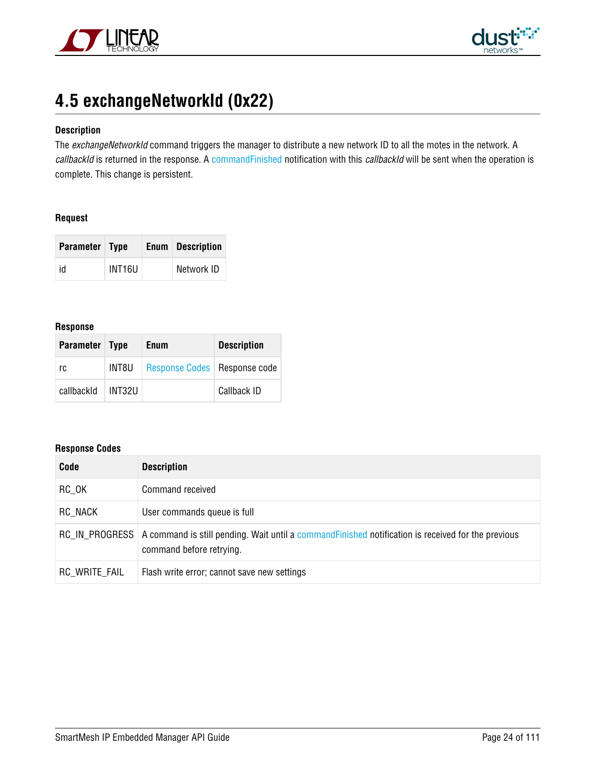



# <span id="page-23-0"></span>**4.5 exchangeNetworkId (0x22)**

#### **Description**

The exchangeNetworkId command triggers the manager to distribute a new network ID to all the motes in the network. A callbackId is returned in the response. A [commandFinished](#page-77-0) notification with this callbackId will be sent when the operation is complete. This change is persistent.

#### **Request**

| Parameter Type |        | <b>Enum</b> Description |
|----------------|--------|-------------------------|
| id             | INT16U | Network ID              |

#### **Response**

| Parameter Type |        | <b>Enum</b>                    | <b>Description</b> |
|----------------|--------|--------------------------------|--------------------|
| rc             | INT8U  | Response Codes   Response code |                    |
| callbackId     | INT32U |                                | Callback ID        |

| Code          | <b>Description</b>                                                                                                                             |
|---------------|------------------------------------------------------------------------------------------------------------------------------------------------|
| RC OK         | Command received                                                                                                                               |
| RC NACK       | User commands queue is full                                                                                                                    |
|               | RC IN PROGRESS A command is still pending. Wait until a command Finished notification is received for the previous<br>command before retrying. |
| RC WRITE FAIL | Flash write error; cannot save new settings                                                                                                    |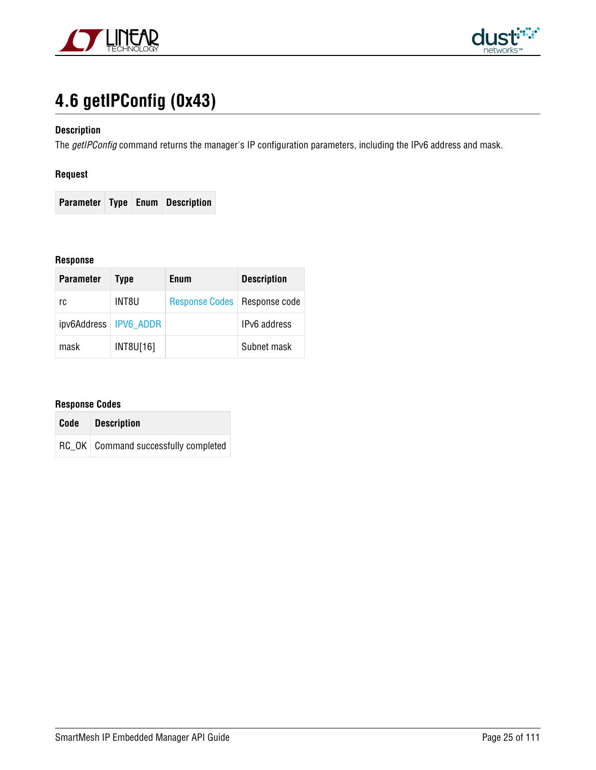



# <span id="page-24-0"></span>**4.6 getIPConfig (0x43)**

#### **Description**

The getIPConfig command returns the manager's IP configuration parameters, including the IPv6 address and mask.

#### **Request**

**Parameter Type Enum Description**

#### **Response**

| <b>Parameter</b>        | <b>Type</b> | Enum                           | <b>Description</b> |
|-------------------------|-------------|--------------------------------|--------------------|
| rc                      | INT8U       | Response Codes   Response code |                    |
| ipv6Address   IPV6 ADDR |             |                                | IPv6 address       |
| mask                    | INT8U[16]   |                                | Subnet mask        |

| Code | <b>Description</b>                     |
|------|----------------------------------------|
|      | RC OK   Command successfully completed |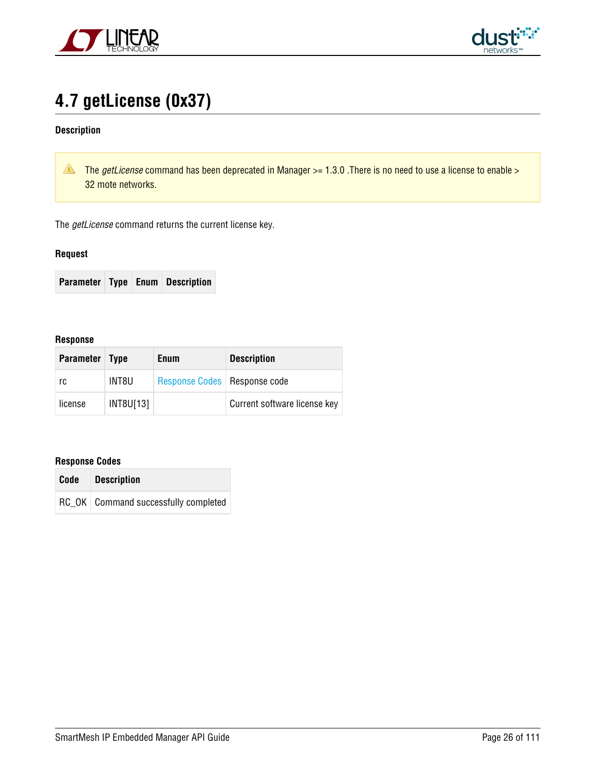



# <span id="page-25-0"></span>**4.7 getLicense (0x37)**

#### **Description**

The getLicense command has been deprecated in Manager  $>$  = 1.3.0 . There is no need to use a license to enable  $>$ 32 mote networks.

The *getLicense* command returns the current license key.

#### **Request**

 $\sim$ 

|  |  |  | <b>Parameter Type Enum Description</b> |
|--|--|--|----------------------------------------|
|--|--|--|----------------------------------------|

#### **Response**

| <b>Parameter</b> | <b>Type</b> | <b>Enum</b>                    | <b>Description</b>           |
|------------------|-------------|--------------------------------|------------------------------|
| rc               | INT8U       | Response Codes   Response code |                              |
| license          | INT8U[13]   |                                | Current software license key |

| Code | <b>Description</b>                     |  |
|------|----------------------------------------|--|
|      | RC OK   Command successfully completed |  |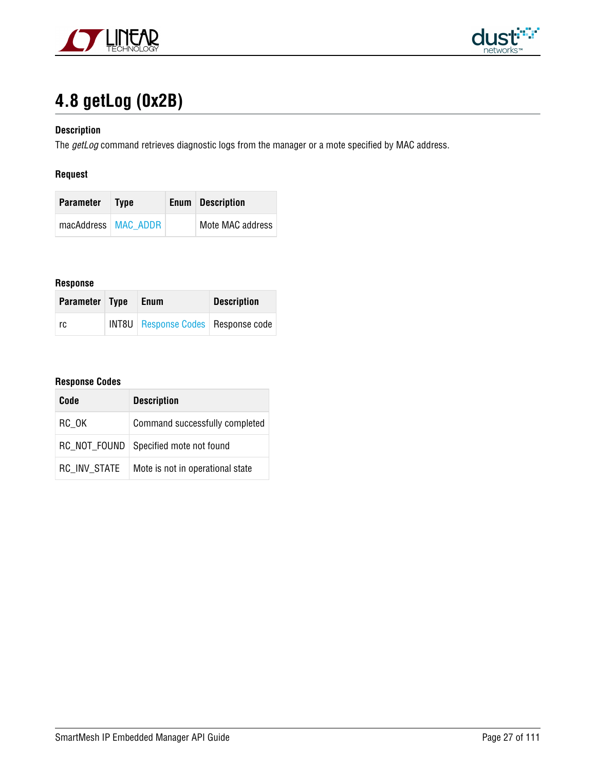



# <span id="page-26-0"></span>**4.8 getLog (0x2B)**

#### **Description**

The getLog command retrieves diagnostic logs from the manager or a mote specified by MAC address.

#### **Request**

| <b>Parameter</b> Type |  | <b>Enum</b> Description |
|-----------------------|--|-------------------------|
| macAddress   MAC ADDR |  | Mote MAC address        |

#### **Response**

| Parameter Type | Enum                                        | <b>Description</b> |  |
|----------------|---------------------------------------------|--------------------|--|
| rc             | <b>INT8U</b> Response Codes   Response code |                    |  |

| Code         | <b>Description</b>               |  |
|--------------|----------------------------------|--|
| RC OK        | Command successfully completed   |  |
| RC NOT FOUND | Specified mote not found         |  |
| RC INV STATE | Mote is not in operational state |  |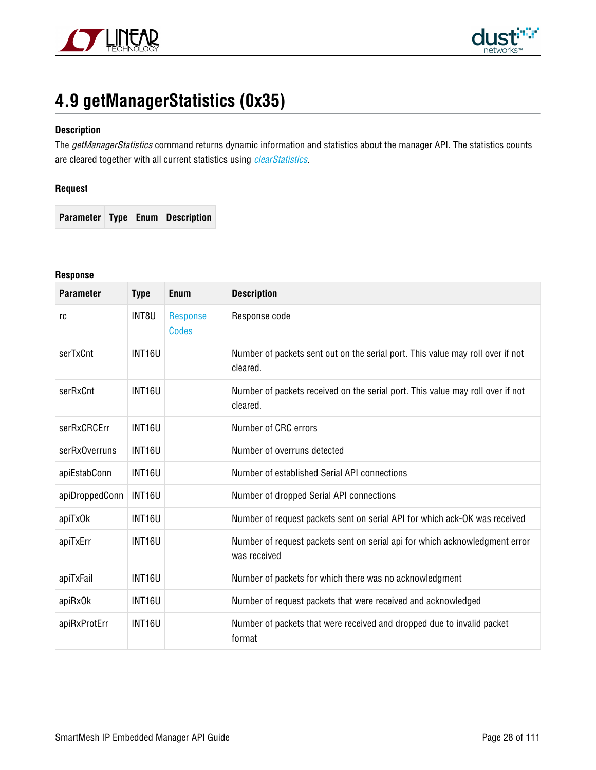



# <span id="page-27-0"></span>**4.9 getManagerStatistics (0x35)**

#### **Description**

The getManagerStatistics command returns dynamic information and statistics about the manager API. The statistics counts are cleared together with all current statistics using *[clearStatistics](#page-19-0)*.

#### **Request**

**Parameter Type Enum Description**

#### **Response**

| <b>Parameter</b> | <b>Type</b>        | Enum                     | <b>Description</b>                                                                          |
|------------------|--------------------|--------------------------|---------------------------------------------------------------------------------------------|
| rc               | INT8U              | Response<br><b>Codes</b> | Response code                                                                               |
| serTxCnt         | <b>INT16U</b>      |                          | Number of packets sent out on the serial port. This value may roll over if not<br>cleared.  |
| serRxCnt         | INT16U             |                          | Number of packets received on the serial port. This value may roll over if not<br>cleared.  |
| serRxCRCErr      | INT16U             |                          | Number of CRC errors                                                                        |
| serRxOverruns    | INT16U             |                          | Number of overruns detected                                                                 |
| apiEstabConn     | INT <sub>16U</sub> |                          | Number of established Serial API connections                                                |
| apiDroppedConn   | INT16U             |                          | Number of dropped Serial API connections                                                    |
| apiTxOk          | INT16U             |                          | Number of request packets sent on serial API for which ack-OK was received                  |
| apiTxErr         | <b>INT16U</b>      |                          | Number of request packets sent on serial api for which acknowledgment error<br>was received |
| apiTxFail        | INT16U             |                          | Number of packets for which there was no acknowledgment                                     |
| apiRxOk          | INT16U             |                          | Number of request packets that were received and acknowledged                               |
| apiRxProtErr     | INT16U             |                          | Number of packets that were received and dropped due to invalid packet<br>format            |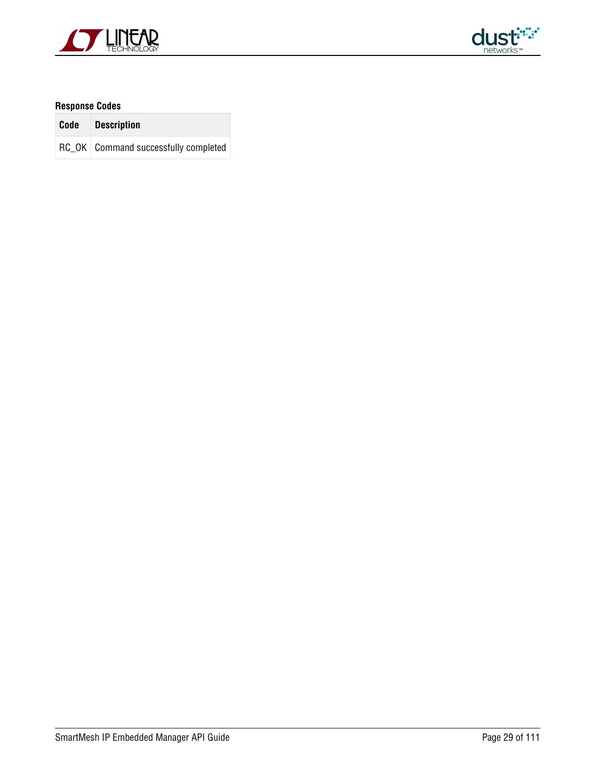



| Code Description                       |
|----------------------------------------|
| RC OK   Command successfully completed |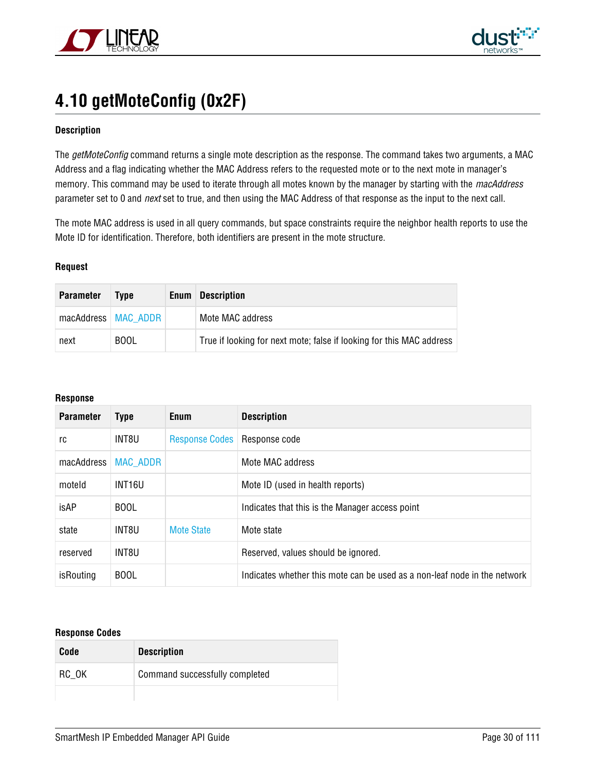



# <span id="page-29-0"></span>**4.10 getMoteConfig (0x2F)**

#### **Description**

The getMoteConfig command returns a single mote description as the response. The command takes two arguments, a MAC Address and a flag indicating whether the MAC Address refers to the requested mote or to the next mote in manager's memory. This command may be used to iterate through all motes known by the manager by starting with the macAddress parameter set to 0 and *next* set to true, and then using the MAC Address of that response as the input to the next call.

The mote MAC address is used in all query commands, but space constraints require the neighbor health reports to use the Mote ID for identification. Therefore, both identifiers are present in the mote structure.

#### **Request**

| <b>Parameter</b> | Type                  | Enum | <b>Description</b>                                                   |
|------------------|-----------------------|------|----------------------------------------------------------------------|
|                  | macAddress   MAC ADDR |      | Mote MAC address                                                     |
| next             | <b>BOOL</b>           |      | True if looking for next mote; false if looking for this MAC address |

#### **Response**

| <b>Parameter</b> | <b>Type</b>     | Enum                  | <b>Description</b>                                                        |
|------------------|-----------------|-----------------------|---------------------------------------------------------------------------|
| rc               | INT8U           | <b>Response Codes</b> | Response code                                                             |
| macAddress       | <b>MAC ADDR</b> |                       | Mote MAC address                                                          |
| moteld           | INT16U          |                       | Mote ID (used in health reports)                                          |
| isAP             | <b>BOOL</b>     |                       | Indicates that this is the Manager access point                           |
| state            | INT8U           | <b>Mote State</b>     | Mote state                                                                |
| reserved         | INT8U           |                       | Reserved, values should be ignored.                                       |
| isRouting        | <b>BOOL</b>     |                       | Indicates whether this mote can be used as a non-leaf node in the network |

| Code  | <b>Description</b>             |
|-------|--------------------------------|
| RC_OK | Command successfully completed |
|       |                                |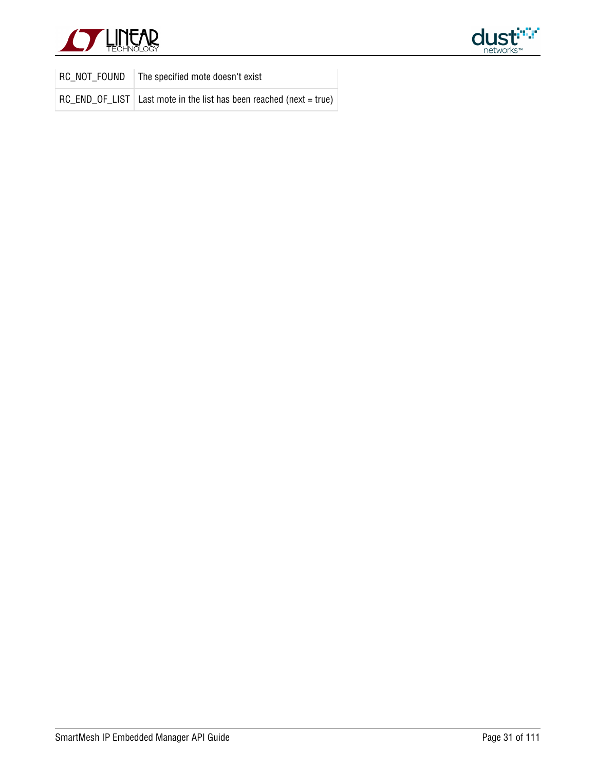



| RC NOT FOUND | The specified mote doesn't exist                                      |
|--------------|-----------------------------------------------------------------------|
|              | RC_END_OF_LIST   Last mote in the list has been reached (next = true) |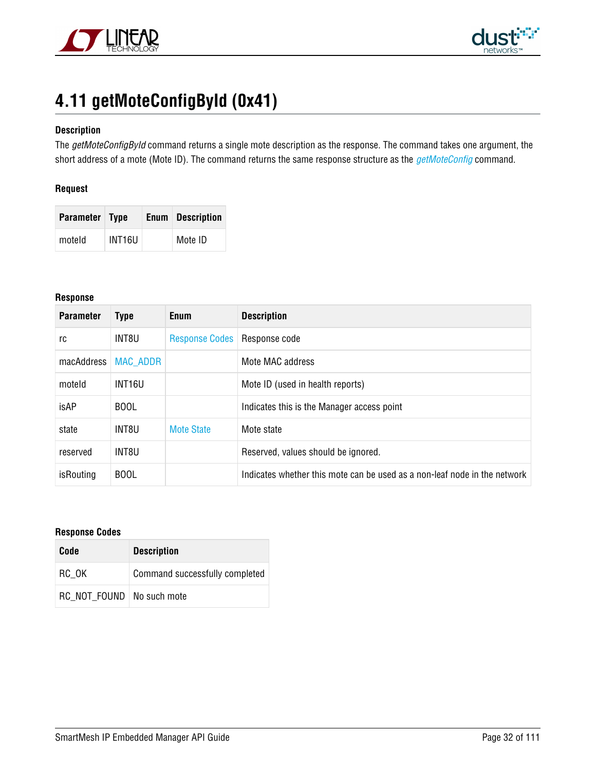



# <span id="page-31-0"></span>**4.11 getMoteConfigById (0x41)**

#### **Description**

The getMoteConfigById command returns a single mote description as the response. The command takes one argument, the short address of a mote (Mote ID). The command returns the same response structure as the [getMoteConfig](#page-29-0) command.

#### **Request**

| Parameter Type |        | <b>Enum</b> Description |
|----------------|--------|-------------------------|
| moteld         | INT16U | Mote ID                 |

#### **Response**

| <b>Parameter</b> | <b>Type</b>     | <b>Enum</b>           | <b>Description</b>                                                        |
|------------------|-----------------|-----------------------|---------------------------------------------------------------------------|
| rc               | INT8U           | <b>Response Codes</b> | Response code                                                             |
| macAddress       | <b>MAC ADDR</b> |                       | Mote MAC address                                                          |
| moteld           | INT16U          |                       | Mote ID (used in health reports)                                          |
| isAP             | <b>BOOL</b>     |                       | Indicates this is the Manager access point                                |
| state            | INT8U           | <b>Mote State</b>     | Mote state                                                                |
| reserved         | INT8U           |                       | Reserved, values should be ignored.                                       |
| isRouting        | <b>BOOL</b>     |                       | Indicates whether this mote can be used as a non-leaf node in the network |

| Code                        | <b>Description</b>             |
|-----------------------------|--------------------------------|
| RC OK                       | Command successfully completed |
| RC NOT FOUND   No such mote |                                |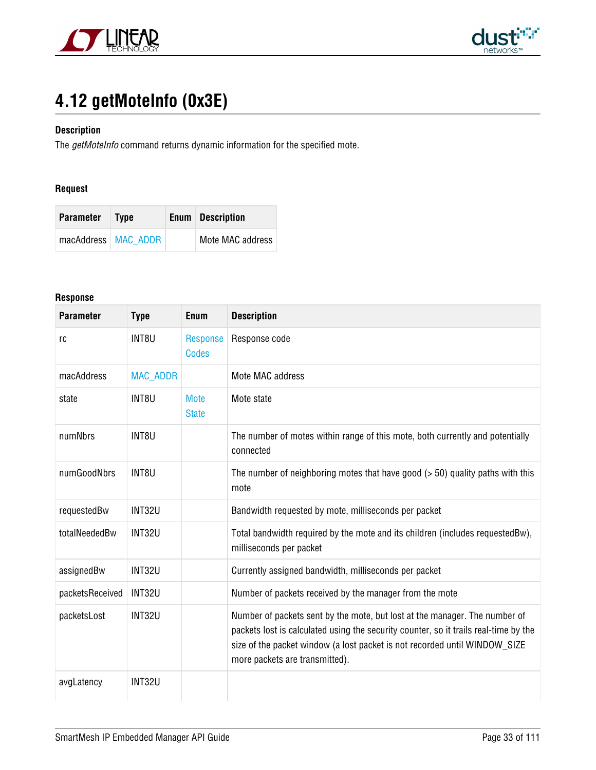



# <span id="page-32-0"></span>**4.12 getMoteInfo (0x3E)**

#### **Description**

The getMoteInfo command returns dynamic information for the specified mote.

#### **Request**

| Parameter             | <b>Type</b> | <b>Enum</b> Description |
|-----------------------|-------------|-------------------------|
| macAddress   MAC ADDR |             | Mote MAC address        |

#### **Response**

| <b>Parameter</b> | <b>Type</b>     | <b>Enum</b>                     | <b>Description</b>                                                                                                                                                                                                                                                                 |
|------------------|-----------------|---------------------------------|------------------------------------------------------------------------------------------------------------------------------------------------------------------------------------------------------------------------------------------------------------------------------------|
| rc               | INT8U           | <b>Response</b><br><b>Codes</b> | Response code                                                                                                                                                                                                                                                                      |
| macAddress       | <b>MAC_ADDR</b> |                                 | Mote MAC address                                                                                                                                                                                                                                                                   |
| state            | INT8U           | <b>Mote</b><br><b>State</b>     | Mote state                                                                                                                                                                                                                                                                         |
| numNbrs          | INT8U           |                                 | The number of motes within range of this mote, both currently and potentially<br>connected                                                                                                                                                                                         |
| numGoodNbrs      | INT8U           |                                 | The number of neighboring motes that have good $($ > 50) quality paths with this<br>mote                                                                                                                                                                                           |
| requestedBw      | <b>INT32U</b>   |                                 | Bandwidth requested by mote, milliseconds per packet                                                                                                                                                                                                                               |
| totalNeededBw    | <b>INT32U</b>   |                                 | Total bandwidth required by the mote and its children (includes requestedBw),<br>milliseconds per packet                                                                                                                                                                           |
| assignedBw       | INT32U          |                                 | Currently assigned bandwidth, milliseconds per packet                                                                                                                                                                                                                              |
| packetsReceived  | INT32U          |                                 | Number of packets received by the manager from the mote                                                                                                                                                                                                                            |
| packetsLost      | INT32U          |                                 | Number of packets sent by the mote, but lost at the manager. The number of<br>packets lost is calculated using the security counter, so it trails real-time by the<br>size of the packet window (a lost packet is not recorded until WINDOW_SIZE<br>more packets are transmitted). |
| avgLatency       | <b>INT32U</b>   |                                 |                                                                                                                                                                                                                                                                                    |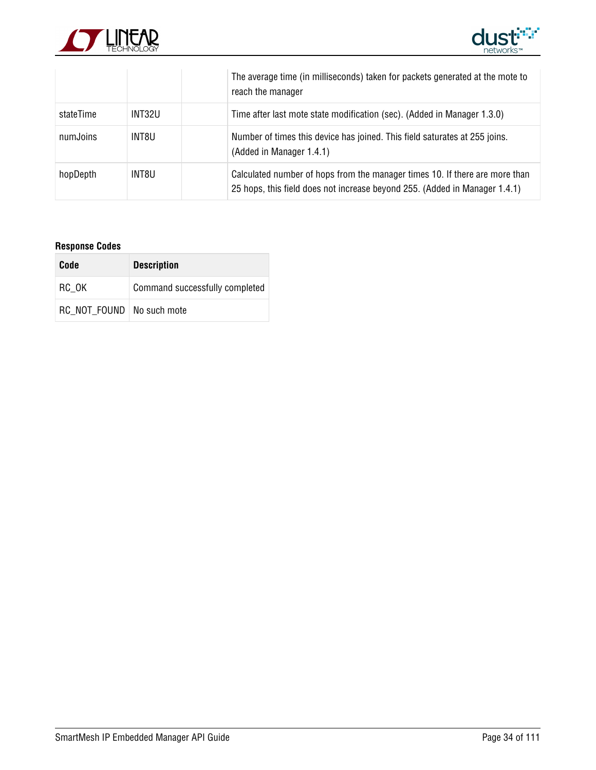



|           |        | The average time (in milliseconds) taken for packets generated at the mote to<br>reach the manager                                                        |
|-----------|--------|-----------------------------------------------------------------------------------------------------------------------------------------------------------|
| stateTime | INT32U | Time after last mote state modification (sec). (Added in Manager 1.3.0)                                                                                   |
| numJoins  | INT8U  | Number of times this device has joined. This field saturates at 255 joins.<br>(Added in Manager 1.4.1)                                                    |
| hopDepth  | INT8U  | Calculated number of hops from the manager times 10. If there are more than<br>25 hops, this field does not increase beyond 255. (Added in Manager 1.4.1) |

| Code                        | <b>Description</b>             |
|-----------------------------|--------------------------------|
| RC OK                       | Command successfully completed |
| RC NOT FOUND   No such mote |                                |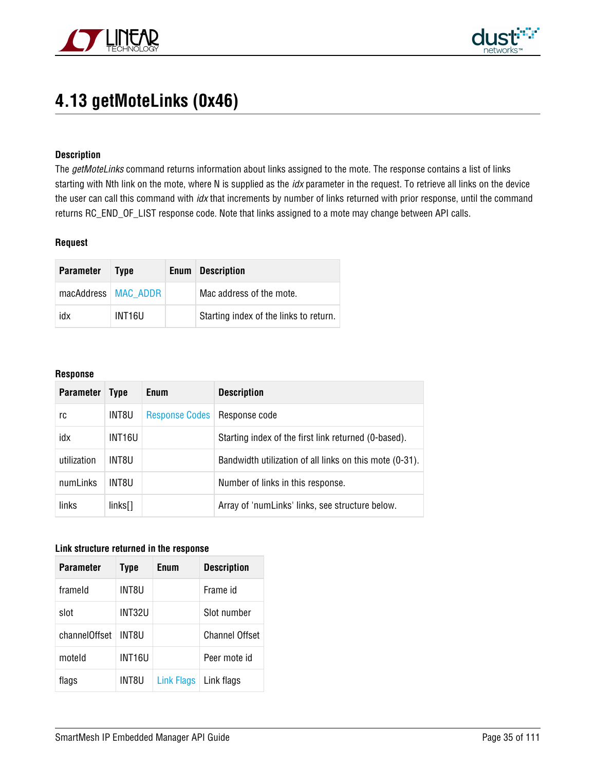



### <span id="page-34-0"></span>**4.13 getMoteLinks (0x46)**

#### **Description**

The getMoteLinks command returns information about links assigned to the mote. The response contains a list of links starting with Nth link on the mote, where N is supplied as the *idx* parameter in the request. To retrieve all links on the device the user can call this command with *idx* that increments by number of links returned with prior response, until the command returns RC\_END\_OF\_LIST response code. Note that links assigned to a mote may change between API calls.

#### **Request**

| <b>Parameter</b>      | <b>Type</b> | <b>Enum</b> Description                |
|-----------------------|-------------|----------------------------------------|
| macAddress   MAC_ADDR |             | Mac address of the mote.               |
| idx                   | INT16U      | Starting index of the links to return. |

#### **Response**

| <b>Parameter</b> | <b>Type</b>        | <b>Enum</b>           | <b>Description</b>                                      |
|------------------|--------------------|-----------------------|---------------------------------------------------------|
| rc               | INT8U              | <b>Response Codes</b> | Response code                                           |
| idx              | INT <sub>16U</sub> |                       | Starting index of the first link returned (0-based).    |
| utilization      | INT8U              |                       | Bandwidth utilization of all links on this mote (0-31). |
| numLinks         | INT8U              |                       | Number of links in this response.                       |
| links            | $links$ []         |                       | Array of 'numLinks' links, see structure below.         |

#### **Link structure returned in the response**

| <b>Parameter</b> | <b>Type</b> | Enum       | <b>Description</b>    |
|------------------|-------------|------------|-----------------------|
| frameld          | INT8U       |            | Frame id              |
| slot             | INT32U      |            | Slot number           |
| channelOffset    | INT8U       |            | <b>Channel Offset</b> |
| moteld           | INT16U      |            | Peer mote id          |
| flags            | INT8U       | Link Flags | Link flags            |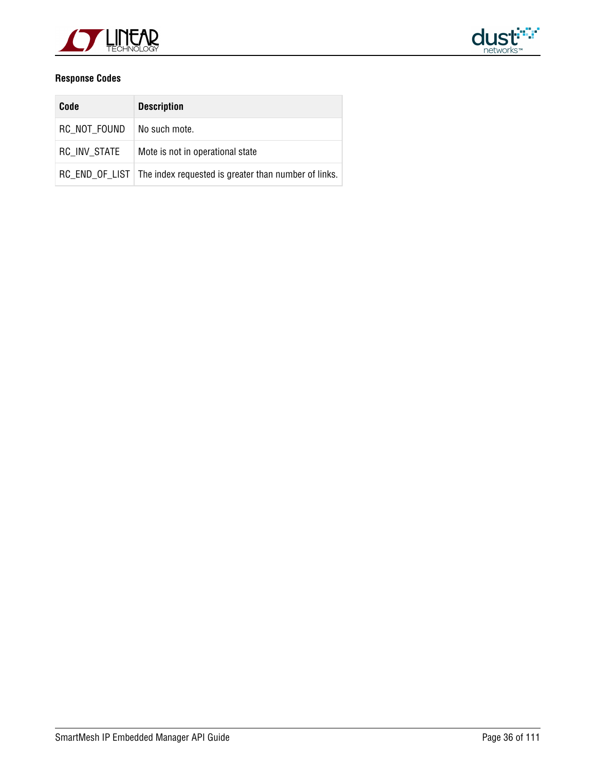



| Code         | <b>Description</b>                                                    |
|--------------|-----------------------------------------------------------------------|
| RC NOT FOUND | No such mote.                                                         |
| RC INV STATE | Mote is not in operational state                                      |
|              | RC_END_OF_LIST   The index requested is greater than number of links. |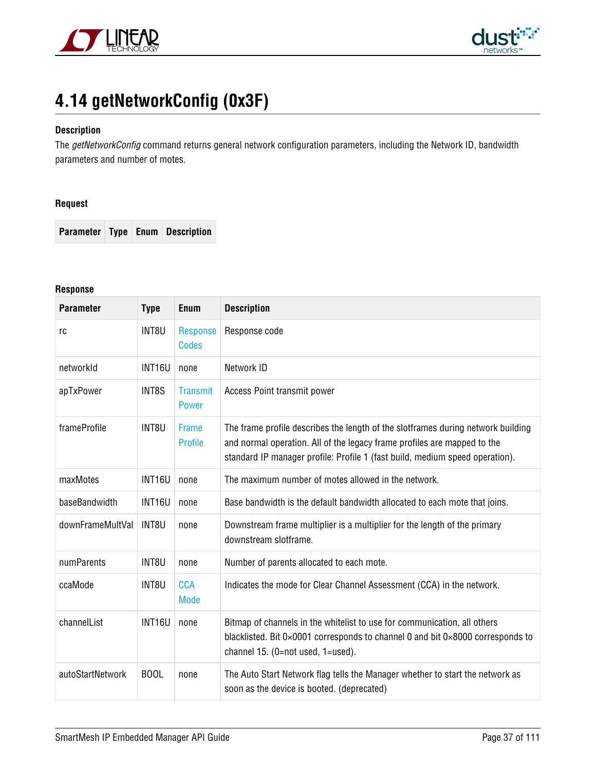



# **4.14 getNetworkConfig (0x3F)**

## **Description**

The getNetworkConfig command returns general network configuration parameters, including the Network ID, bandwidth parameters and number of motes.

### **Request**

**Parameter Type Enum Description**

# **Response**

| <b>Parameter</b> | <b>Type</b>   | <b>Enum</b>                     | <b>Description</b>                                                                                                                                                                                                                           |
|------------------|---------------|---------------------------------|----------------------------------------------------------------------------------------------------------------------------------------------------------------------------------------------------------------------------------------------|
| rc               | INT8U         | <b>Response</b><br><b>Codes</b> | Response code                                                                                                                                                                                                                                |
| networkId        | INT16U        | none                            | Network ID                                                                                                                                                                                                                                   |
| apTxPower        | INT8S         | <b>Transmit</b><br><b>Power</b> | Access Point transmit power                                                                                                                                                                                                                  |
| frameProfile     | INT8U         | Frame<br><b>Profile</b>         | The frame profile describes the length of the slotframes during network building<br>and normal operation. All of the legacy frame profiles are mapped to the<br>standard IP manager profile: Profile 1 (fast build, medium speed operation). |
| maxMotes         | <b>INT16U</b> | none                            | The maximum number of motes allowed in the network.                                                                                                                                                                                          |
| baseBandwidth    | INT16U        | none                            | Base bandwidth is the default bandwidth allocated to each mote that joins.                                                                                                                                                                   |
| downFrameMultVal | INT8U         | none                            | Downstream frame multiplier is a multiplier for the length of the primary<br>downstream slotframe.                                                                                                                                           |
| numParents       | INT8U         | none                            | Number of parents allocated to each mote.                                                                                                                                                                                                    |
| ccaMode          | INT8U         | <b>CCA</b><br><b>Mode</b>       | Indicates the mode for Clear Channel Assessment (CCA) in the network.                                                                                                                                                                        |
| channelList      | <b>INT16U</b> | none                            | Bitmap of channels in the whitelist to use for communication, all others<br>blacklisted. Bit 0×0001 corresponds to channel 0 and bit 0×8000 corresponds to<br>channel 15. (0=not used, 1=used).                                              |
| autoStartNetwork | <b>BOOL</b>   | none                            | The Auto Start Network flag tells the Manager whether to start the network as<br>soon as the device is booted. (deprecated)                                                                                                                  |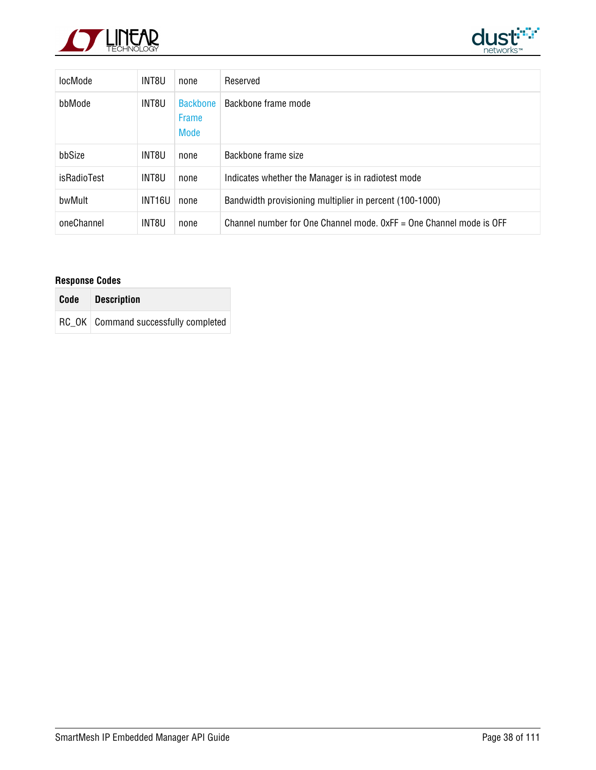



| locMode     | INT8U               | none                                    | Reserved                                                              |
|-------------|---------------------|-----------------------------------------|-----------------------------------------------------------------------|
| bbMode      | INT8U               | <b>Backbone</b><br><b>Frame</b><br>Mode | Backbone frame mode                                                   |
| bbSize      | INT8U               | none                                    | Backbone frame size                                                   |
| isRadioTest | INT8U               | none                                    | Indicates whether the Manager is in radiotest mode                    |
| bwMult      | INT <sub>16</sub> U | none                                    | Bandwidth provisioning multiplier in percent (100-1000)               |
| oneChannel  | INT8U               | none                                    | Channel number for One Channel mode, $0xFF =$ One Channel mode is OFF |

| Code Description                       |
|----------------------------------------|
| RC OK   Command successfully completed |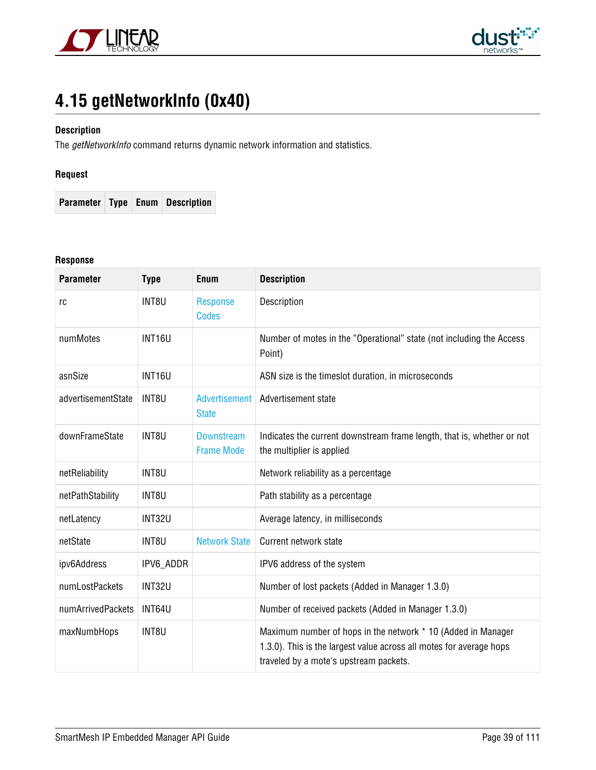



# **4.15 getNetworkInfo (0x40)**

# **Description**

The getNetworkInfo command returns dynamic network information and statistics.

# **Request**

**Parameter Type Enum Description**

#### **Response**

| <b>Parameter</b>   | <b>Type</b>   | Enum                                   | <b>Description</b>                                                                                                                                                            |
|--------------------|---------------|----------------------------------------|-------------------------------------------------------------------------------------------------------------------------------------------------------------------------------|
| rc                 | INT8U         | <b>Response</b><br><b>Codes</b>        | Description                                                                                                                                                                   |
| numMotes           | <b>INT16U</b> |                                        | Number of motes in the "Operational" state (not including the Access<br>Point)                                                                                                |
| asnSize            | <b>INT16U</b> |                                        | ASN size is the timeslot duration, in microseconds                                                                                                                            |
| advertisementState | INT8U         | <b>Advertisement</b><br><b>State</b>   | Advertisement state                                                                                                                                                           |
| downFrameState     | INT8U         | <b>Downstream</b><br><b>Frame Mode</b> | Indicates the current downstream frame length, that is, whether or not<br>the multiplier is applied                                                                           |
| netReliability     | INT8U         |                                        | Network reliability as a percentage                                                                                                                                           |
| netPathStability   | INT8U         |                                        | Path stability as a percentage                                                                                                                                                |
| netLatency         | <b>INT32U</b> |                                        | Average latency, in milliseconds                                                                                                                                              |
| netState           | INT8U         | <b>Network State</b>                   | Current network state                                                                                                                                                         |
| ipv6Address        | IPV6 ADDR     |                                        | IPV6 address of the system                                                                                                                                                    |
| numLostPackets     | INT32U        |                                        | Number of lost packets (Added in Manager 1.3.0)                                                                                                                               |
| numArrivedPackets  | INT64U        |                                        | Number of received packets (Added in Manager 1.3.0)                                                                                                                           |
| maxNumbHops        | INT8U         |                                        | Maximum number of hops in the network * 10 (Added in Manager<br>1.3.0). This is the largest value across all motes for average hops<br>traveled by a mote's upstream packets. |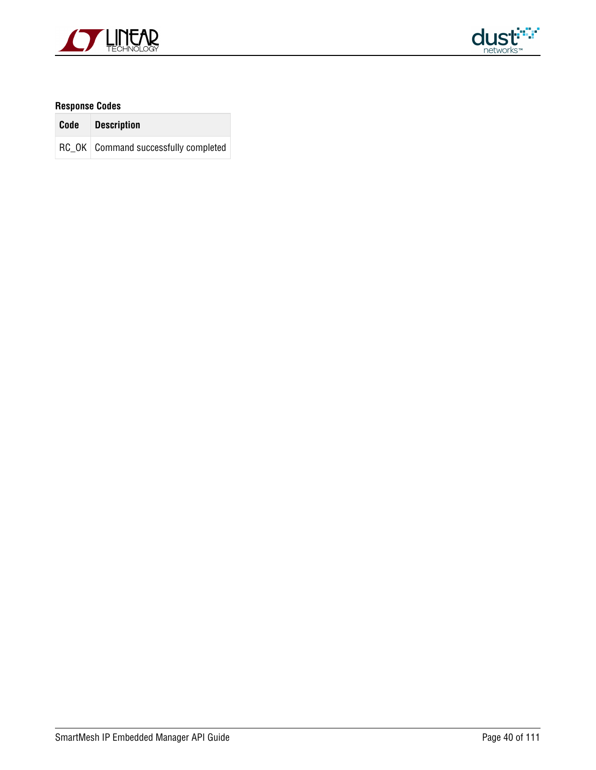



| Code Description                       |
|----------------------------------------|
| RC OK   Command successfully completed |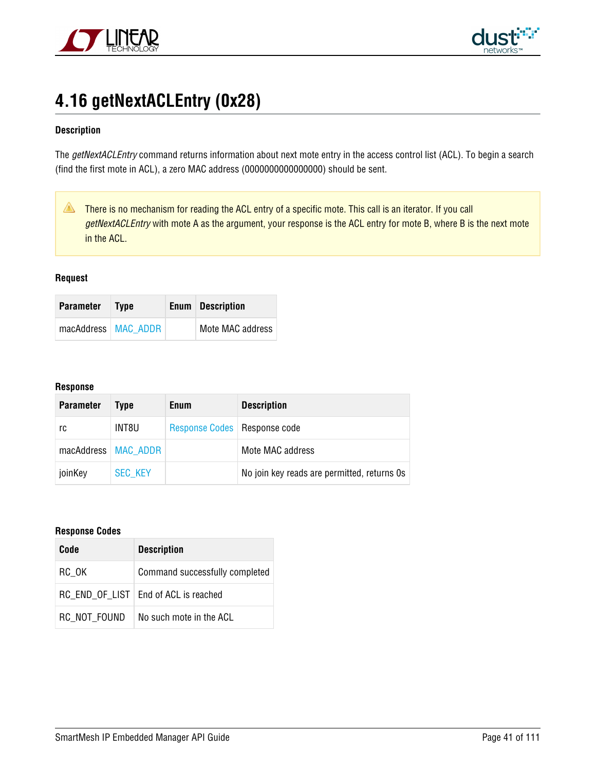



# **4.16 getNextACLEntry (0x28)**

## **Description**

The getNextACLEntry command returns information about next mote entry in the access control list (ACL). To begin a search (find the first mote in ACL), a zero MAC address (0000000000000000) should be sent.

There is no mechanism for reading the ACL entry of a specific mote. This call is an iterator. If you call getNextACLEntry with mote A as the argument, your response is the ACL entry for mote B, where B is the next mote in the ACL.

#### **Request**

| <b>Parameter</b>      | <b>Type</b> | <b>Enum</b> Description |
|-----------------------|-------------|-------------------------|
| macAddress   MAC_ADDR |             | Mote MAC address        |

#### **Response**

| <b>Parameter</b> | Tvpe                  | <b>Enum</b>                    | <b>Description</b>                          |
|------------------|-----------------------|--------------------------------|---------------------------------------------|
| rc               | INT8U                 | Response Codes   Response code |                                             |
|                  | macAddress   MAC ADDR |                                | Mote MAC address                            |
| joinKey          | <b>SEC KEY</b>        |                                | No join key reads are permitted, returns 0s |

| Code         | <b>Description</b>                     |
|--------------|----------------------------------------|
| RC OK        | Command successfully completed         |
|              | RC END OF LIST   End of ACL is reached |
| RC NOT FOUND | No such mote in the ACL                |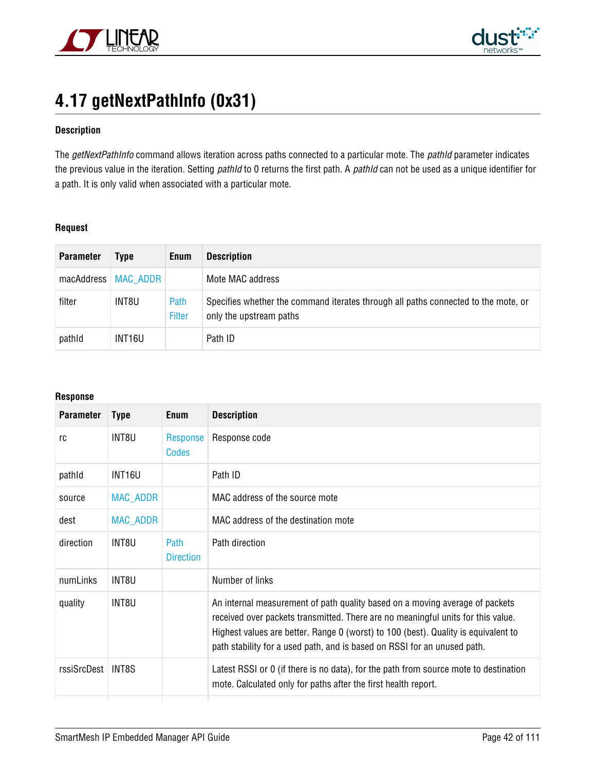



# **4.17 getNextPathInfo (0x31)**

### **Description**

The getNextPathInfo command allows iteration across paths connected to a particular mote. The pathId parameter indicates the previous value in the iteration. Setting pathId to 0 returns the first path. A pathId can not be used as a unique identifier for a path. It is only valid when associated with a particular mote.

## **Request**

| <b>Parameter</b> | Type     | Enum           | <b>Description</b>                                                                                            |
|------------------|----------|----------------|---------------------------------------------------------------------------------------------------------------|
| macAddress       | MAC ADDR |                | Mote MAC address                                                                                              |
| filter           | INT8U    | Path<br>Filter | Specifies whether the command iterates through all paths connected to the mote, or<br>only the upstream paths |
| pathld           | INT16U   |                | Path ID                                                                                                       |

### **Response**

| <b>Parameter</b> | <b>Type</b>        | Enum                            | <b>Description</b>                                                                                                                                                                                                                                                                                                                 |
|------------------|--------------------|---------------------------------|------------------------------------------------------------------------------------------------------------------------------------------------------------------------------------------------------------------------------------------------------------------------------------------------------------------------------------|
| rc               | INT8U              | Response<br>Codes               | Response code                                                                                                                                                                                                                                                                                                                      |
| pathid           | INT <sub>16U</sub> |                                 | Path ID                                                                                                                                                                                                                                                                                                                            |
| source           | MAC_ADDR           |                                 | MAC address of the source mote                                                                                                                                                                                                                                                                                                     |
| dest             | <b>MAC ADDR</b>    |                                 | MAC address of the destination mote                                                                                                                                                                                                                                                                                                |
| direction        | INT8U              | <b>Path</b><br><b>Direction</b> | Path direction                                                                                                                                                                                                                                                                                                                     |
| numLinks         | INT8U              |                                 | Number of links                                                                                                                                                                                                                                                                                                                    |
| quality          | INT8U              |                                 | An internal measurement of path quality based on a moving average of packets<br>received over packets transmitted. There are no meaningful units for this value.<br>Highest values are better. Range 0 (worst) to 100 (best). Quality is equivalent to<br>path stability for a used path, and is based on RSSI for an unused path. |
| rssiSrcDest      | INT8S              |                                 | Latest RSSI or 0 (if there is no data), for the path from source mote to destination<br>mote. Calculated only for paths after the first health report.                                                                                                                                                                             |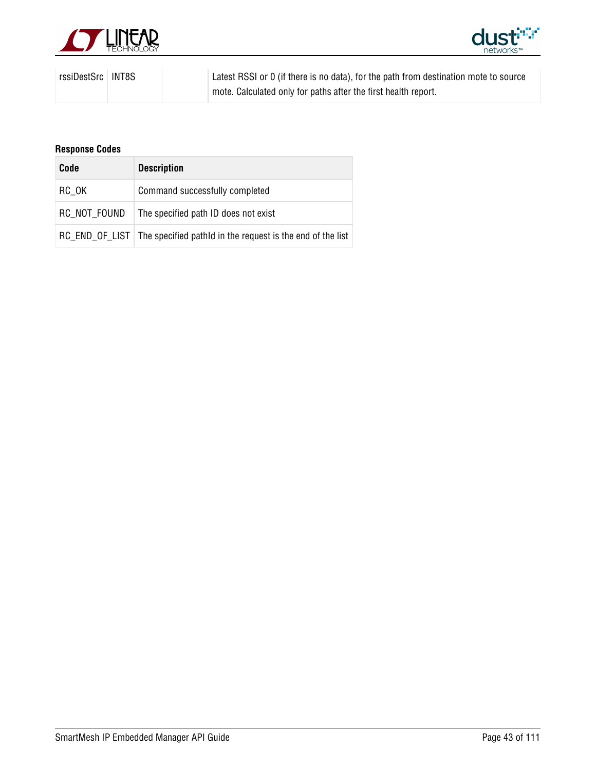



| rssiDestSrc   INT8S |  | Latest RSSI or 0 (if there is no data), for the path from destination mote to source |
|---------------------|--|--------------------------------------------------------------------------------------|
|                     |  | mote. Calculated only for paths after the first health report.                       |

| Code         | <b>Description</b>                                                          |
|--------------|-----------------------------------------------------------------------------|
| RC OK        | Command successfully completed                                              |
| RC NOT FOUND | The specified path ID does not exist                                        |
|              | RC_END_OF_LIST   The specified pathld in the request is the end of the list |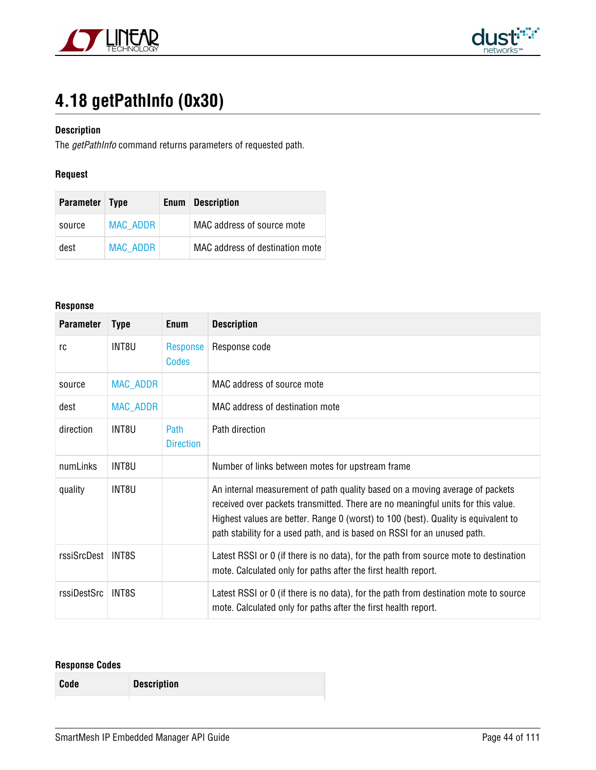



# **4.18 getPathInfo (0x30)**

# **Description**

The getPathInfo command returns parameters of requested path.

# **Request**

| Parameter Type |                 | Enum | <b>Description</b>              |
|----------------|-----------------|------|---------------------------------|
| source         | <b>MAC ADDR</b> |      | MAC address of source mote      |
| dest           | MAC ADDR        |      | MAC address of destination mote |

#### **Response**

| <b>Parameter</b> | <b>Type</b>     | <b>Enum</b>              | <b>Description</b>                                                                                                                                                                                                                                                                                                                 |
|------------------|-----------------|--------------------------|------------------------------------------------------------------------------------------------------------------------------------------------------------------------------------------------------------------------------------------------------------------------------------------------------------------------------------|
| rc               | INT8U           | Response<br><b>Codes</b> | Response code                                                                                                                                                                                                                                                                                                                      |
| source           | <b>MAC_ADDR</b> |                          | MAC address of source mote                                                                                                                                                                                                                                                                                                         |
| dest             | <b>MAC_ADDR</b> |                          | MAC address of destination mote                                                                                                                                                                                                                                                                                                    |
| direction        | INT8U           | Path<br><b>Direction</b> | Path direction                                                                                                                                                                                                                                                                                                                     |
| numLinks         | INT8U           |                          | Number of links between motes for upstream frame                                                                                                                                                                                                                                                                                   |
| quality          | INT8U           |                          | An internal measurement of path quality based on a moving average of packets<br>received over packets transmitted. There are no meaningful units for this value.<br>Highest values are better. Range 0 (worst) to 100 (best). Quality is equivalent to<br>path stability for a used path, and is based on RSSI for an unused path. |
| rssiSrcDest      | INT8S           |                          | Latest RSSI or 0 (if there is no data), for the path from source mote to destination<br>mote. Calculated only for paths after the first health report.                                                                                                                                                                             |
| rssiDestSrc      | INT8S           |                          | Latest RSSI or 0 (if there is no data), for the path from destination mote to source<br>mote. Calculated only for paths after the first health report.                                                                                                                                                                             |

# **Response Codes**

**Code Description**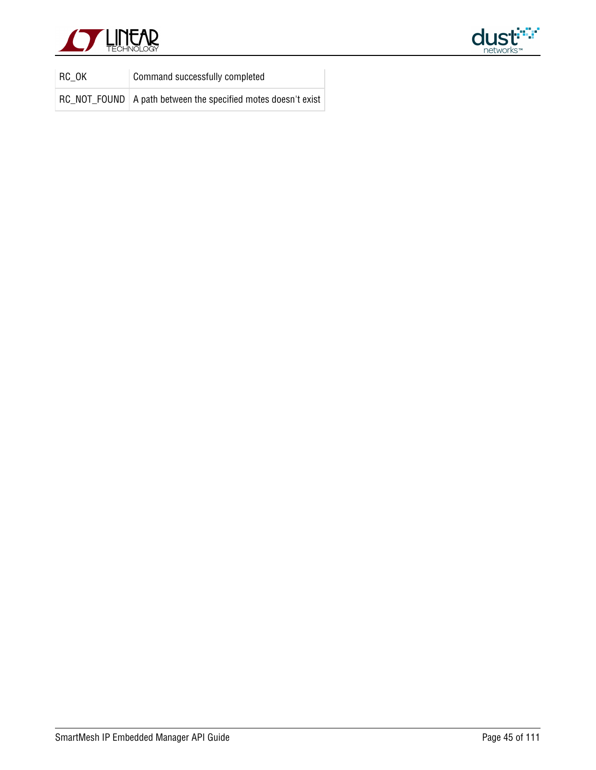



| RC OK | Command successfully completed                                  |
|-------|-----------------------------------------------------------------|
|       | RC_NOT_FOUND   A path between the specified motes doesn't exist |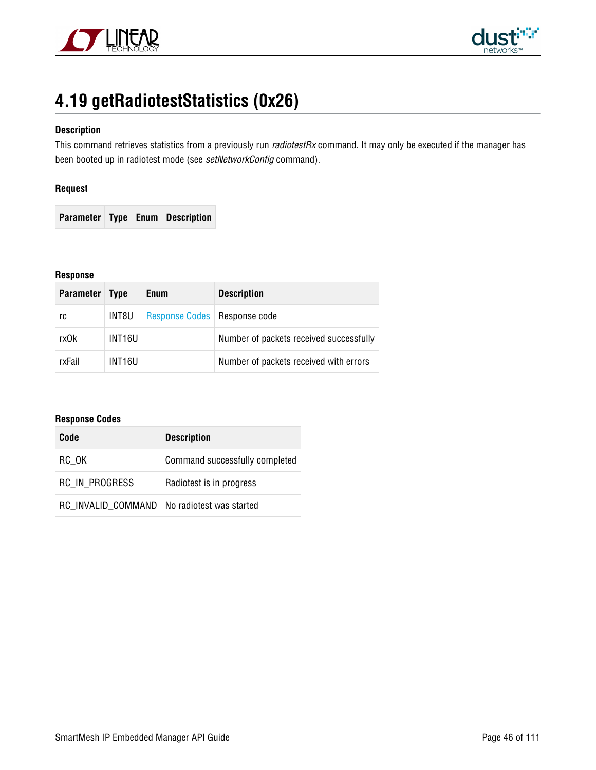



# **4.19 getRadiotestStatistics (0x26)**

## **Description**

This command retrieves statistics from a previously run radiotestRx command. It may only be executed if the manager has been booted up in radiotest mode (see setNetworkConfig command).

### **Request**

**Parameter Type Enum Description**

#### **Response**

| <b>Parameter</b> | <b>Type</b> | <b>Enum</b>                    | <b>Description</b>                      |
|------------------|-------------|--------------------------------|-----------------------------------------|
| rc               | INT8U       | Response Codes   Response code |                                         |
| rxOk             | INT16U      |                                | Number of packets received successfully |
| rxFail           | INT16U      |                                | Number of packets received with errors  |

| Code                                          | <b>Description</b>             |
|-----------------------------------------------|--------------------------------|
| RC OK                                         | Command successfully completed |
| RC IN PROGRESS                                | Radiotest is in progress       |
| RC INVALID COMMAND   No radiotest was started |                                |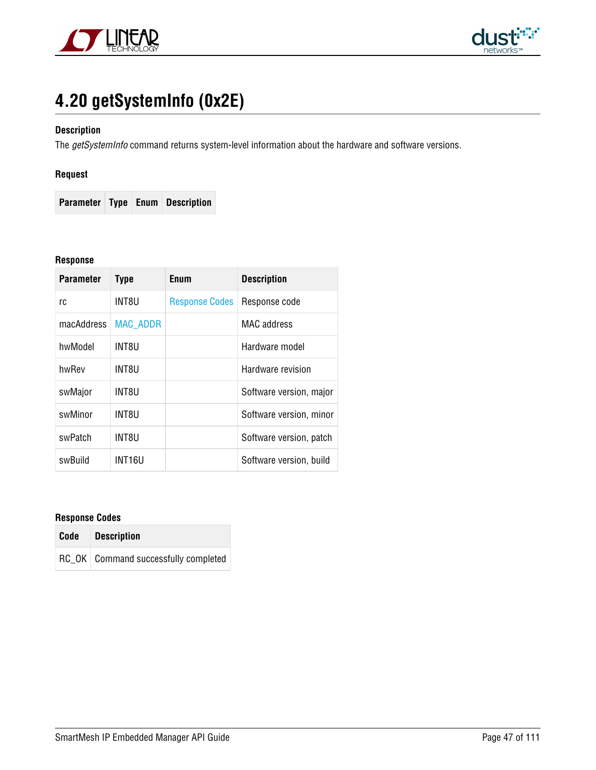



# **4.20 getSystemInfo (0x2E)**

## **Description**

The getSystemInfo command returns system-level information about the hardware and software versions.

# **Request**

**Parameter Type Enum Description**

#### **Response**

| <b>Parameter</b> | <b>Type</b>     | Enum                  | <b>Description</b>      |
|------------------|-----------------|-----------------------|-------------------------|
| rc               | INT8U           | <b>Response Codes</b> | Response code           |
| macAddress       | <b>MAC ADDR</b> |                       | <b>MAC</b> address      |
| hwModel          | INT8U           |                       | Hardware model          |
| hwRev            | INT8U           |                       | Hardware revision       |
| swMajor          | INT8U           |                       | Software version, major |
| swMinor          | INT8U           |                       | Software version, minor |
| swPatch          | INT8U           |                       | Software version, patch |
| swBuild          | INT16U          |                       | Software version, build |

| Code | <b>Description</b>                     |
|------|----------------------------------------|
|      | RC OK   Command successfully completed |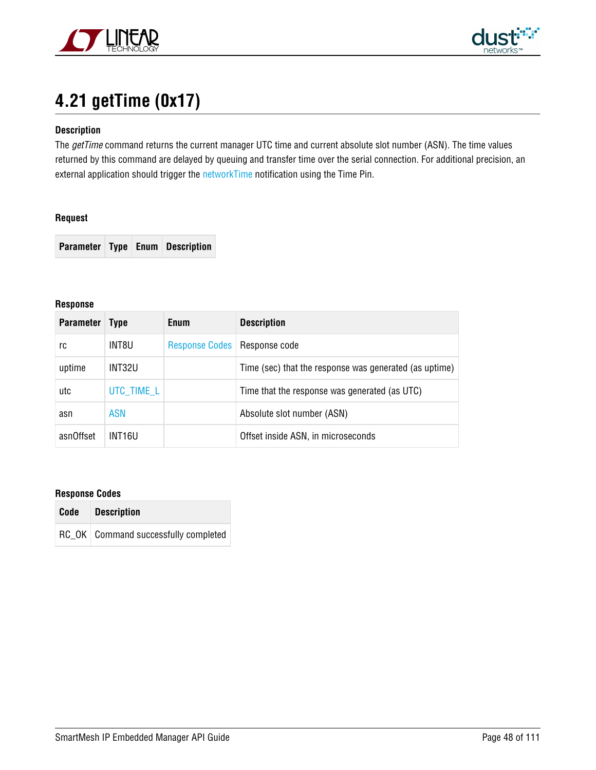



# **4.21 getTime (0x17)**

# **Description**

The getTime command returns the current manager UTC time and current absolute slot number (ASN). The time values returned by this command are delayed by queuing and transfer time over the serial connection. For additional precision, an external application should trigger the [networkTime](#page-81-0) notification using the Time Pin.

#### **Request**

**Parameter Type Enum Description**

#### **Response**

| <b>Parameter</b> | <b>Type</b> | <b>Enum</b>                    | <b>Description</b>                                     |
|------------------|-------------|--------------------------------|--------------------------------------------------------|
| rc               | INT8U       | Response Codes   Response code |                                                        |
| uptime           | INT32U      |                                | Time (sec) that the response was generated (as uptime) |
| utc              | UTC TIME L  |                                | Time that the response was generated (as UTC)          |
| asn              | ASN         |                                | Absolute slot number (ASN)                             |
| asnOffset        | INT16U      |                                | Offset inside ASN, in microseconds                     |

| Code Description                       |
|----------------------------------------|
| RC OK   Command successfully completed |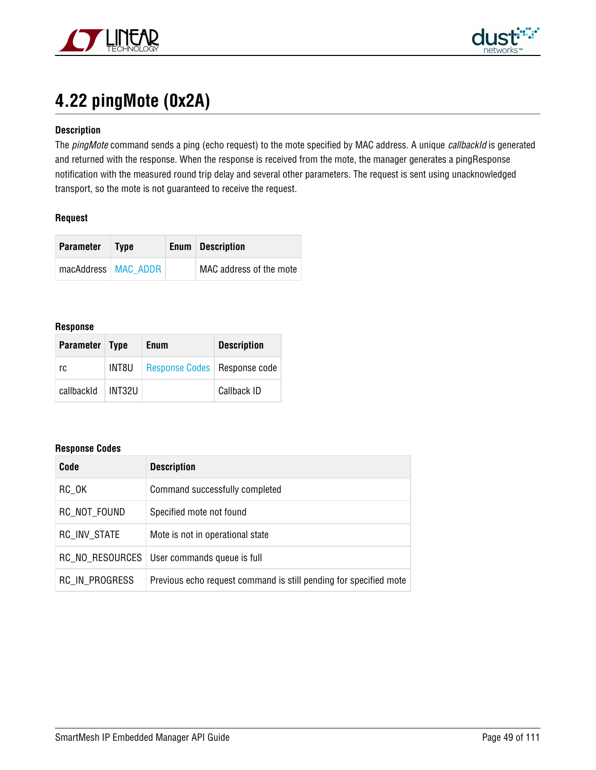



# **4.22 pingMote (0x2A)**

## **Description**

The pingMote command sends a ping (echo request) to the mote specified by MAC address. A unique callbackId is generated and returned with the response. When the response is received from the mote, the manager generates a pingResponse notification with the measured round trip delay and several other parameters. The request is sent using unacknowledged transport, so the mote is not guaranteed to receive the request.

### **Request**

| <b>Parameter</b>      | <b>Type</b> | <b>Enum</b> Description |
|-----------------------|-------------|-------------------------|
| macAddress   MAC ADDR |             | MAC address of the mote |

#### **Response**

| Parameter Type |        | <b>Enum</b>                    | <b>Description</b> |
|----------------|--------|--------------------------------|--------------------|
| rc             | INT8U  | Response Codes   Response code |                    |
| callbackId     | INT32U |                                | Callback ID        |

| Code            | <b>Description</b>                                                |
|-----------------|-------------------------------------------------------------------|
| RC OK           | Command successfully completed                                    |
| RC_NOT_FOUND    | Specified mote not found                                          |
| RC INV STATE    | Mote is not in operational state                                  |
| RC NO RESOURCES | User commands queue is full                                       |
| RC IN PROGRESS  | Previous echo request command is still pending for specified mote |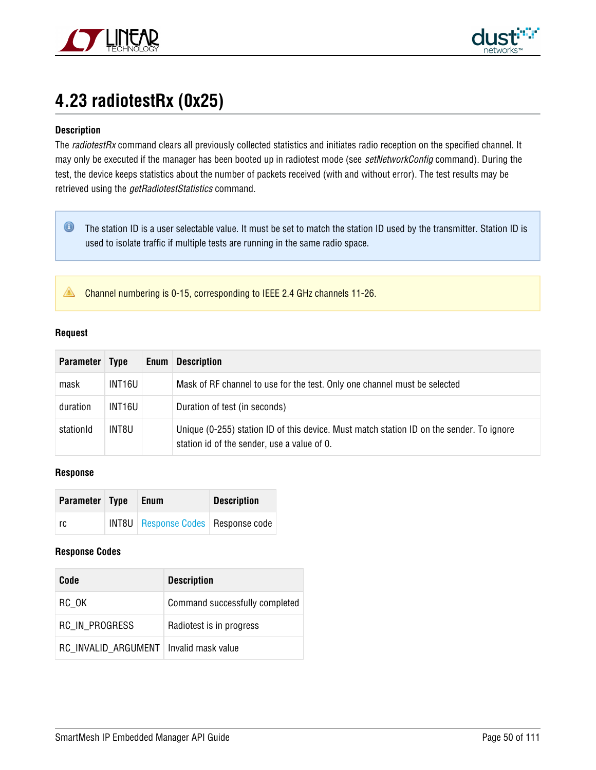



# <span id="page-49-0"></span>**4.23 radiotestRx (0x25)**

## **Description**

The radiotestRx command clears all previously collected statistics and initiates radio reception on the specified channel. It may only be executed if the manager has been booted up in radiotest mode (see setNetworkConfig command). During the test, the device keeps statistics about the number of packets received (with and without error). The test results may be retrieved using the *getRadiotestStatistics* command.

 $\bullet$ The station ID is a user selectable value. It must be set to match the station ID used by the transmitter. Station ID is used to isolate traffic if multiple tests are running in the same radio space.

Channel numbering is 0-15, corresponding to IEEE 2.4 GHz channels 11-26.

#### **Request**

| <b>Parameter</b> | <b>Type</b> | <b>Enum</b> | <b>Description</b>                                                                                                                      |
|------------------|-------------|-------------|-----------------------------------------------------------------------------------------------------------------------------------------|
| mask             | INT16U      |             | Mask of RF channel to use for the test. Only one channel must be selected                                                               |
| duration         | INT16U      |             | Duration of test (in seconds)                                                                                                           |
| stationId        | INT8U       |             | Unique (0-255) station ID of this device. Must match station ID on the sender. To ignore<br>station id of the sender, use a value of 0. |

#### **Response**

| Parameter Type | Enum                                        | <b>Description</b> |
|----------------|---------------------------------------------|--------------------|
| rc             | <b>INT8U</b> Response Codes   Response code |                    |

| Code                                     | <b>Description</b>             |
|------------------------------------------|--------------------------------|
| RC OK                                    | Command successfully completed |
| RC IN PROGRESS                           | Radiotest is in progress       |
| RC INVALID ARGUMENT   Invalid mask value |                                |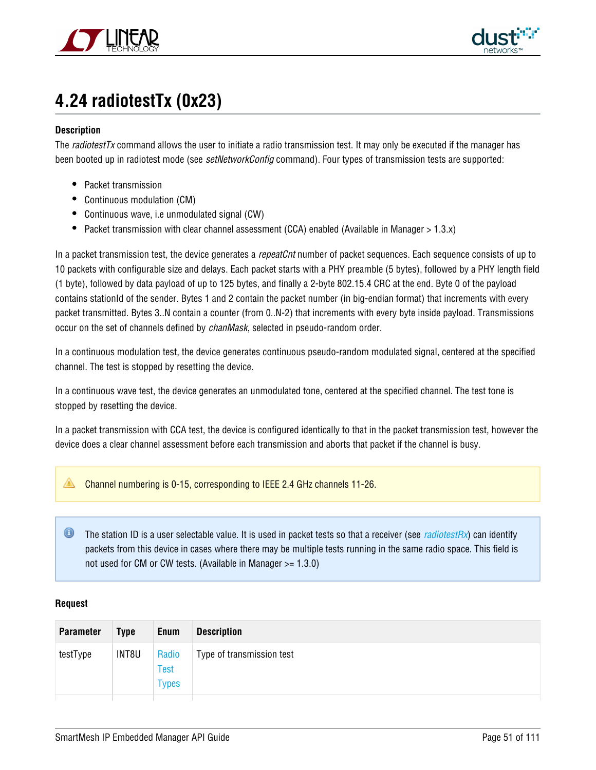



# **4.24 radiotestTx (0x23)**

## **Description**

The *radiotestTx* command allows the user to initiate a radio transmission test. It may only be executed if the manager has been booted up in radiotest mode (see setNetworkConfig command). Four types of transmission tests are supported:

- Packet transmission
- Continuous modulation (CM)
- Continuous wave, i.e unmodulated signal (CW)
- Packet transmission with clear channel assessment (CCA) enabled (Available in Manager > 1.3.x)

In a packet transmission test, the device generates a repeatCnt number of packet sequences. Each sequence consists of up to 10 packets with configurable size and delays. Each packet starts with a PHY preamble (5 bytes), followed by a PHY length field (1 byte), followed by data payload of up to 125 bytes, and finally a 2-byte 802.15.4 CRC at the end. Byte 0 of the payload contains stationId of the sender. Bytes 1 and 2 contain the packet number (in big-endian format) that increments with every packet transmitted. Bytes 3..N contain a counter (from 0..N-2) that increments with every byte inside payload. Transmissions occur on the set of channels defined by chanMask, selected in pseudo-random order.

In a continuous modulation test, the device generates continuous pseudo-random modulated signal, centered at the specified channel. The test is stopped by resetting the device.

In a continuous wave test, the device generates an unmodulated tone, centered at the specified channel. The test tone is stopped by resetting the device.

In a packet transmission with CCA test, the device is configured identically to that in the packet transmission test, however the device does a clear channel assessment before each transmission and aborts that packet if the channel is busy.

Channel numbering is 0-15, corresponding to IEEE 2.4 GHz channels 11-26.

 $\bullet$ The station ID is a user selectable value. It is used in packet tests so that a receiver (see *[radiotestRx](#page-49-0)*) can identify packets from this device in cases where there may be multiple tests running in the same radio space. This field is not used for CM or CW tests. (Available in Manager >= 1.3.0)

### **Request**

| <b>Parameter</b> | <b>Type</b> | Enum                                 | <b>Description</b>        |
|------------------|-------------|--------------------------------------|---------------------------|
| testType         | INT8U       | Radio<br><b>Test</b><br><b>Types</b> | Type of transmission test |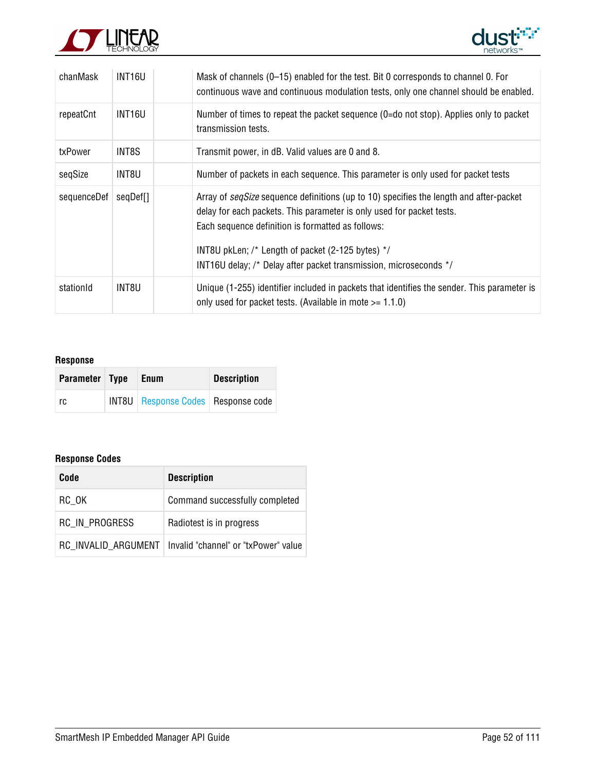



| chanMask    | INT <sub>16U</sub> | Mask of channels (0-15) enabled for the test. Bit 0 corresponds to channel 0. For<br>continuous wave and continuous modulation tests, only one channel should be enabled.                                                                                                                                                                      |
|-------------|--------------------|------------------------------------------------------------------------------------------------------------------------------------------------------------------------------------------------------------------------------------------------------------------------------------------------------------------------------------------------|
| repeatCnt   | INT <sub>16U</sub> | Number of times to repeat the packet sequence (0=do not stop). Applies only to packet<br>transmission tests.                                                                                                                                                                                                                                   |
| txPower     | INT8S              | Transmit power, in dB. Valid values are 0 and 8.                                                                                                                                                                                                                                                                                               |
| seqSize     | INT8U              | Number of packets in each sequence. This parameter is only used for packet tests                                                                                                                                                                                                                                                               |
| sequenceDef | seqDef[]           | Array of segSize sequence definitions (up to 10) specifies the length and after-packet<br>delay for each packets. This parameter is only used for packet tests.<br>Each sequence definition is formatted as follows:<br>INT8U pkLen; /* Length of packet (2-125 bytes) */<br>INT16U delay; /* Delay after packet transmission, microseconds */ |
| stationId   | INT8U              | Unique (1-255) identifier included in packets that identifies the sender. This parameter is<br>only used for packet tests. (Available in mote $> = 1.1.0$ )                                                                                                                                                                                    |

# **Response**

| Parameter Type | Enum                                        | <b>Description</b> |
|----------------|---------------------------------------------|--------------------|
| rc             | <b>INT8U</b> Response Codes   Response code |                    |

| Code           | <b>Description</b>                                         |
|----------------|------------------------------------------------------------|
| RC OK          | Command successfully completed                             |
| RC IN PROGRESS | Radiotest is in progress                                   |
|                | RC INVALID ARGUMENT   Invalid "channel" or "txPower" value |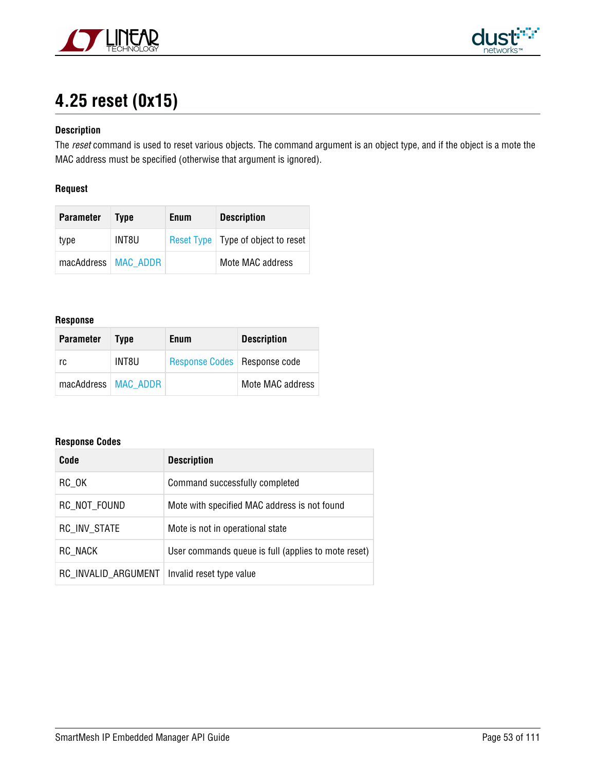



# **4.25 reset (0x15)**

# **Description**

The reset command is used to reset various objects. The command argument is an object type, and if the object is a mote the MAC address must be specified (otherwise that argument is ignored).

# **Request**

| <b>Parameter</b>      | <b>Type</b> | Enum | <b>Description</b>                   |
|-----------------------|-------------|------|--------------------------------------|
| type                  | INT8U       |      | Reset Type   Type of object to reset |
| macAddress   MAC ADDR |             |      | Mote MAC address                     |

#### **Response**

| <b>Parameter</b>      | <b>Type</b> | <b>Enum</b>                    | <b>Description</b> |
|-----------------------|-------------|--------------------------------|--------------------|
| rc                    | INT8U       | Response Codes   Response code |                    |
| macAddress   MAC ADDR |             |                                | Mote MAC address   |

| Code                | <b>Description</b>                                  |
|---------------------|-----------------------------------------------------|
| RC OK               | Command successfully completed                      |
| RC NOT FOUND        | Mote with specified MAC address is not found        |
| RC INV STATE        | Mote is not in operational state                    |
| RC NACK             | User commands queue is full (applies to mote reset) |
| RC INVALID ARGUMENT | Invalid reset type value                            |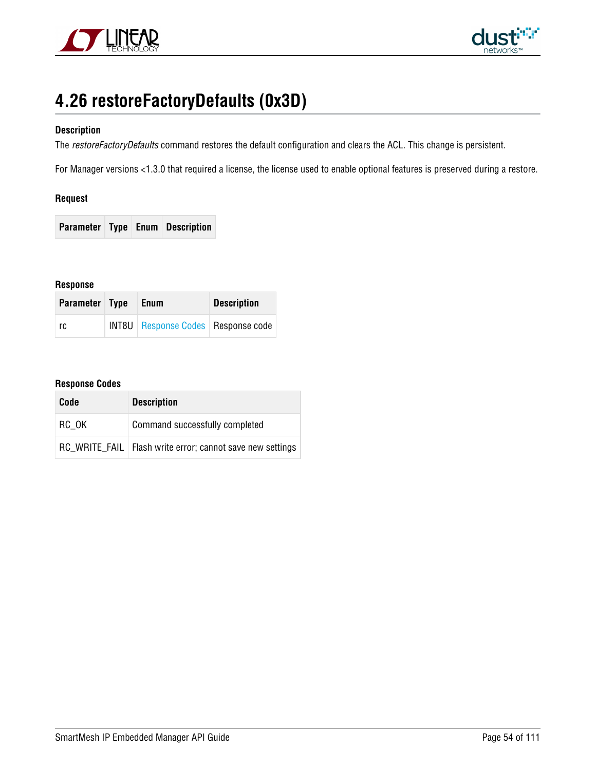



# **4.26 restoreFactoryDefaults (0x3D)**

## **Description**

The restoreFactoryDefaults command restores the default configuration and clears the ACL. This change is persistent.

For Manager versions <1.3.0 that required a license, the license used to enable optional features is preserved during a restore.

### **Request**

**Parameter Type Enum Description**

**Response**

| Parameter Type | Enum                                   | <b>Description</b> |
|----------------|----------------------------------------|--------------------|
| rc.            | INT8U   Response Codes   Response code |                    |

| Code  | <b>Description</b>                                          |
|-------|-------------------------------------------------------------|
| RC OK | Command successfully completed                              |
|       | RC WRITE FAIL   Flash write error; cannot save new settings |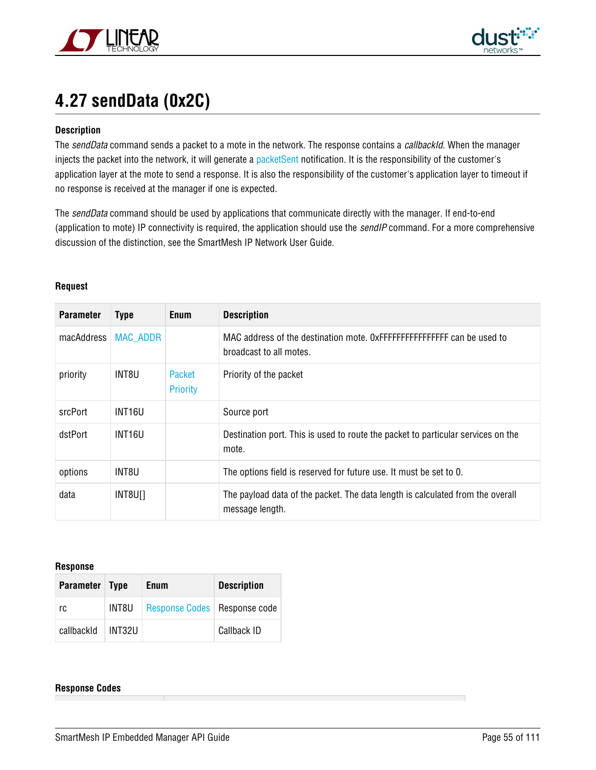



# **4.27 sendData (0x2C)**

### **Description**

The sendData command sends a packet to a mote in the network. The response contains a callbackId. When the manager injects the packet into the network, it will generate a [packetSent](#page-89-0) notification. It is the responsibility of the customer's application layer at the mote to send a response. It is also the responsibility of the customer's application layer to timeout if no response is received at the manager if one is expected.

The sendData command should be used by applications that communicate directly with the manager. If end-to-end (application to mote) IP connectivity is required, the application should use the *sendIP* command. For a more comprehensive discussion of the distinction, see the SmartMesh IP Network User Guide.

| <b>Parameter</b> | <b>Type</b>     | <b>Enum</b>               | <b>Description</b>                                                                                 |
|------------------|-----------------|---------------------------|----------------------------------------------------------------------------------------------------|
| macAddress       | <b>MAC ADDR</b> |                           | MAC address of the destination mote. 0xFFFFFFFFFFFFFFFFF can be used to<br>broadcast to all motes. |
| priority         | INT8U           | Packet<br><b>Priority</b> | Priority of the packet                                                                             |
| srcPort          | INT16U          |                           | Source port                                                                                        |
| dstPort          | INT16U          |                           | Destination port. This is used to route the packet to particular services on the<br>mote.          |
| options          | INT8U           |                           | The options field is reserved for future use. It must be set to 0.                                 |
| data             | INT8U[]         |                           | The payload data of the packet. The data length is calculated from the overall<br>message length.  |

### **Request**

#### **Response**

| Parameter Type |        | Enum                           | <b>Description</b> |
|----------------|--------|--------------------------------|--------------------|
| rc             | INT8U  | Response Codes   Response code |                    |
| callbackId     | INT32U |                                | Callback ID        |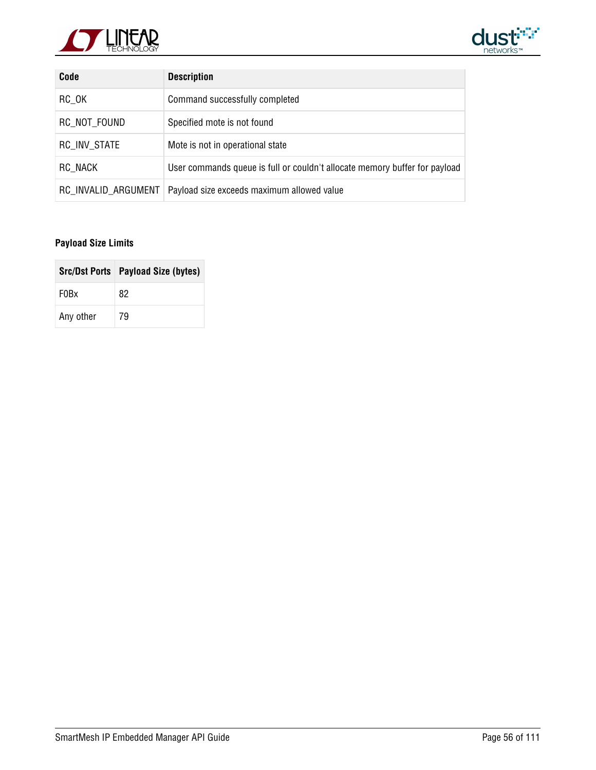



| Code                | <b>Description</b>                                                         |
|---------------------|----------------------------------------------------------------------------|
| RC OK               | Command successfully completed                                             |
| RC NOT FOUND        | Specified mote is not found                                                |
| <b>RC INV STATE</b> | Mote is not in operational state                                           |
| RC NACK             | User commands queue is full or couldn't allocate memory buffer for payload |
| RC INVALID ARGUMENT | Payload size exceeds maximum allowed value                                 |

# **Payload Size Limits**

|                               | Src/Dst Ports   Payload Size (bytes) |
|-------------------------------|--------------------------------------|
| F <sub>0</sub> B <sub>x</sub> | 82                                   |
| Any other                     | 79                                   |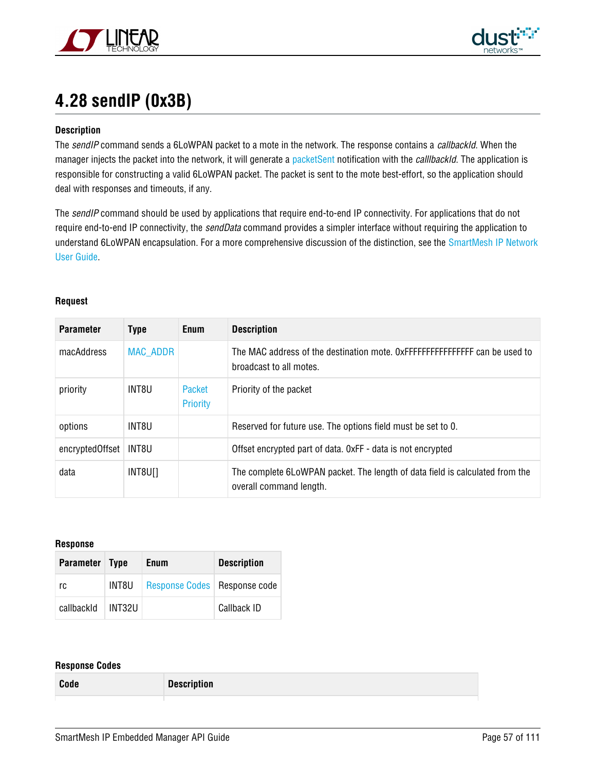



# **4.28 sendIP (0x3B)**

## **Description**

The sendIP command sends a 6LoWPAN packet to a mote in the network. The response contains a callbackId. When the manager injects the packet into the network, it will generate a [packetSent](#page-89-0) notification with the *calllbackId*. The application is responsible for constructing a valid 6LoWPAN packet. The packet is sent to the mote best-effort, so the application should deal with responses and timeouts, if any.

The sendIP command should be used by applications that require end-to-end IP connectivity. For applications that do not require end-to-end IP connectivity, the *sendData* command provides a simpler interface without requiring the application to understand 6LoWPAN encapsulation. For a more comprehensive discussion of the distinction, see the [SmartMesh IP Network](http://cds.linear.com/docs/Product%20Info/SmartMesh%20IP%20Network%20User%20Guide.pdf) [User Guide](http://cds.linear.com/docs/Product%20Info/SmartMesh%20IP%20Network%20User%20Guide.pdf).

#### **Request**

| <b>Parameter</b> | <b>Type</b>     | Enum               | <b>Description</b>                                                                                      |
|------------------|-----------------|--------------------|---------------------------------------------------------------------------------------------------------|
| macAddress       | <b>MAC ADDR</b> |                    | The MAC address of the destination mote. 0xFFFFFFFFFFFFFFFFF can be used to<br>broadcast to all motes.  |
| priority         | INT8U           | Packet<br>Priority | Priority of the packet                                                                                  |
| options          | INT8U           |                    | Reserved for future use. The options field must be set to 0.                                            |
| encryptedOffset  | INT8U           |                    | Offset encrypted part of data. OxFF - data is not encrypted                                             |
| data             | INT8U[]         |                    | The complete 6LoWPAN packet. The length of data field is calculated from the<br>overall command length. |

#### **Response**

| Parameter Type |        | Enum                           | <b>Description</b> |
|----------------|--------|--------------------------------|--------------------|
| rc             | INT8U  | Response Codes   Response code |                    |
| callbackId     | INT32U |                                | Callback ID        |

### **Response Codes**

**Code Description**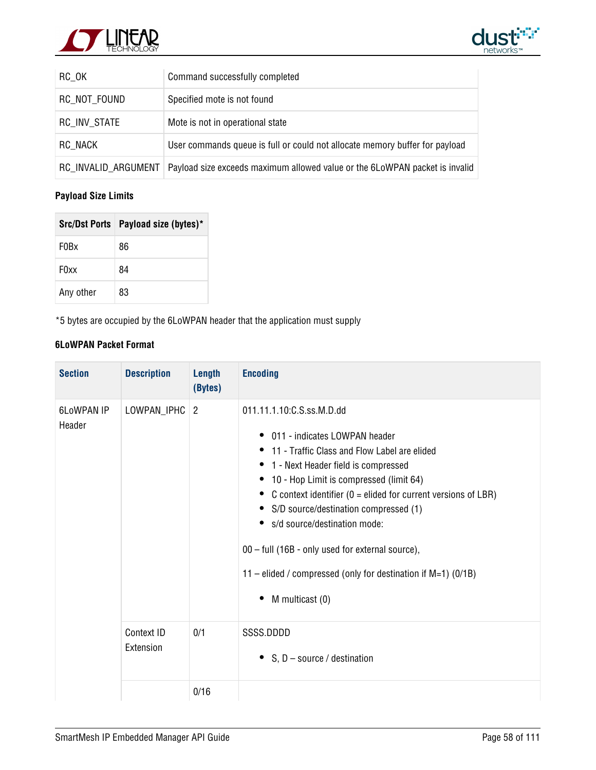



| $RC_OK$             | Command successfully completed                                              |
|---------------------|-----------------------------------------------------------------------------|
| RC NOT FOUND        | Specified mote is not found                                                 |
| RC INV STATE        | Mote is not in operational state                                            |
| RC NACK             | User commands queue is full or could not allocate memory buffer for payload |
| RC INVALID ARGUMENT | Payload size exceeds maximum allowed value or the 6LoWPAN packet is invalid |

# **Payload Size Limits**

|                               | Src/Dst Ports   Payload size (bytes)* |
|-------------------------------|---------------------------------------|
| F <sub>0</sub> B <sub>x</sub> | 86                                    |
| F <sub>0</sub> xx             | 84                                    |
| Any other                     | 83                                    |

\*5 bytes are occupied by the 6LoWPAN header that the application must supply

# **6LoWPAN Packet Format**

| <b>Section</b>              | <b>Description</b>      | Length<br>(Bytes) | <b>Encoding</b>                                                                                                                                                                                                                                                                                                                                                                                                                                                                                                        |
|-----------------------------|-------------------------|-------------------|------------------------------------------------------------------------------------------------------------------------------------------------------------------------------------------------------------------------------------------------------------------------------------------------------------------------------------------------------------------------------------------------------------------------------------------------------------------------------------------------------------------------|
| <b>6LoWPAN IP</b><br>Header | LOWPAN_IPHC             | $\overline{2}$    | 011.11.1.10: C.S.ss. M.D.dd<br>011 - indicates I OWPAN header<br>٠<br>11 - Traffic Class and Flow Label are elided<br>1 - Next Header field is compressed<br>$\bullet$<br>10 - Hop Limit is compressed (limit 64)<br>C context identifier ( $0 =$ elided for current versions of LBR)<br>S/D source/destination compressed (1)<br>s/d source/destination mode:<br>00 - full (16B - only used for external source),<br>11 – elided / compressed (only for destination if $M=1$ ) (0/1B)<br>M multicast (0)<br>$\bullet$ |
|                             | Context ID<br>Extension | 0/1               | SSSS.DDDD<br>• $S, D$ – source / destination                                                                                                                                                                                                                                                                                                                                                                                                                                                                           |
|                             |                         | 0/16              |                                                                                                                                                                                                                                                                                                                                                                                                                                                                                                                        |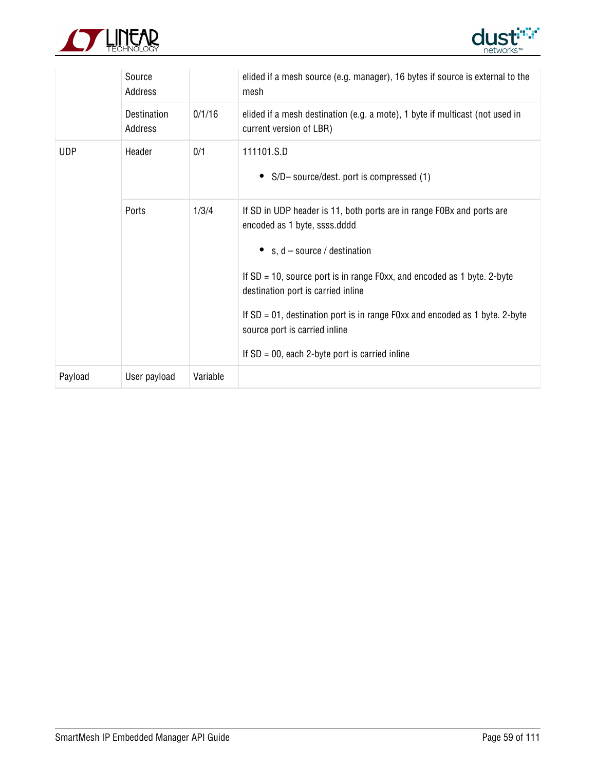



|                | Source<br>Address      |          | elided if a mesh source (e.g. manager), 16 bytes if source is external to the<br>mesh                                                                                                                                                                                                                                                                                                                                                |  |
|----------------|------------------------|----------|--------------------------------------------------------------------------------------------------------------------------------------------------------------------------------------------------------------------------------------------------------------------------------------------------------------------------------------------------------------------------------------------------------------------------------------|--|
|                | Destination<br>Address | 0/1/16   | elided if a mesh destination (e.g. a mote), 1 byte if multicast (not used in<br>current version of LBR)                                                                                                                                                                                                                                                                                                                              |  |
| <b>UDP</b>     | Header                 | 0/1      | 111101.S.D<br>S/D-source/dest. port is compressed (1)                                                                                                                                                                                                                                                                                                                                                                                |  |
| 1/3/4<br>Ports |                        |          | If SD in UDP header is 11, both ports are in range FOBx and ports are<br>encoded as 1 byte, ssss.dddd<br>• $s, d$ – source / destination<br>If $SD = 10$ , source port is in range F0xx, and encoded as 1 byte. 2-byte<br>destination port is carried inline<br>If $SD = 01$ , destination port is in range F0xx and encoded as 1 byte. 2-byte<br>source port is carried inline<br>If $SD = 00$ , each 2-byte port is carried inline |  |
| Payload        | User payload           | Variable |                                                                                                                                                                                                                                                                                                                                                                                                                                      |  |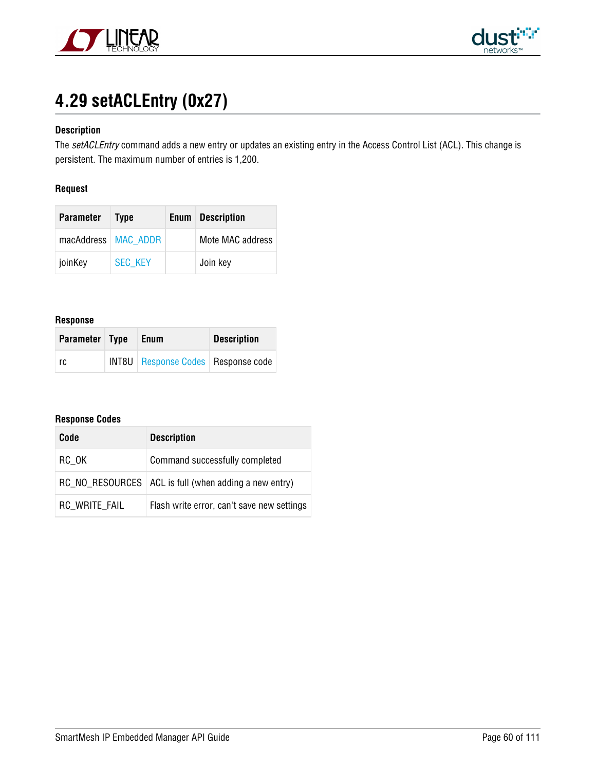



# **4.29 setACLEntry (0x27)**

# **Description**

The setACLEntry command adds a new entry or updates an existing entry in the Access Control List (ACL). This change is persistent. The maximum number of entries is 1,200.

### **Request**

| <b>Parameter</b>      | <b>Type</b>    | <b>Enum</b> Description |
|-----------------------|----------------|-------------------------|
| macAddress   MAC_ADDR |                | Mote MAC address        |
| joinKey               | <b>SEC KEY</b> | Join key                |

#### **Response**

| Parameter Type | Enum                                   | <b>Description</b> |
|----------------|----------------------------------------|--------------------|
| rc             | INT8U   Response Codes   Response code |                    |

| Code          | <b>Description</b>                                      |
|---------------|---------------------------------------------------------|
| RC OK         | Command successfully completed                          |
|               | RC_NO_RESOURCES   ACL is full (when adding a new entry) |
| RC WRITE FAIL | Flash write error, can't save new settings              |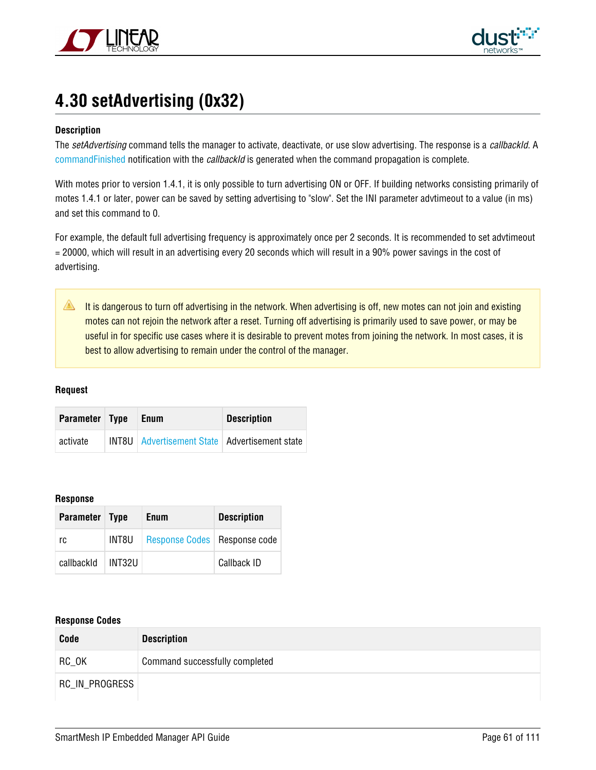



# **4.30 setAdvertising (0x32)**

### **Description**

The setAdvertising command tells the manager to activate, deactivate, or use slow advertising. The response is a callbackId. A [commandFinished](#page-77-0) notification with the callbackId is generated when the command propagation is complete.

With motes prior to version 1.4.1, it is only possible to turn advertising ON or OFF. If building networks consisting primarily of motes 1.4.1 or later, power can be saved by setting advertising to "slow". Set the INI parameter advtimeout to a value (in ms) and set this command to 0.

For example, the default full advertising frequency is approximately once per 2 seconds. It is recommended to set advtimeout = 20000, which will result in an advertising every 20 seconds which will result in a 90% power savings in the cost of advertising.

It is dangerous to turn off advertising in the network. When advertising is off, new motes can not join and existing motes can not rejoin the network after a reset. Turning off advertising is primarily used to save power, or may be useful in for specific use cases where it is desirable to prevent motes from joining the network. In most cases, it is best to allow advertising to remain under the control of the manager.

### **Request**

| Parameter Type | Enum                                              | <b>Description</b> |
|----------------|---------------------------------------------------|--------------------|
| activate       | INT8U   Advertisement State   Advertisement state |                    |

#### **Response**

| Parameter Type |        | <b>Enum</b>                    | <b>Description</b> |
|----------------|--------|--------------------------------|--------------------|
| rc             | INT8U  | Response Codes   Response code |                    |
| callbackId     | INT32U |                                | Callback ID        |

| Code           | <b>Description</b>             |
|----------------|--------------------------------|
| RC OK          | Command successfully completed |
| RC_IN_PROGRESS |                                |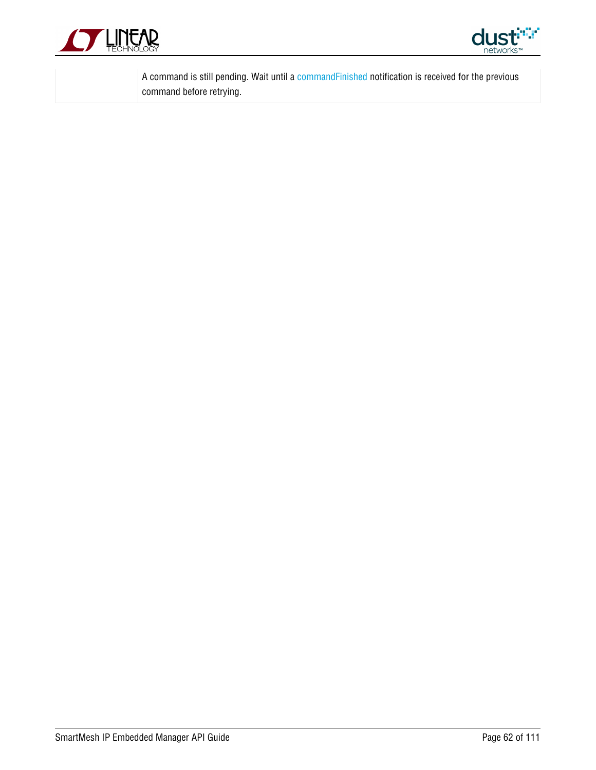



A command is still pending. Wait until a [commandFinished](#page-77-0) notification is received for the previous command before retrying.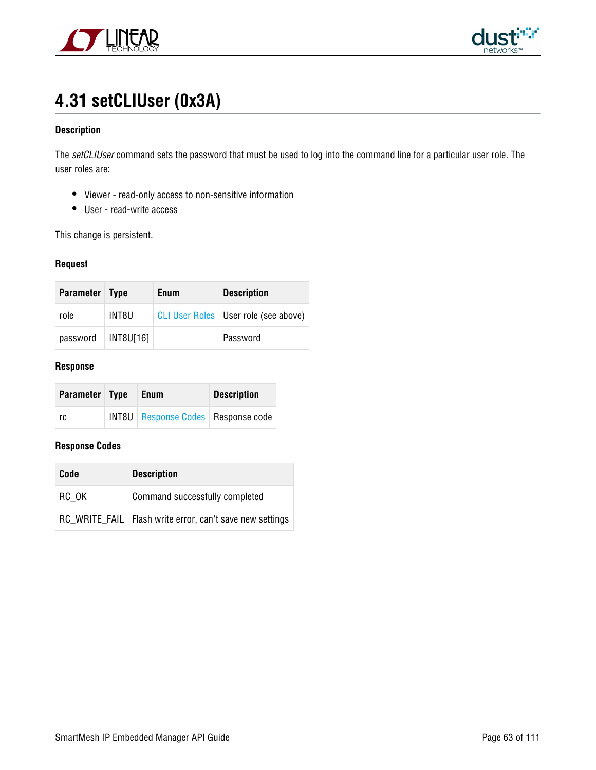



# **4.31 setCLIUser (0x3A)**

## **Description**

The setCLIUser command sets the password that must be used to log into the command line for a particular user role. The user roles are:

- Viewer read-only access to non-sensitive information
- User read-write access

This change is persistent.

#### **Request**

| Parameter Type |           | <b>Enum</b> | <b>Description</b>                     |
|----------------|-----------|-------------|----------------------------------------|
| role           | INT8U     |             | CLI User Roles   User role (see above) |
| password       | INT8U[16] |             | Password                               |

#### **Response**

| <b>Parameter Type</b> | Enum                                        | <b>Description</b> |
|-----------------------|---------------------------------------------|--------------------|
| rc                    | <b>INT8U</b> Response Codes   Response code |                    |

| Code  | <b>Description</b>                                         |  |
|-------|------------------------------------------------------------|--|
| RC OK | Command successfully completed                             |  |
|       | RC WRITE FAIL   Flash write error, can't save new settings |  |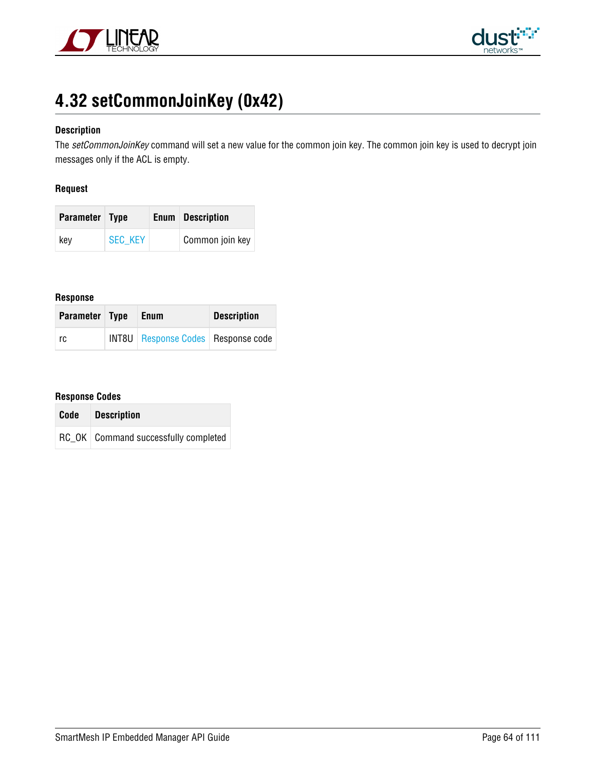



# **4.32 setCommonJoinKey (0x42)**

## **Description**

The setCommonJoinKey command will set a new value for the common join key. The common join key is used to decrypt join messages only if the ACL is empty.

### **Request**

| Parameter Type |                | <b>Enum</b> Description |
|----------------|----------------|-------------------------|
| key            | <b>SEC KEY</b> | Common join key         |

# **Response**

| Parameter Type | Enum                                        | <b>Description</b> |  |
|----------------|---------------------------------------------|--------------------|--|
| rc             | <b>INT8U</b> Response Codes   Response code |                    |  |

| Code | <b>Description</b>                     |  |
|------|----------------------------------------|--|
|      | RC OK   Command successfully completed |  |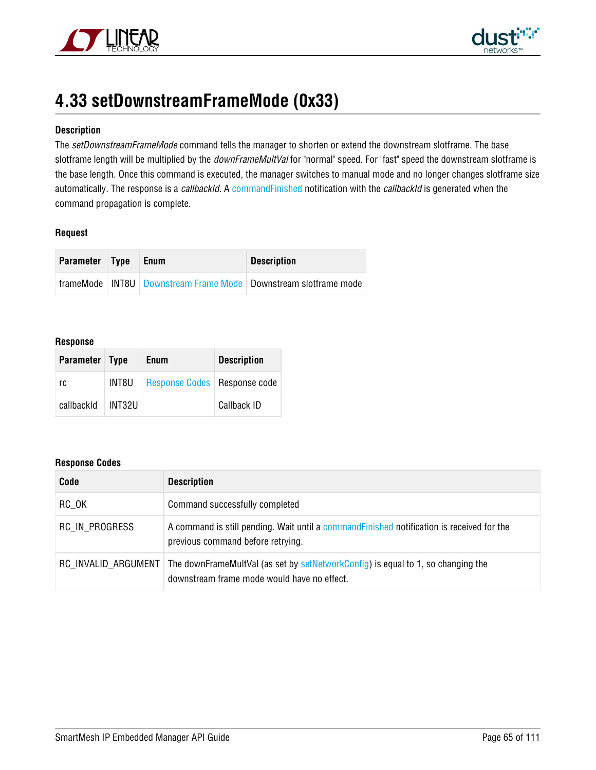



# **4.33 setDownstreamFrameMode (0x33)**

## **Description**

The setDownstreamFrameMode command tells the manager to shorten or extend the downstream slotframe. The base slotframe length will be multiplied by the *downFrameMultVal* for "normal" speed. For "fast" speed the downstream slotframe is the base length. Once this command is executed, the manager switches to manual mode and no longer changes slotframe size automatically. The response is a callbackId. A [commandFinished](#page-77-0) notification with the callbackId is generated when the command propagation is complete.

### **Request**

| Parameter Type | <b>Enum</b> | <b>Description</b>                                                    |  |
|----------------|-------------|-----------------------------------------------------------------------|--|
|                |             | frameMode   INT8U   Downstream Frame Mode   Downstream slotframe mode |  |

#### **Response**

| Parameter Type |        | <b>Enum</b>                    | <b>Description</b> |
|----------------|--------|--------------------------------|--------------------|
| rc             | INT8U  | Response Codes   Response code |                    |
| callbackId     | HNT32U |                                | Callback ID        |

| Code                | <b>Description</b>                                                                                                              |
|---------------------|---------------------------------------------------------------------------------------------------------------------------------|
| RC OK               | Command successfully completed                                                                                                  |
| RC IN PROGRESS      | A command is still pending. Wait until a command Finished notification is received for the<br>previous command before retrying. |
| RC_INVALID_ARGUMENT | The downFrameMultVal (as set by setNetworkConfig) is equal to 1, so changing the<br>downstream frame mode would have no effect. |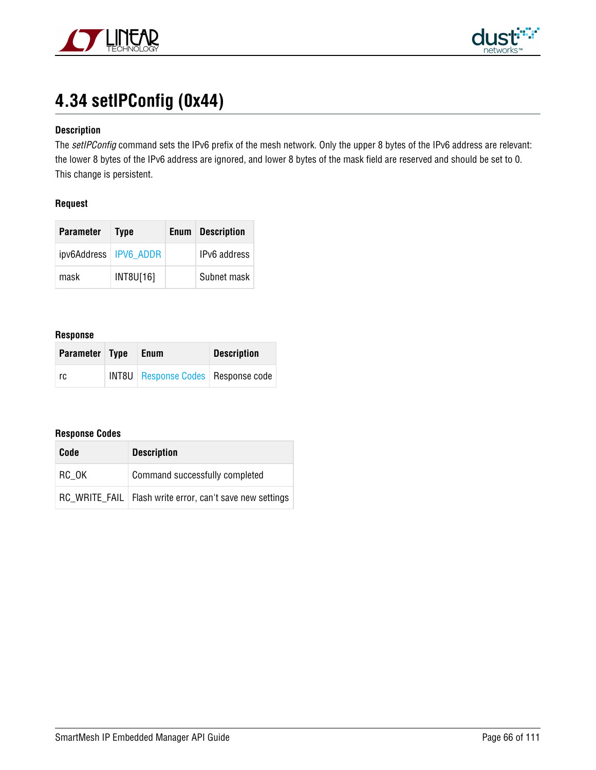



# **4.34 setIPConfig (0x44)**

# **Description**

The setIPConfig command sets the IPv6 prefix of the mesh network. Only the upper 8 bytes of the IPv6 address are relevant: the lower 8 bytes of the IPv6 address are ignored, and lower 8 bytes of the mask field are reserved and should be set to 0. This change is persistent.

### **Request**

| <b>Parameter</b>        | <b>Type</b> | <b>Enum</b> Description |
|-------------------------|-------------|-------------------------|
| ipv6Address   IPV6 ADDR |             | IPv6 address            |
| mask                    | INT8U[16]   | Subnet mask             |

#### **Response**

| Parameter Type | Enum                                        | <b>Description</b> |  |
|----------------|---------------------------------------------|--------------------|--|
| rc.            | <b>INT8U</b> Response Codes   Response code |                    |  |

| Code  | <b>Description</b>                                         |
|-------|------------------------------------------------------------|
| RC OK | Command successfully completed                             |
|       | RC WRITE FAIL   Flash write error, can't save new settings |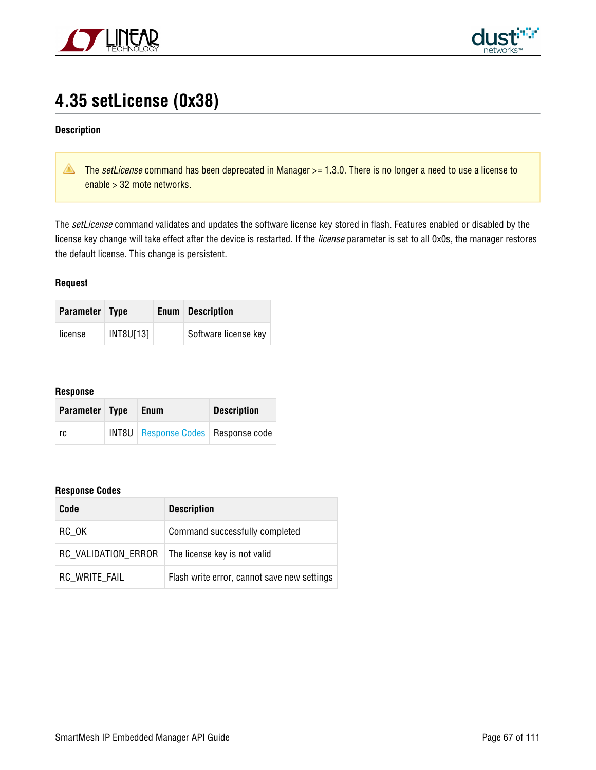



# **4.35 setLicense (0x38)**

### **Description**

The setLicense command has been deprecated in Manager > = 1.3.0. There is no longer a need to use a license to enable > 32 mote networks.

The setLicense command validates and updates the software license key stored in flash. Features enabled or disabled by the license key change will take effect after the device is restarted. If the license parameter is set to all 0x0s, the manager restores the default license. This change is persistent.

### **Request**

| <b>Parameter Type</b> |           | <b>Enum</b> Description |
|-----------------------|-----------|-------------------------|
| license               | INT8U[13] | Software license key    |

#### **Response**

| Parameter Type | Enum                                        | <b>Description</b> |
|----------------|---------------------------------------------|--------------------|
| rc             | <b>INT8U</b> Response Codes   Response code |                    |

| Code                | <b>Description</b>                          |
|---------------------|---------------------------------------------|
| RC OK               | Command successfully completed              |
| RC VALIDATION ERROR | The license key is not valid                |
| RC WRITE FAIL       | Flash write error, cannot save new settings |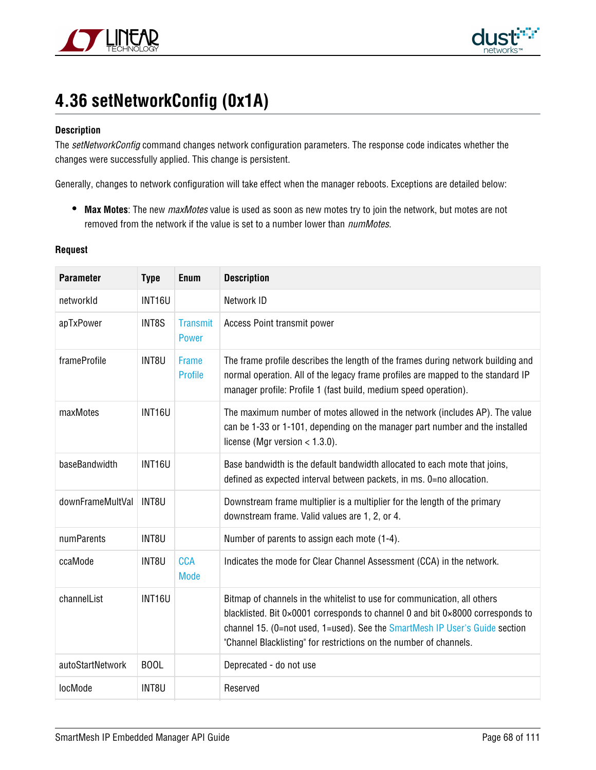



# <span id="page-67-0"></span>**4.36 setNetworkConfig (0x1A)**

### **Description**

The setNetworkConfig command changes network configuration parameters. The response code indicates whether the changes were successfully applied. This change is persistent.

Generally, changes to network configuration will take effect when the manager reboots. Exceptions are detailed below:

**Max Motes**: The new maxMotes value is used as soon as new motes try to join the network, but motes are not removed from the network if the value is set to a number lower than *numMotes*.

#### **Request**

| <b>Parameter</b> | <b>Type</b>   | Enum                            | <b>Description</b>                                                                                                                                                                                                                                                                                              |
|------------------|---------------|---------------------------------|-----------------------------------------------------------------------------------------------------------------------------------------------------------------------------------------------------------------------------------------------------------------------------------------------------------------|
| networkId        | <b>INT16U</b> |                                 | Network ID                                                                                                                                                                                                                                                                                                      |
| apTxPower        | INT8S         | <b>Transmit</b><br><b>Power</b> | Access Point transmit power                                                                                                                                                                                                                                                                                     |
| frameProfile     | INT8U         | Frame<br><b>Profile</b>         | The frame profile describes the length of the frames during network building and<br>normal operation. All of the legacy frame profiles are mapped to the standard IP<br>manager profile: Profile 1 (fast build, medium speed operation).                                                                        |
| maxMotes         | <b>INT16U</b> |                                 | The maximum number of motes allowed in the network (includes AP). The value<br>can be 1-33 or 1-101, depending on the manager part number and the installed<br>license (Mgr version $<$ 1.3.0).                                                                                                                 |
| baseBandwidth    | <b>INT16U</b> |                                 | Base bandwidth is the default bandwidth allocated to each mote that joins,<br>defined as expected interval between packets, in ms. 0=no allocation.                                                                                                                                                             |
| downFrameMultVal | INT8U         |                                 | Downstream frame multiplier is a multiplier for the length of the primary<br>downstream frame. Valid values are 1, 2, or 4.                                                                                                                                                                                     |
| numParents       | INT8U         |                                 | Number of parents to assign each mote (1-4).                                                                                                                                                                                                                                                                    |
| ccaMode          | INT8U         | <b>CCA</b><br><b>Mode</b>       | Indicates the mode for Clear Channel Assessment (CCA) in the network.                                                                                                                                                                                                                                           |
| channelList      | <b>INT16U</b> |                                 | Bitmap of channels in the whitelist to use for communication, all others<br>blacklisted. Bit 0×0001 corresponds to channel 0 and bit 0×8000 corresponds to<br>channel 15. (0=not used, 1=used). See the SmartMesh IP User's Guide section<br>"Channel Blacklisting" for restrictions on the number of channels. |
| autoStartNetwork | <b>BOOL</b>   |                                 | Deprecated - do not use                                                                                                                                                                                                                                                                                         |
| locMode          | INT8U         |                                 | Reserved                                                                                                                                                                                                                                                                                                        |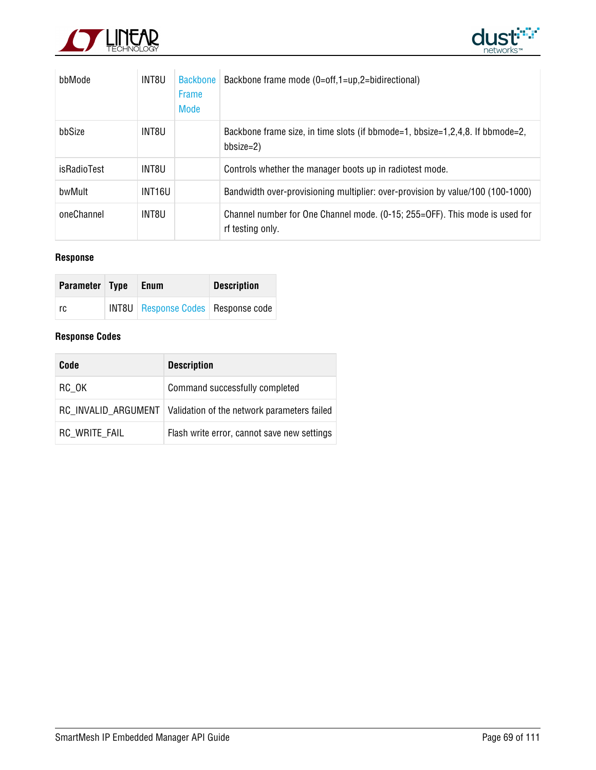



| bbMode      | INT8U              | <b>Backbone</b><br><b>Frame</b><br>Mode | Backbone frame mode (0=off,1=up,2=bidirectional)                                                |
|-------------|--------------------|-----------------------------------------|-------------------------------------------------------------------------------------------------|
| bbSize      | INT8U              |                                         | Backbone frame size, in time slots (if bbmode=1, bbsize=1,2,4,8. If bbmode=2,<br>bbsize=2)      |
| isRadioTest | INT8U              |                                         | Controls whether the manager boots up in radiotest mode.                                        |
| bwMult      | INT <sub>16U</sub> |                                         | Bandwidth over-provisioning multiplier: over-provision by value/100 (100-1000)                  |
| oneChannel  | INT8U              |                                         | Channel number for One Channel mode. (0-15; 255=OFF). This mode is used for<br>rf testing only. |

# **Response**

| Parameter Type | Enum                                        | <b>Description</b> |
|----------------|---------------------------------------------|--------------------|
| rc             | <b>INT8U</b> Response Codes   Response code |                    |

| Code          | <b>Description</b>                                                |
|---------------|-------------------------------------------------------------------|
| RC OK         | Command successfully completed                                    |
|               | RC INVALID ARGUMENT   Validation of the network parameters failed |
| RC_WRITE_FAIL | Flash write error, cannot save new settings                       |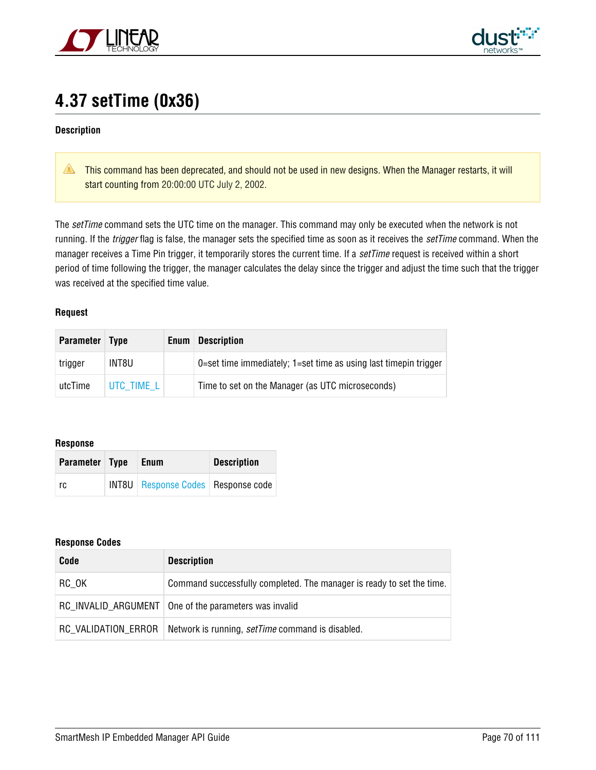



# **4.37 setTime (0x36)**

### **Description**

**This command has been deprecated, and should not be used in new designs. When the Manager restarts, it will** start counting from 20:00:00 UTC July 2, 2002.

The setTime command sets the UTC time on the manager. This command may only be executed when the network is not running. If the *trigger* flag is false, the manager sets the specified time as soon as it receives the *setTime* command. When the manager receives a Time Pin trigger, it temporarily stores the current time. If a setTime request is received within a short period of time following the trigger, the manager calculates the delay since the trigger and adjust the time such that the trigger was received at the specified time value.

#### **Request**

| <b>Parameter</b> | <b>Type</b> | Enum | <b>Description</b>                                               |
|------------------|-------------|------|------------------------------------------------------------------|
| trigger          | INT8U       |      | 0=set time immediately; 1=set time as using last timepin trigger |
| utcTime          | UTC TIME L  |      | Time to set on the Manager (as UTC microseconds)                 |

### **Response**

| Parameter Type | Enum                                        | <b>Description</b> |
|----------------|---------------------------------------------|--------------------|
| rc             | <b>INT8U</b> Response Codes   Response code |                    |

| Code                | <b>Description</b>                                                    |
|---------------------|-----------------------------------------------------------------------|
| RC_OK               | Command successfully completed. The manager is ready to set the time. |
|                     | RC_INVALID_ARGUMENT   One of the parameters was invalid               |
| RC VALIDATION ERROR | Network is running, <i>setTime</i> command is disabled.               |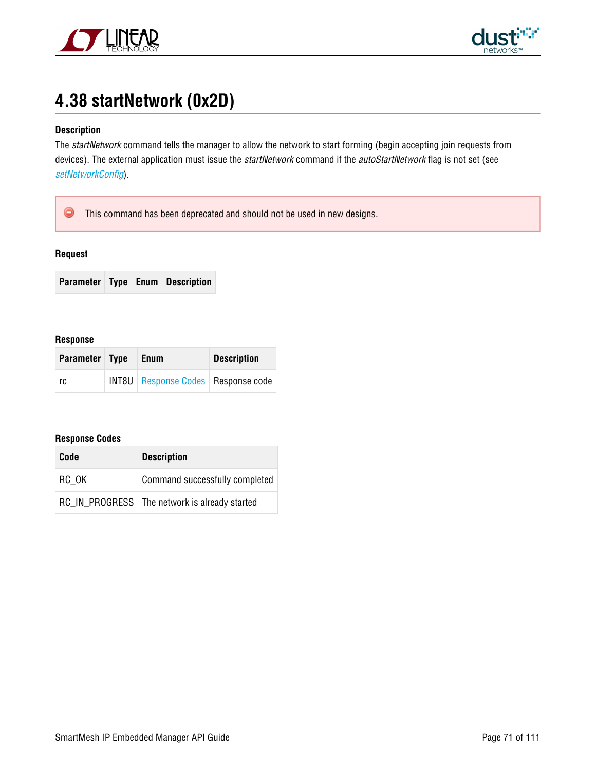



# **4.38 startNetwork (0x2D)**

# **Description**

The startNetwork command tells the manager to allow the network to start forming (begin accepting join requests from devices). The external application must issue the startNetwork command if the autoStartNetwork flag is not set (see [setNetworkConfig](#page-67-0)).

 $\bullet$ This command has been deprecated and should not be used in new designs.

### **Request**

**Parameter Type Enum Description**

#### **Response**

| Parameter Type | <b>Enum</b>                                 | <b>Description</b> |
|----------------|---------------------------------------------|--------------------|
| rc             | <b>INT8U</b> Response Codes   Response code |                    |

| Code  | <b>Description</b>                              |
|-------|-------------------------------------------------|
| RC OK | Command successfully completed                  |
|       | RC IN PROGRESS   The network is already started |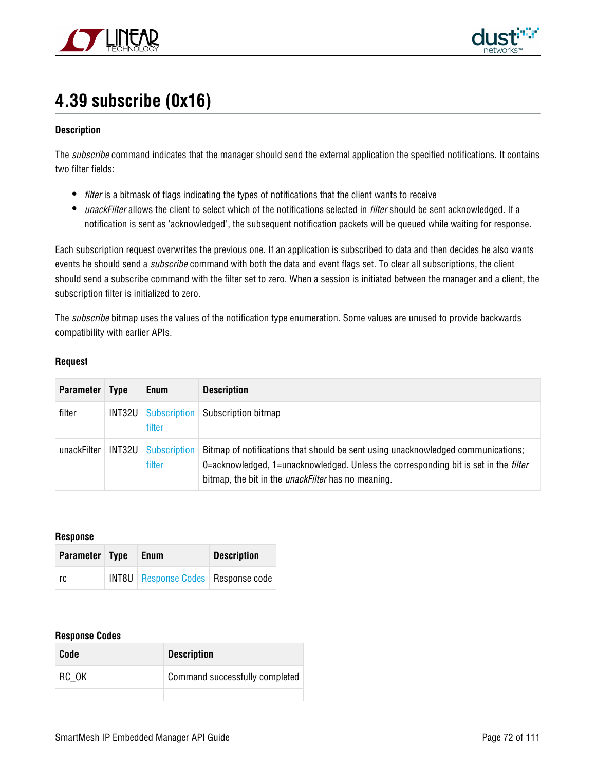



# **4.39 subscribe (0x16)**

## **Description**

The subscribe command indicates that the manager should send the external application the specified notifications. It contains two filter fields:

- *filter* is a bitmask of flags indicating the types of notifications that the client wants to receive
- unackFilter allows the client to select which of the notifications selected in filter should be sent acknowledged. If a notification is sent as 'acknowledged', the subsequent notification packets will be queued while waiting for response.

Each subscription request overwrites the previous one. If an application is subscribed to data and then decides he also wants events he should send a *subscribe* command with both the data and event flags set. To clear all subscriptions, the client should send a subscribe command with the filter set to zero. When a session is initiated between the manager and a client, the subscription filter is initialized to zero.

The *subscribe* bitmap uses the values of the notification type enumeration. Some values are unused to provide backwards compatibility with earlier APIs.

### **Request**

| <b>Parameter</b> | Type   | <b>Enum</b>            | <b>Description</b>                                                                                                                                                                                                                          |
|------------------|--------|------------------------|---------------------------------------------------------------------------------------------------------------------------------------------------------------------------------------------------------------------------------------------|
| filter           |        | filter                 | <b>INT32U</b> Subscription Subscription bitmap                                                                                                                                                                                              |
| unackFilter      | INT32U | Subscription<br>filter | Bitmap of notifications that should be sent using unacknowledged communications;<br>0=acknowledged, 1=unacknowledged. Unless the corresponding bit is set in the <i>filter</i><br>bitmap, the bit in the <i>unackFilter</i> has no meaning. |

**Response**

| Parameter Type | Enum                                   | <b>Description</b> |
|----------------|----------------------------------------|--------------------|
| ∣rc            | INT8U   Response Codes   Response code |                    |

| Code  | <b>Description</b>             |
|-------|--------------------------------|
| RC OK | Command successfully completed |
|       |                                |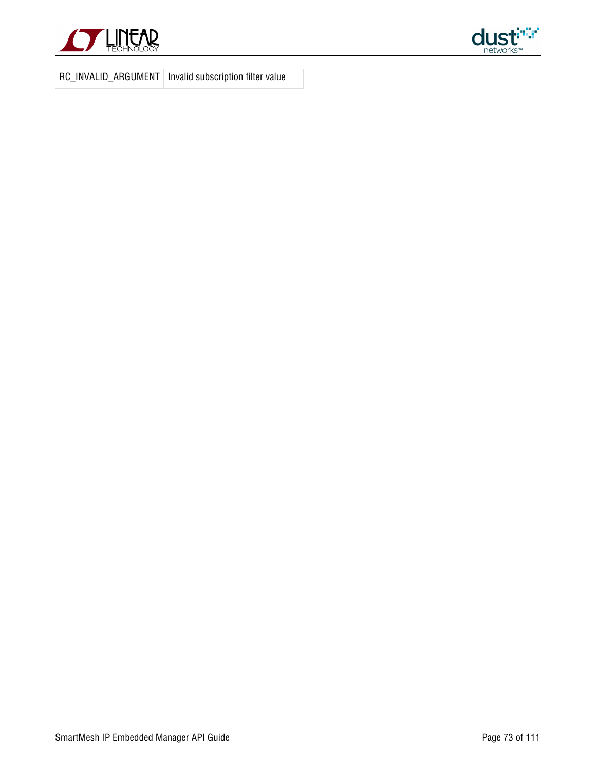



RC\_INVALID\_ARGUMENT | Invalid subscription filter value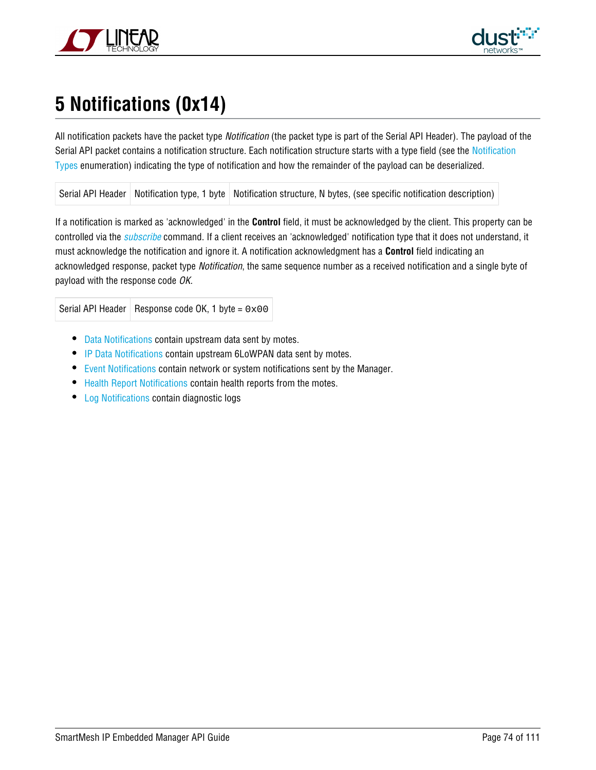



# <span id="page-73-0"></span>**5 Notifications (0x14)**

All notification packets have the packet type Notification (the packet type is part of the Serial API Header). The payload of the Serial API packet contains a notification structure. Each notification structure starts with a type field (see the [Notification](#page-101-0) [Types](#page-101-0) enumeration) indicating the type of notification and how the remainder of the payload can be deserialized.

Serial API Header | Notification type, 1 byte | Notification structure, N bytes, (see specific notification description)

If a notification is marked as 'acknowledged' in the **Control** field, it must be acknowledged by the client. This property can be controlled via the *[subscribe](#page-71-0)* command. If a client receives an 'acknowledged' notification type that it does not understand, it must acknowledge the notification and ignore it. A notification acknowledgment has a **Control** field indicating an acknowledged response, packet type Notification, the same sequence number as a received notification and a single byte of payload with the response code OK.

Serial API Header | Response code OK, 1 byte =  $0 \times 00$ 

- [Data Notifications](#page-75-0) contain upstream data sent by motes.
- [IP Data Notifications c](#page-96-0)ontain upstream 6LoWPAN data sent by motes.
- **E**vent Notifications contain network or system notifications sent by the Manager.
- [Health Report Notifications](#page-92-0) contain health reports from the motes.
- [Log Notifications](#page-98-0) contain diagnostic logs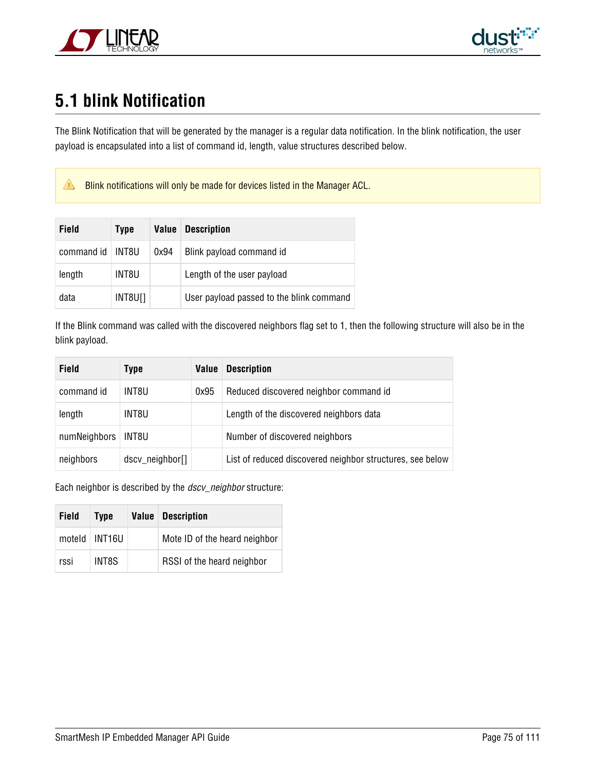



## **5.1 blink Notification**

The Blink Notification that will be generated by the manager is a regular data notification. In the blink notification, the user payload is encapsulated into a list of command id, length, value structures described below.

**Blink notifications will only be made for devices listed in the Manager ACL.** 

| Field      | Type    | Value | <b>Description</b>                       |
|------------|---------|-------|------------------------------------------|
| command id | INT8U   | 0x94  | Blink payload command id                 |
| length     | INT8U   |       | Length of the user payload               |
| data       | INT8U[] |       | User payload passed to the blink command |

If the Blink command was called with the discovered neighbors flag set to 1, then the following structure will also be in the blink payload.

| Field        | Type            | <b>Value</b> | <b>Description</b>                                        |
|--------------|-----------------|--------------|-----------------------------------------------------------|
| command id   | INT8U           | 0x95         | Reduced discovered neighbor command id                    |
| length       | INT8U           |              | Length of the discovered neighbors data                   |
| numNeighbors | INT8U           |              | Number of discovered neighbors                            |
| neighbors    | dscv_neighbor[] |              | List of reduced discovered neighbor structures, see below |

Each neighbor is described by the *dscv\_neighbor* structure:

| <b>Field</b> | <b>Type</b>     | <b>Value Description</b>      |
|--------------|-----------------|-------------------------------|
|              | moteld   INT16U | Mote ID of the heard neighbor |
| rssi         | INT8S           | RSSI of the heard neighbor    |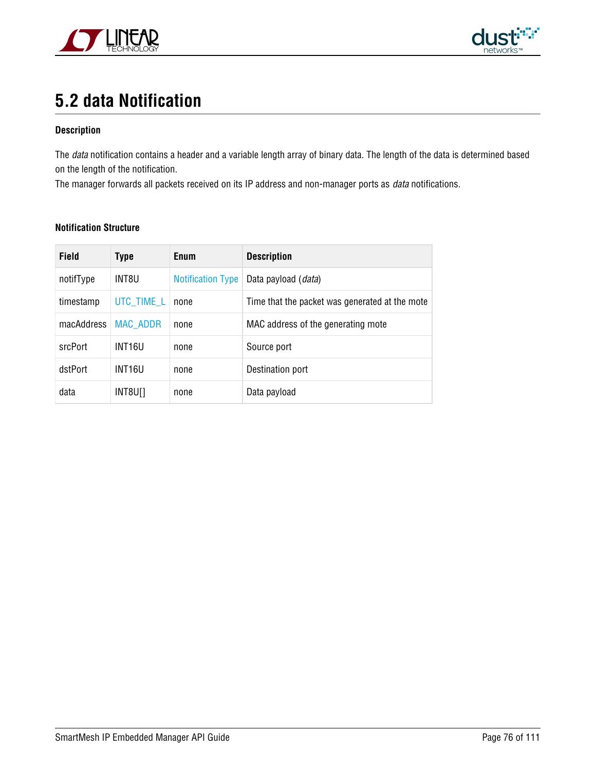



## <span id="page-75-0"></span>**5.2 data Notification**

#### **Description**

The *data* notification contains a header and a variable length array of binary data. The length of the data is determined based on the length of the notification.

The manager forwards all packets received on its IP address and non-manager ports as *data* notifications.

| <b>Field</b> | Type               | Enum                     | <b>Description</b>                             |  |
|--------------|--------------------|--------------------------|------------------------------------------------|--|
| notifType    | INT8U              | <b>Notification Type</b> | Data payload ( <i>data</i> )                   |  |
| timestamp    | UTC TIME L         | none                     | Time that the packet was generated at the mote |  |
| macAddress   | <b>MAC ADDR</b>    | none                     | MAC address of the generating mote             |  |
| srcPort      | INT <sub>16U</sub> | none                     | Source port                                    |  |
| dstPort      | INT16U             | none                     | Destination port                               |  |
| data         | INT8U[]            | none                     | Data payload                                   |  |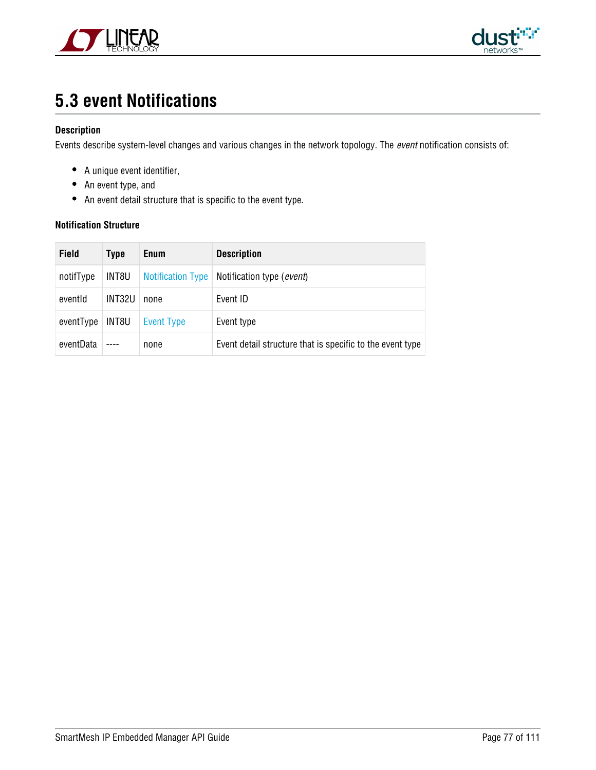



### <span id="page-76-0"></span>**5.3 event Notifications**

#### **Description**

Events describe system-level changes and various changes in the network topology. The event notification consists of:

- A unique event identifier,
- An event type, and
- An event detail structure that is specific to the event type.

| <b>Field</b> | Type   | <b>Enum</b>              | <b>Description</b>                                        |
|--------------|--------|--------------------------|-----------------------------------------------------------|
| notifType    | INT8U  | <b>Notification Type</b> | Notification type (event)                                 |
| eventid      | INT32U | none                     | Event ID                                                  |
| eventType    | INT8U  | Event Type               | Event type                                                |
| eventData    |        | none                     | Event detail structure that is specific to the event type |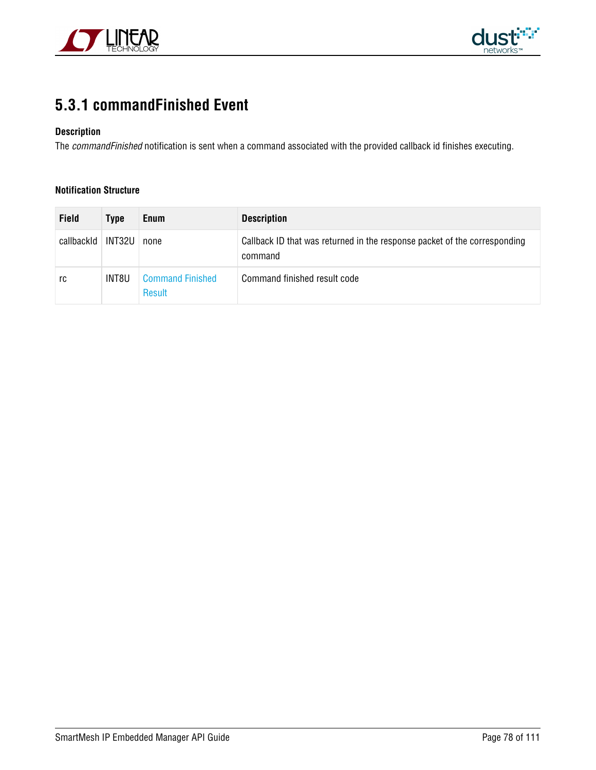



### <span id="page-77-0"></span>**5.3.1 commandFinished Event**

#### **Description**

The commandFinished notification is sent when a command associated with the provided callback id finishes executing.

| Field      | <b>Type</b> | <b>Enum</b>                       | <b>Description</b>                                                                   |
|------------|-------------|-----------------------------------|--------------------------------------------------------------------------------------|
| callbackId | INT32U I    | none                              | Callback ID that was returned in the response packet of the corresponding<br>command |
| rc         | INT8U       | <b>Command Finished</b><br>Result | Command finished result code                                                         |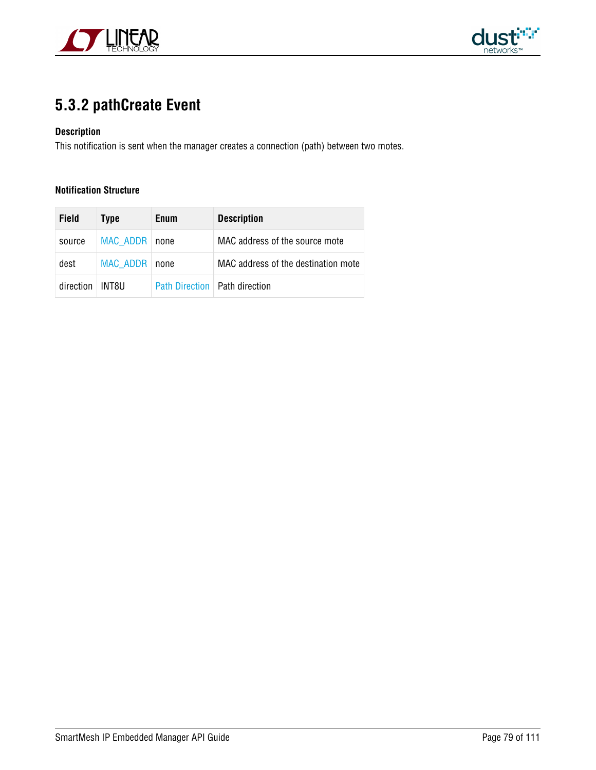



### <span id="page-78-0"></span>**5.3.2 pathCreate Event**

#### **Description**

This notification is sent when the manager creates a connection (path) between two motes.

| <b>Field</b> | <b>Type</b>     | <b>Enum</b>                     | <b>Description</b>                  |  |
|--------------|-----------------|---------------------------------|-------------------------------------|--|
| source       | <b>MAC ADDR</b> | none                            | MAC address of the source mote      |  |
| dest         | <b>MAC ADDR</b> | none                            | MAC address of the destination mote |  |
| direction    | INT8U.          | Path Direction   Path direction |                                     |  |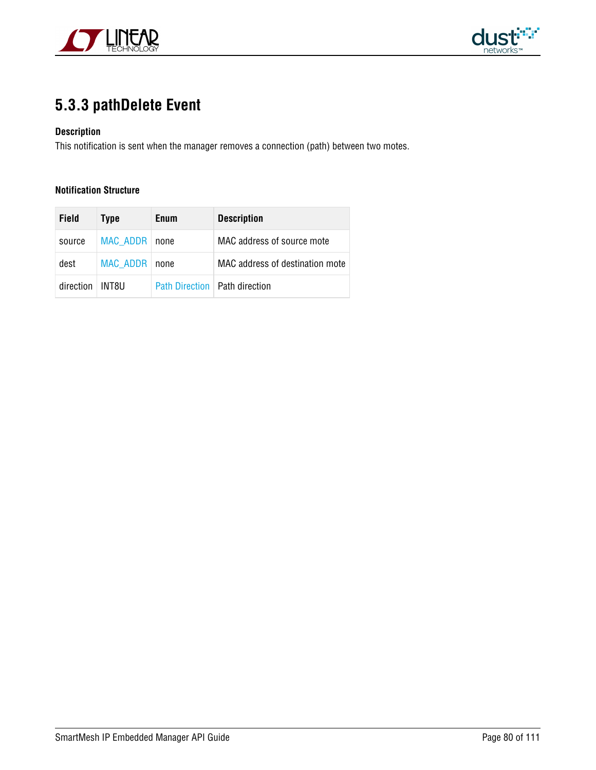



### <span id="page-79-0"></span>**5.3.3 pathDelete Event**

#### **Description**

This notification is sent when the manager removes a connection (path) between two motes.

| <b>Field</b> | Type     | <b>Enum</b>           | <b>Description</b>              |
|--------------|----------|-----------------------|---------------------------------|
| source       | MAC ADDR | none                  | MAC address of source mote      |
| dest         | MAC ADDR | none                  | MAC address of destination mote |
| direction    | INT8LI   | <b>Path Direction</b> | ⊟ Path direction                |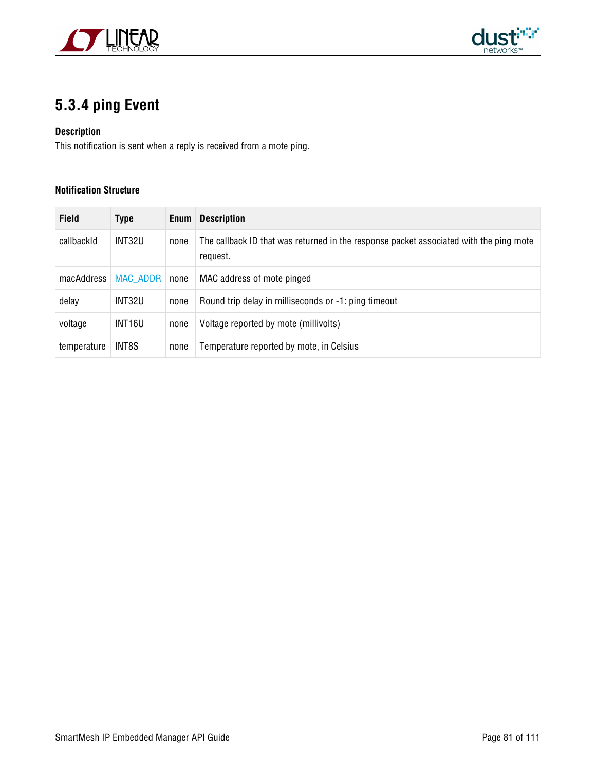



### <span id="page-80-0"></span>**5.3.4 ping Event**

#### **Description**

This notification is sent when a reply is received from a mote ping.

| <b>Field</b> | <b>Type</b> | Enum | <b>Description</b>                                                                                 |
|--------------|-------------|------|----------------------------------------------------------------------------------------------------|
| callbackId   | INT32U      | none | The callback ID that was returned in the response packet associated with the ping mote<br>request. |
| macAddress   | MAC ADDR    | none | MAC address of mote pinged                                                                         |
| delay        | INT32U      | none | Round trip delay in milliseconds or -1: ping timeout                                               |
| voltage      | INT16U      | none | Voltage reported by mote (millivolts)                                                              |
| temperature  | INT8S       | none | Temperature reported by mote, in Celsius                                                           |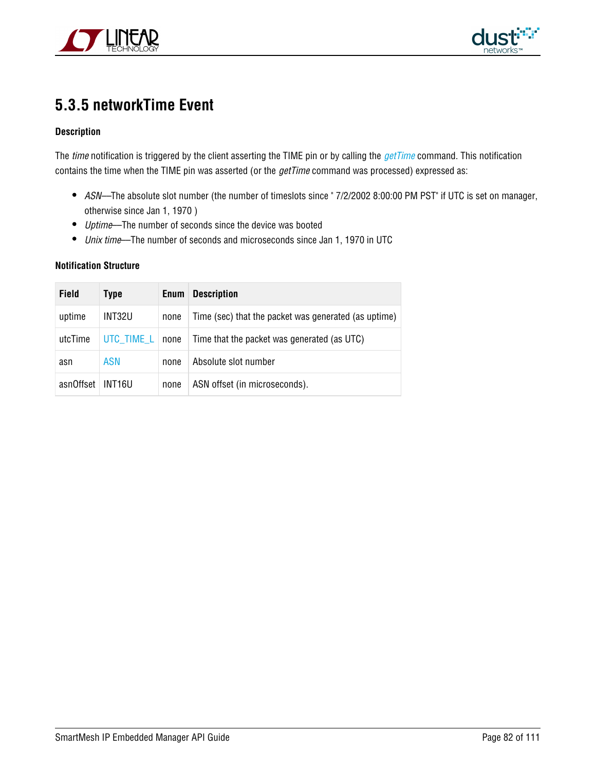



### <span id="page-81-0"></span>**5.3.5 networkTime Event**

#### **Description**

The time notification is triggered by the client asserting the TIME pin or by calling the *[getTime](#page-47-0)* command. This notification contains the time when the TIME pin was asserted (or the *getTime* command was processed) expressed as:

- ASN––The absolute slot number (the number of timeslots since " 7/2/2002 8:00:00 PM PST" if UTC is set on manager, otherwise since Jan 1, 1970 )
- Uptime–The number of seconds since the device was booted
- *Unix time*—The number of seconds and microseconds since Jan 1, 1970 in UTC

| <b>Field</b> | Type       | Enum | <b>Description</b>                                   |
|--------------|------------|------|------------------------------------------------------|
| uptime       | INT32U     | none | Time (sec) that the packet was generated (as uptime) |
| utcTime      | UTC TIME L | none | Time that the packet was generated (as UTC)          |
| asn          | <b>ASN</b> | none | Absolute slot number                                 |
| asnOffset    | INT16U     | none | ASN offset (in microseconds).                        |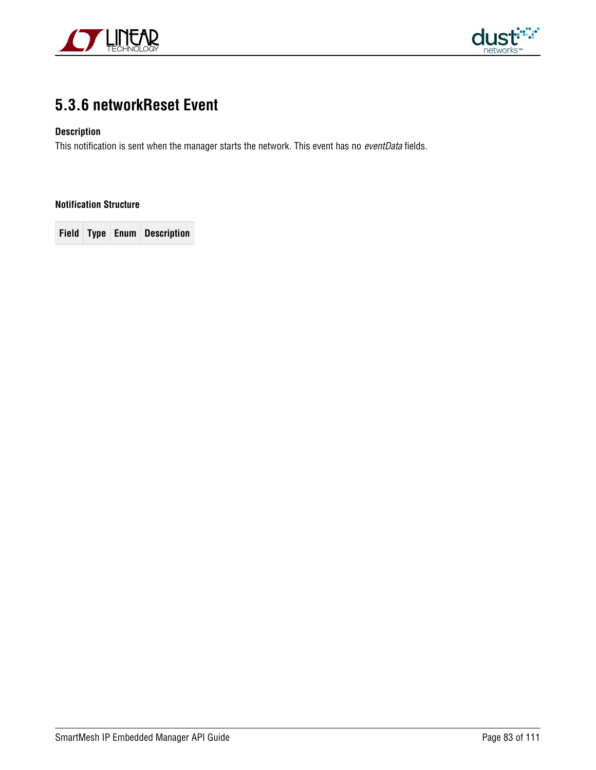



### <span id="page-82-0"></span>**5.3.6 networkReset Event**

#### **Description**

This notification is sent when the manager starts the network. This event has no eventData fields.

#### **Notification Structure**

**Field Type Enum Description**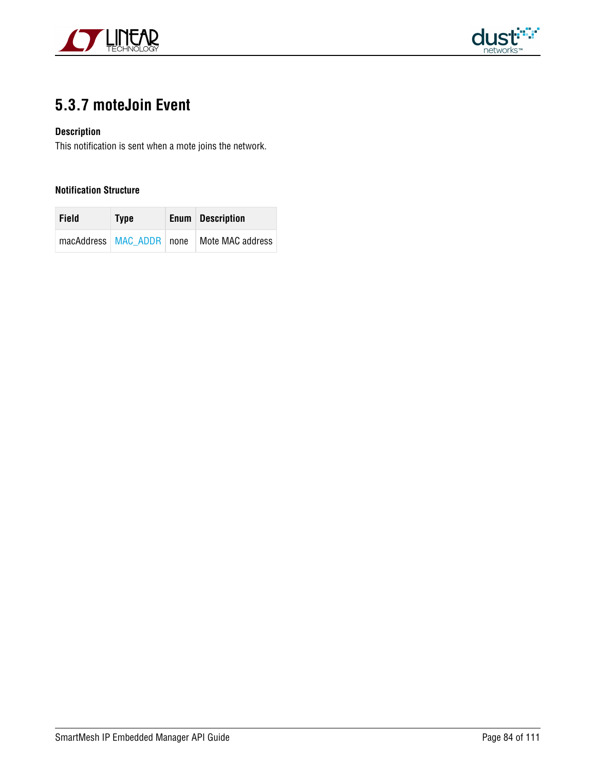



### <span id="page-83-0"></span>**5.3.7 moteJoin Event**

#### **Description**

This notification is sent when a mote joins the network.

| <b>Field</b> | <b>Type</b>              | <b>Enum</b> Description |
|--------------|--------------------------|-------------------------|
|              | macAddress MAC ADDR none | Mote MAC address        |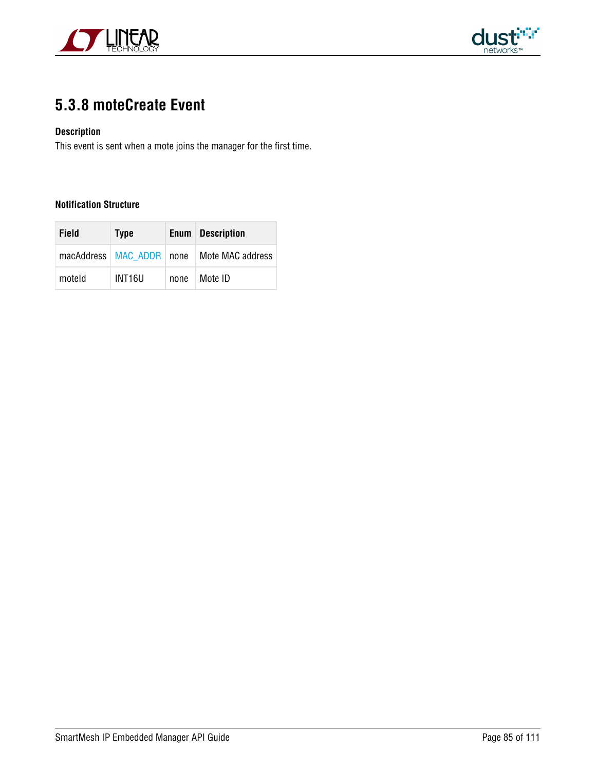



### <span id="page-84-0"></span>**5.3.8 moteCreate Event**

#### **Description**

This event is sent when a mote joins the manager for the first time.

| Field  | <b>Type</b>        |      | <b>Enum</b> Description                         |
|--------|--------------------|------|-------------------------------------------------|
|        |                    |      | macAddress   MAC_ADDR   none   Mote MAC address |
| moteld | INT <sub>16U</sub> | none | Mote ID                                         |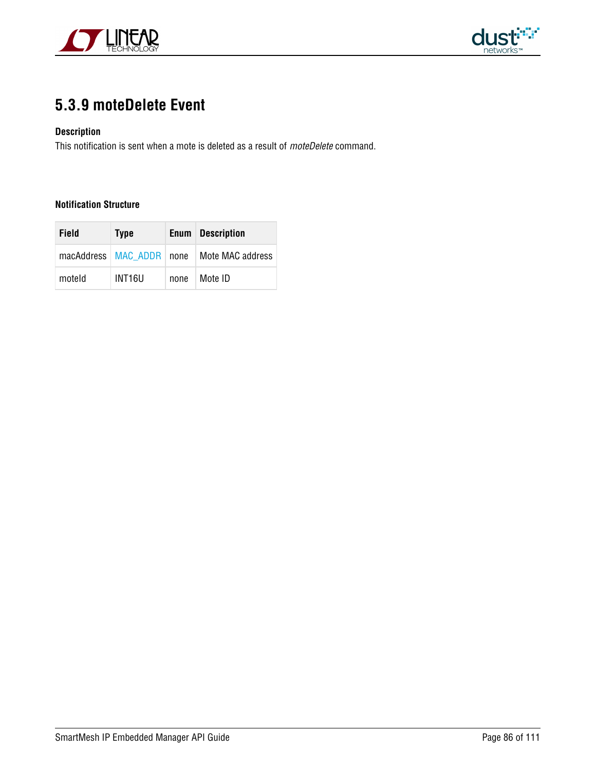



### <span id="page-85-0"></span>**5.3.9 moteDelete Event**

#### **Description**

This notification is sent when a mote is deleted as a result of *moteDelete* command.

| <b>Field</b> | <b>Type</b>        |      | <b>Enum</b> Description                         |
|--------------|--------------------|------|-------------------------------------------------|
|              |                    |      | macAddress   MAC ADDR   none   Mote MAC address |
| moteld       | INT <sub>16U</sub> | none | Mote ID                                         |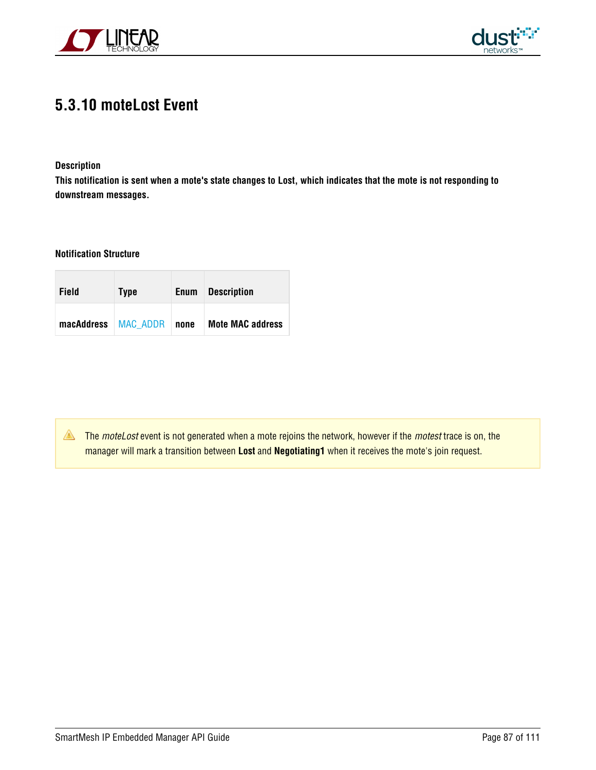



### <span id="page-86-0"></span>**5.3.10 moteLost Event**

#### **Description**

**This notification is sent when a mote's state changes to Lost, which indicates that the mote is not responding to downstream messages.**

#### **Notification Structure**

| Field                 | <b>Type</b> | <b>Enum</b> | <b>Description</b>      |
|-----------------------|-------------|-------------|-------------------------|
| macAddress   MAC ADDR |             | none        | <b>Mote MAC address</b> |

The moteLost event is not generated when a mote rejoins the network, however if the motest trace is on, the manager will mark a transition between **Lost** and **Negotiating1** when it receives the mote's join request.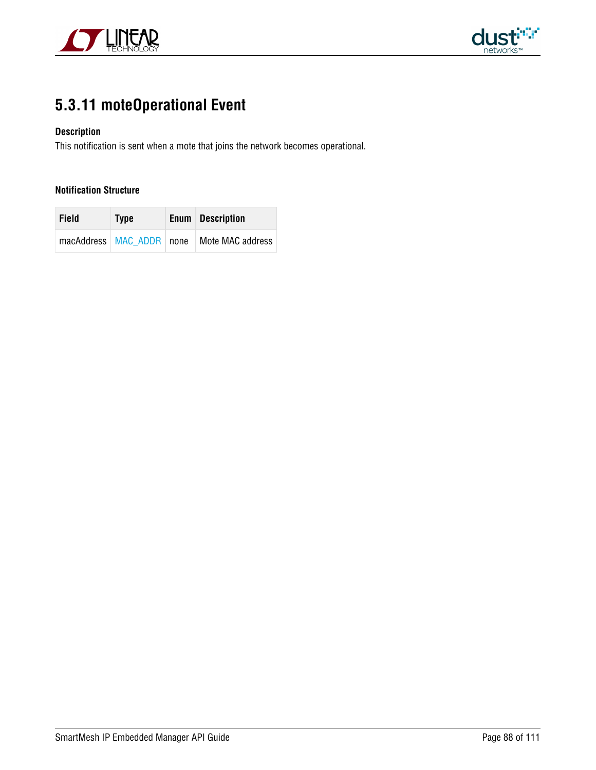



### <span id="page-87-0"></span>**5.3.11 moteOperational Event**

#### **Description**

This notification is sent when a mote that joins the network becomes operational.

| <b>Field</b> | <b>Type</b>              | <b>Enum</b> Description |
|--------------|--------------------------|-------------------------|
|              | macAddress MAC ADDR none | Mote MAC address        |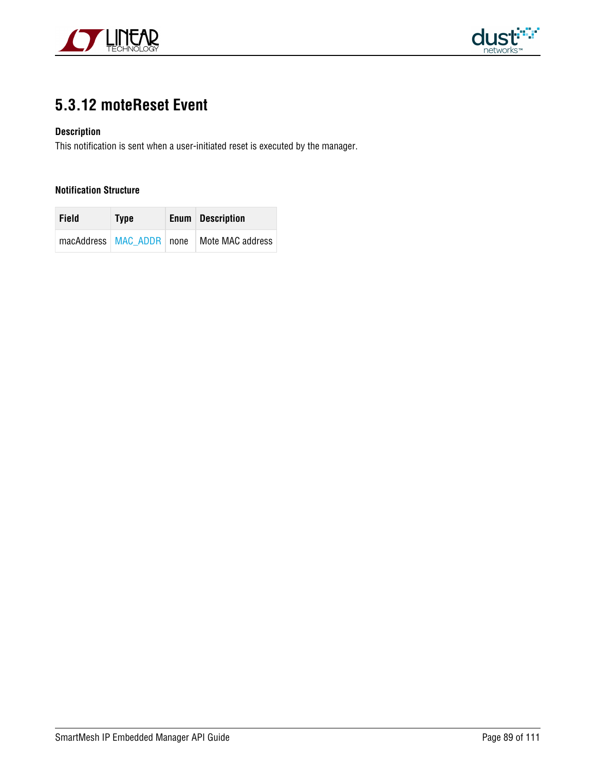



### <span id="page-88-0"></span>**5.3.12 moteReset Event**

#### **Description**

This notification is sent when a user-initiated reset is executed by the manager.

| <b>Field</b> | <b>Type</b>              | <b>Enum</b> Description |
|--------------|--------------------------|-------------------------|
|              | macAddress MAC ADDR none | Mote MAC address        |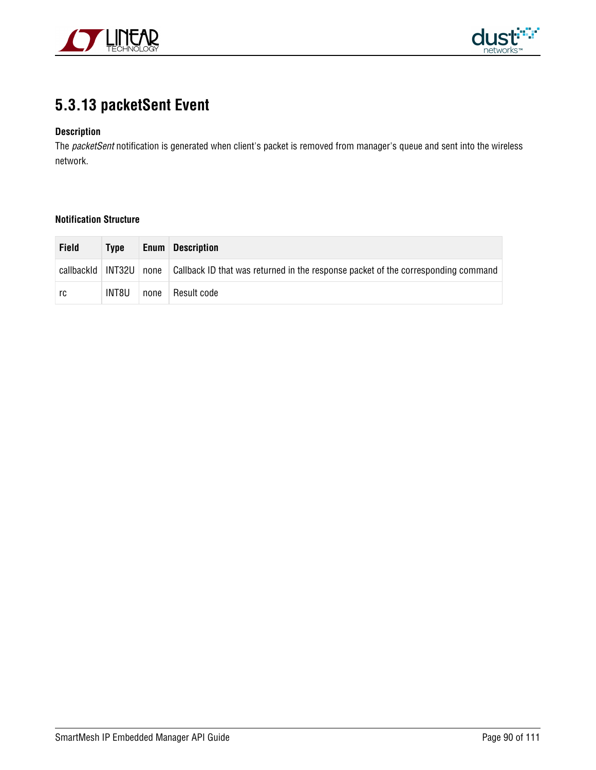



### <span id="page-89-0"></span>**5.3.13 packetSent Event**

#### **Description**

The packetSent notification is generated when client's packet is removed from manager's queue and sent into the wireless network.

| <b>Field</b>        | Type  |      | <b>Enum</b> Description                                                           |
|---------------------|-------|------|-----------------------------------------------------------------------------------|
| callbackId   INT32U |       | none | Callback ID that was returned in the response packet of the corresponding command |
| rc                  | INT8U | none | Result code                                                                       |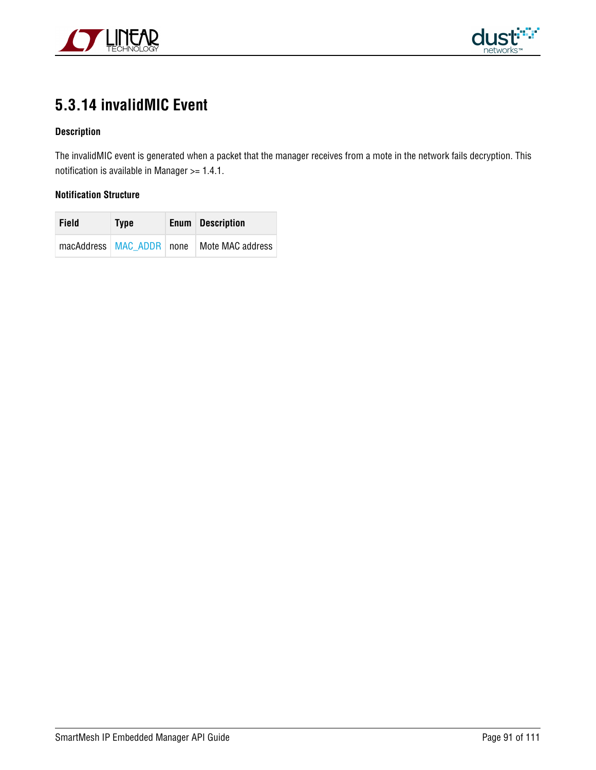



### **5.3.14 invalidMIC Event**

#### **Description**

The invalidMIC event is generated when a packet that the manager receives from a mote in the network fails decryption. This notification is available in Manager >= 1.4.1.

| Field | <b>Type</b> | <b>Enum</b> Description                         |
|-------|-------------|-------------------------------------------------|
|       |             | macAddress   MAC ADDR   none   Mote MAC address |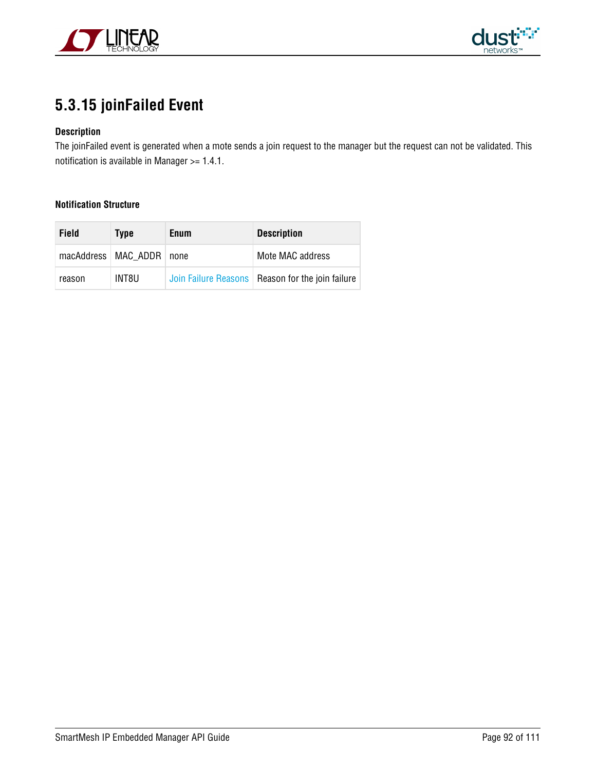



### **5.3.15 joinFailed Event**

#### **Description**

The joinFailed event is generated when a mote sends a join request to the manager but the request can not be validated. This notification is available in Manager >= 1.4.1.

| Field  | Type                         | Enum | <b>Description</b>                                 |
|--------|------------------------------|------|----------------------------------------------------|
|        | macAddress   MAC ADDR   none |      | Mote MAC address                                   |
| reason | INT8U                        |      | Join Failure Reasons   Reason for the join failure |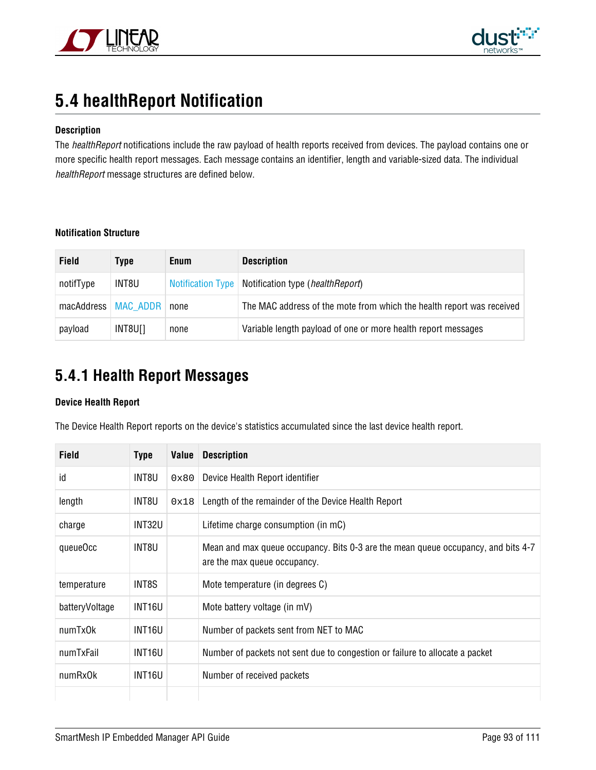



### <span id="page-92-0"></span>**5.4 healthReport Notification**

#### **Description**

The healthReport notifications include the raw payload of health reports received from devices. The payload contains one or more specific health report messages. Each message contains an identifier, length and variable-sized data. The individual healthReport message structures are defined below.

#### **Notification Structure**

| <b>Field</b> | Type                         | <b>Enum</b> | <b>Description</b>                                                    |
|--------------|------------------------------|-------------|-----------------------------------------------------------------------|
| notifType    | INT8U                        |             | Notification Type   Notification type ( <i>healthReport</i> )         |
|              | macAddress   MAC ADDR   none |             | The MAC address of the mote from which the health report was received |
| payload      | INT8U[]                      | none        | Variable length payload of one or more health report messages         |

### **5.4.1 Health Report Messages**

#### **Device Health Report**

The Device Health Report reports on the device's statistics accumulated since the last device health report.

| <b>Field</b>   | <b>Type</b> | Value | <b>Description</b>                                                                                                |
|----------------|-------------|-------|-------------------------------------------------------------------------------------------------------------------|
| id             | INT8U       | 0x80  | Device Health Report identifier                                                                                   |
| length         | INT8U       | 0x18  | Length of the remainder of the Device Health Report                                                               |
| charge         | INT32U      |       | Lifetime charge consumption (in mC)                                                                               |
| queueOcc       | INT8U       |       | Mean and max queue occupancy. Bits 0-3 are the mean queue occupancy, and bits 4-7<br>are the max queue occupancy. |
| temperature    | INT8S       |       | Mote temperature (in degrees C)                                                                                   |
| batteryVoltage | INT16U      |       | Mote battery voltage (in mV)                                                                                      |
| numTx0k        | INT16U      |       | Number of packets sent from NET to MAC                                                                            |
| numTxFail      | INT16U      |       | Number of packets not sent due to congestion or failure to allocate a packet                                      |
| numRx0k        | INT16U      |       | Number of received packets                                                                                        |
|                |             |       |                                                                                                                   |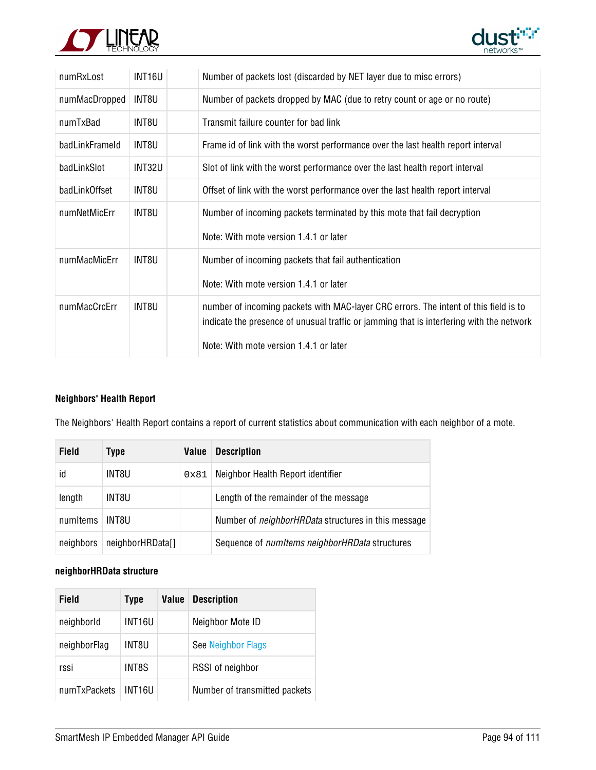



| numRxLost      | INT16U        | Number of packets lost (discarded by NET layer due to misc errors)                                                                                                               |
|----------------|---------------|----------------------------------------------------------------------------------------------------------------------------------------------------------------------------------|
| numMacDropped  | INT8U         | Number of packets dropped by MAC (due to retry count or age or no route)                                                                                                         |
| numTxBad       | INT8U         | Transmit failure counter for bad link                                                                                                                                            |
| badLinkFrameld | INT8U         | Frame id of link with the worst performance over the last health report interval                                                                                                 |
| badLinkSlot    | <b>INT32U</b> | Slot of link with the worst performance over the last health report interval                                                                                                     |
| badLinkOffset  | INT8U         | Offset of link with the worst performance over the last health report interval                                                                                                   |
| numNetMicErr   | INT8U         | Number of incoming packets terminated by this mote that fail decryption                                                                                                          |
|                |               | Note: With mote version 1.4.1 or later                                                                                                                                           |
| numMacMicErr   | INT8U         | Number of incoming packets that fail authentication                                                                                                                              |
|                |               | Note: With mote version 1.4.1 or later                                                                                                                                           |
| numMacCrcErr   | INT8U         | number of incoming packets with MAC-layer CRC errors. The intent of this field is to<br>indicate the presence of unusual traffic or jamming that is interfering with the network |
|                |               | Note: With mote version 1.4.1 or later                                                                                                                                           |

#### **Neighbors' Health Report**

The Neighbors' Health Report contains a report of current statistics about communication with each neighbor of a mote.

| <b>Field</b> | Type             | <b>Value</b> | <b>Description</b>                                         |
|--------------|------------------|--------------|------------------------------------------------------------|
| id           | INT8U            | 0x81         | Neighbor Health Report identifier                          |
| length       | INT8U            |              | Length of the remainder of the message                     |
| numItems     | INT8U.           |              | Number of <i>neighborHRData</i> structures in this message |
| neighbors    | neighborHRData[] |              | Sequence of <i>numItems neighborHRData</i> structures      |

#### **neighborHRData structure**

| Field        | <b>Type</b> | Value | <b>Description</b>            |
|--------------|-------------|-------|-------------------------------|
| neighborld   | INT16U      |       | Neighbor Mote ID              |
| neighborFlag | INT8U       |       | See Neighbor Flags            |
| rssi         | INT8S       |       | RSSI of neighbor              |
| numTxPackets | INT16U      |       | Number of transmitted packets |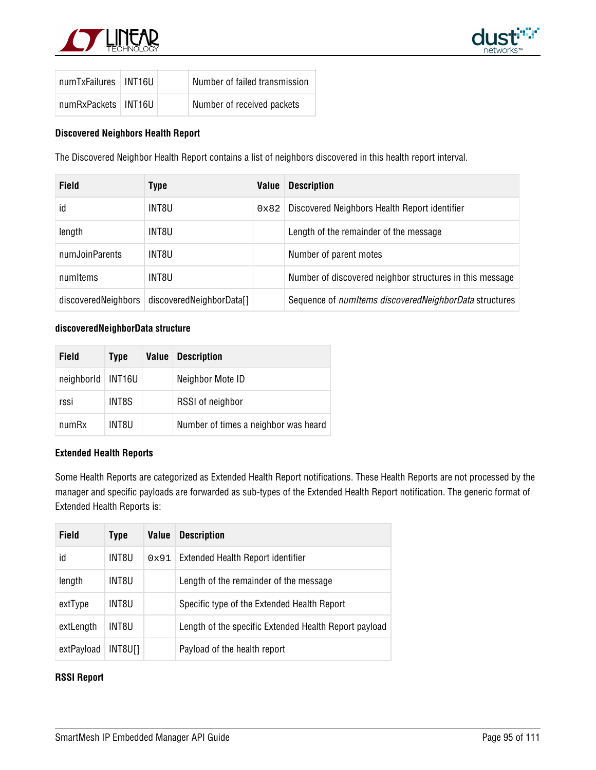



| numTxFailures   INT16U |  | Number of failed transmission |
|------------------------|--|-------------------------------|
| numRxPackets   INT16U  |  | Number of received packets    |

#### **Discovered Neighbors Health Report**

The Discovered Neighbor Health Report contains a list of neighbors discovered in this health report interval.

| <b>Field</b>        | <b>Type</b>              | Value         | <b>Description</b>                                             |
|---------------------|--------------------------|---------------|----------------------------------------------------------------|
| id                  | INT8U                    | $0 \times 82$ | Discovered Neighbors Health Report identifier                  |
| length              | INT8U                    |               | Length of the remainder of the message                         |
| numJoinParents      | INT8U                    |               | Number of parent motes                                         |
| numItems            | INT8U                    |               | Number of discovered neighbor structures in this message       |
| discoveredNeighbors | discoveredNeighborData[] |               | Sequence of <i>numitems discovered NeighborData</i> structures |

#### **discoveredNeighborData structure**

| <b>Field</b> | <b>Type</b>        | Value | <b>Description</b>                   |
|--------------|--------------------|-------|--------------------------------------|
| neighborld   | INT <sub>16U</sub> |       | Neighbor Mote ID                     |
| rssi         | INT8S              |       | RSSI of neighbor                     |
| numRx        | INT8U              |       | Number of times a neighbor was heard |

#### **Extended Health Reports**

Some Health Reports are categorized as Extended Health Report notifications. These Health Reports are not processed by the manager and specific payloads are forwarded as sub-types of the Extended Health Report notification. The generic format of Extended Health Reports is:

| <b>Field</b> | Type    | Value | <b>Description</b>                                    |
|--------------|---------|-------|-------------------------------------------------------|
| id           | INT8U   | 0x91  | Extended Health Report identifier                     |
| length       | INT8U   |       | Length of the remainder of the message                |
| extType      | INT8U   |       | Specific type of the Extended Health Report           |
| extLength    | INT8U   |       | Length of the specific Extended Health Report payload |
| extPayload   | INT8U[] |       | Payload of the health report                          |

#### **RSSI Report**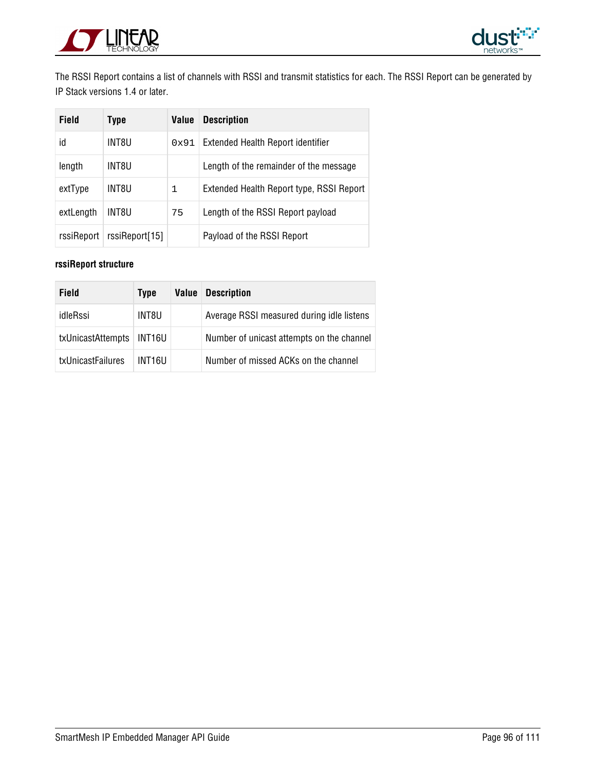



The RSSI Report contains a list of channels with RSSI and transmit statistics for each. The RSSI Report can be generated by IP Stack versions 1.4 or later.

| Field      | <b>Type</b>    | Value | <b>Description</b>                       |
|------------|----------------|-------|------------------------------------------|
| id         | INT8U          | 0x91  | Extended Health Report identifier        |
| length     | INT8U          |       | Length of the remainder of the message   |
| extType    | INT8U          | 1     | Extended Health Report type, RSSI Report |
| extLength  | INT8U          | 75    | Length of the RSSI Report payload        |
| rssiReport | rssiReport[15] |       | Payload of the RSSI Report               |

#### **rssiReport structure**

| Field             | <b>Type</b> | Value | <b>Description</b>                        |
|-------------------|-------------|-------|-------------------------------------------|
| idleRssi          | INT8U       |       | Average RSSI measured during idle listens |
| txUnicastAttempts | INT16U      |       | Number of unicast attempts on the channel |
| txUnicastFailures | INT16U      |       | Number of missed ACKs on the channel      |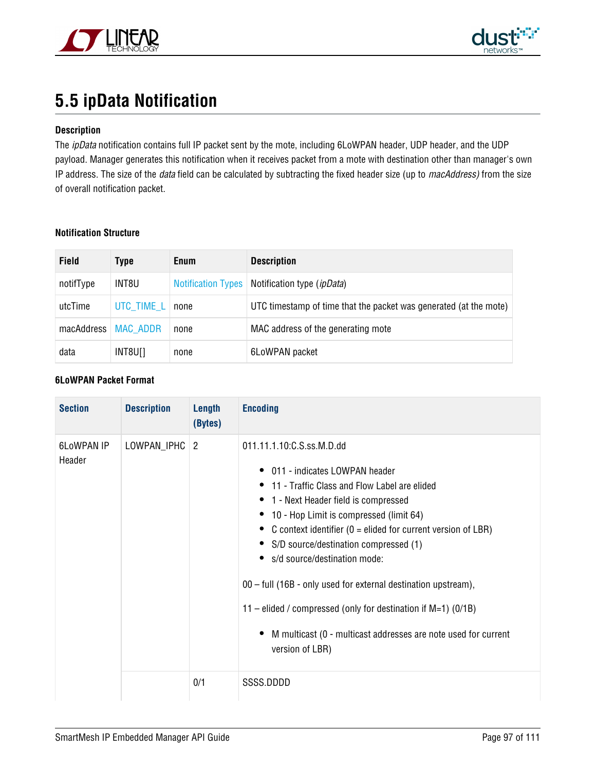



## <span id="page-96-0"></span>**5.5 ipData Notification**

#### **Description**

The ipData notification contains full IP packet sent by the mote, including 6LoWPAN header, UDP header, and the UDP payload. Manager generates this notification when it receives packet from a mote with destination other than manager's own IP address. The size of the *data* field can be calculated by subtracting the fixed header size (up to macAddress) from the size of overall notification packet.

#### **Notification Structure**

| <b>Field</b> | <b>Type</b>     | <b>Enum</b>               | <b>Description</b>                                                |
|--------------|-----------------|---------------------------|-------------------------------------------------------------------|
| notifType    | INT8U           | <b>Notification Types</b> | Notification type ( <i>ipData</i> )                               |
| utcTime      | UTC TIME L      | none                      | UTC timestamp of time that the packet was generated (at the mote) |
| macAddress   | <b>MAC_ADDR</b> | none                      | MAC address of the generating mote                                |
| data         | INT8U[]         | none                      | 6LoWPAN packet                                                    |

#### **6LoWPAN Packet Format**

| <b>Section</b>              | <b>Description</b> | Length<br>(Bytes) | <b>Encoding</b>                                                                                                                                                                                                                                                                                                                                                                                                                                                                                                                                                          |
|-----------------------------|--------------------|-------------------|--------------------------------------------------------------------------------------------------------------------------------------------------------------------------------------------------------------------------------------------------------------------------------------------------------------------------------------------------------------------------------------------------------------------------------------------------------------------------------------------------------------------------------------------------------------------------|
| <b>6LoWPAN IP</b><br>Header | LOWPAN_IPHC   2    |                   | 011.11.1.10: C.S.ss. M.D.dd<br>011 - indicates I OWPAN header<br>• 11 - Traffic Class and Flow Label are elided<br>1 - Next Header field is compressed<br>10 - Hop Limit is compressed (limit 64)<br>C context identifier ( $0 =$ elided for current version of LBR)<br>S/D source/destination compressed (1)<br>s/d source/destination mode:<br>00 - full (16B - only used for external destination upstream),<br>11 – elided / compressed (only for destination if $M=1$ ) (0/1B)<br>M multicast (0 - multicast addresses are note used for current<br>version of LBR) |
|                             |                    | 0/1               | SSSS.DDDD                                                                                                                                                                                                                                                                                                                                                                                                                                                                                                                                                                |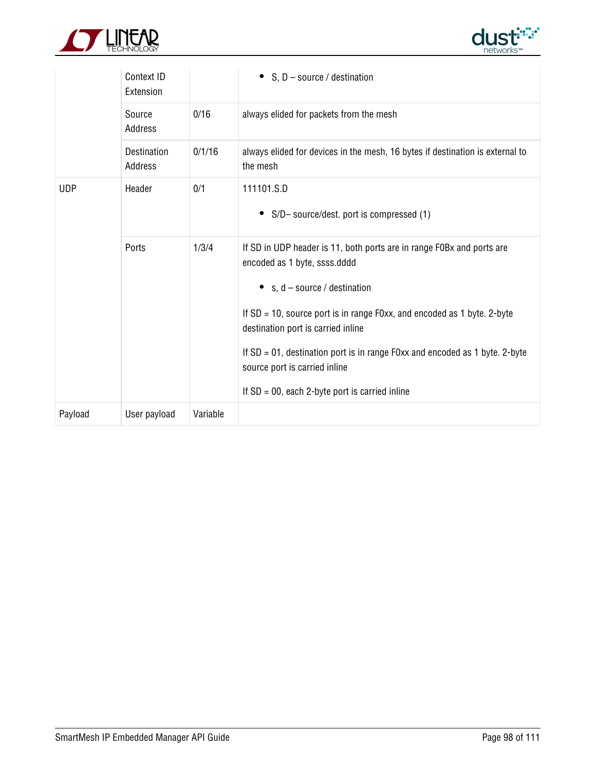



|            | Context ID<br>Extension |          | S, $D$ – source / destination<br>$\bullet$                                                                                                                                                                                                                                                                                                                                                                                              |
|------------|-------------------------|----------|-----------------------------------------------------------------------------------------------------------------------------------------------------------------------------------------------------------------------------------------------------------------------------------------------------------------------------------------------------------------------------------------------------------------------------------------|
|            | Source<br>Address       | 0/16     | always elided for packets from the mesh                                                                                                                                                                                                                                                                                                                                                                                                 |
|            | Destination<br>Address  | 0/1/16   | always elided for devices in the mesh, 16 bytes if destination is external to<br>the mesh                                                                                                                                                                                                                                                                                                                                               |
| <b>UDP</b> | Header                  | 0/1      | 111101.S.D<br>S/D- source/dest. port is compressed (1)<br>٠                                                                                                                                                                                                                                                                                                                                                                             |
|            | Ports                   | 1/3/4    | If SD in UDP header is 11, both ports are in range F0Bx and ports are<br>encoded as 1 byte, ssss.dddd<br>s, $d$ – source / destination<br>٠<br>If $SD = 10$ , source port is in range F0xx, and encoded as 1 byte. 2-byte<br>destination port is carried inline<br>If $SD = 01$ , destination port is in range F0xx and encoded as 1 byte. 2-byte<br>source port is carried inline<br>If $SD = 00$ , each 2-byte port is carried inline |
| Payload    | User payload            | Variable |                                                                                                                                                                                                                                                                                                                                                                                                                                         |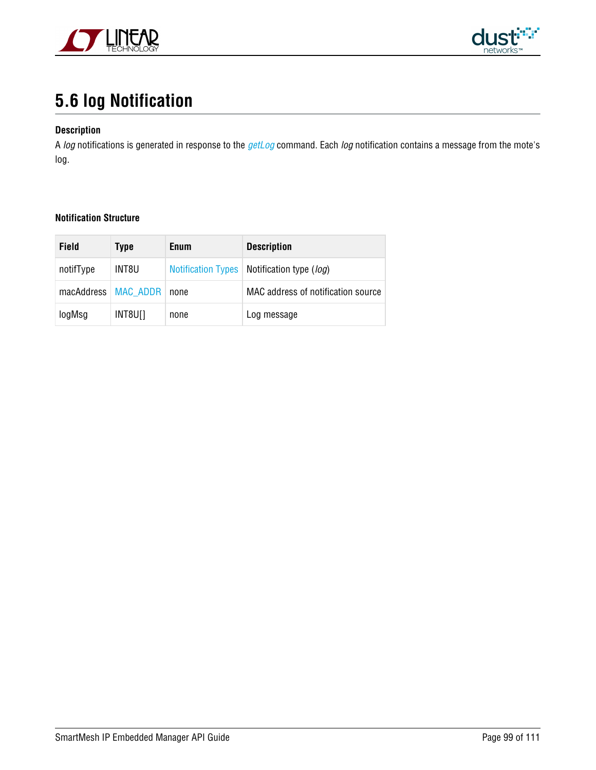



# <span id="page-98-0"></span>**5.6 log Notification**

#### **Description**

A log notifications is generated in response to the [getLog](#page-26-0) command. Each log notification contains a message from the mote's log.

| Field                 | Type  | <b>Enum</b> | <b>Description</b>                           |
|-----------------------|-------|-------------|----------------------------------------------|
| notifType             | INT8U |             | Notification Types   Notification type (log) |
| macAddress   MAC ADDR |       | none        | MAC address of notification source           |
| logMsg                | INT8U | none        | Log message                                  |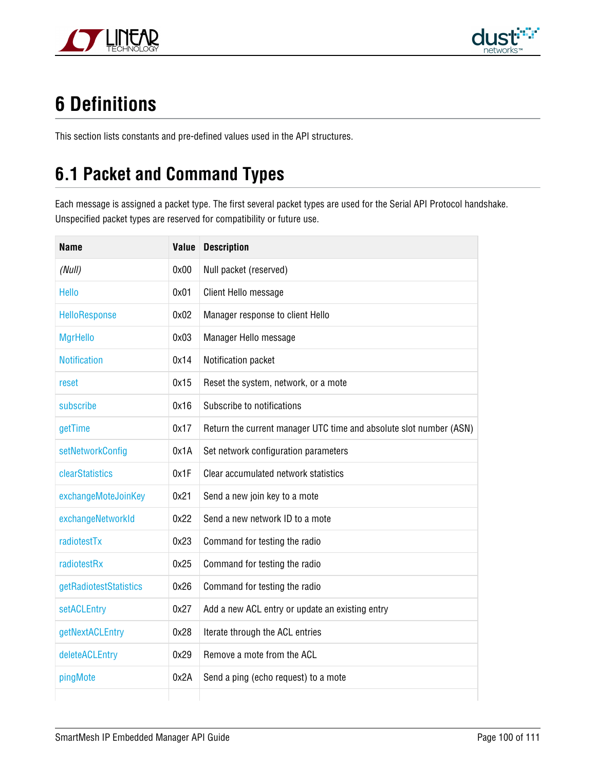



# **6 Definitions**

This section lists constants and pre-defined values used in the API structures.

# **6.1 Packet and Command Types**

Each message is assigned a packet type. The first several packet types are used for the Serial API Protocol handshake. Unspecified packet types are reserved for compatibility or future use.

| Name                   | Value | <b>Description</b>                                                 |
|------------------------|-------|--------------------------------------------------------------------|
| (Null)                 | 0x00  | Null packet (reserved)                                             |
| <b>Hello</b>           | 0x01  | Client Hello message                                               |
| HelloResponse          | 0x02  | Manager response to client Hello                                   |
| <b>MgrHello</b>        | 0x03  | Manager Hello message                                              |
| <b>Notification</b>    | 0x14  | Notification packet                                                |
| reset                  | 0x15  | Reset the system, network, or a mote                               |
| subscribe              | 0x16  | Subscribe to notifications                                         |
| getTime                | 0x17  | Return the current manager UTC time and absolute slot number (ASN) |
| setNetworkConfig       | 0x1A  | Set network configuration parameters                               |
| clearStatistics        | 0x1F  | Clear accumulated network statistics                               |
| exchangeMoteJoinKey    | 0x21  | Send a new join key to a mote                                      |
| exchangeNetworkId      | 0x22  | Send a new network ID to a mote                                    |
| radiotestTx            | 0x23  | Command for testing the radio                                      |
| radiotestRx            | 0x25  | Command for testing the radio                                      |
| getRadiotestStatistics | 0x26  | Command for testing the radio                                      |
| setACLEntry            | 0x27  | Add a new ACL entry or update an existing entry                    |
| getNextACLEntry        | 0x28  | Iterate through the ACL entries                                    |
| deleteACLEntry         | 0x29  | Remove a mote from the ACL                                         |
| pingMote               | 0x2A  | Send a ping (echo request) to a mote                               |
|                        |       |                                                                    |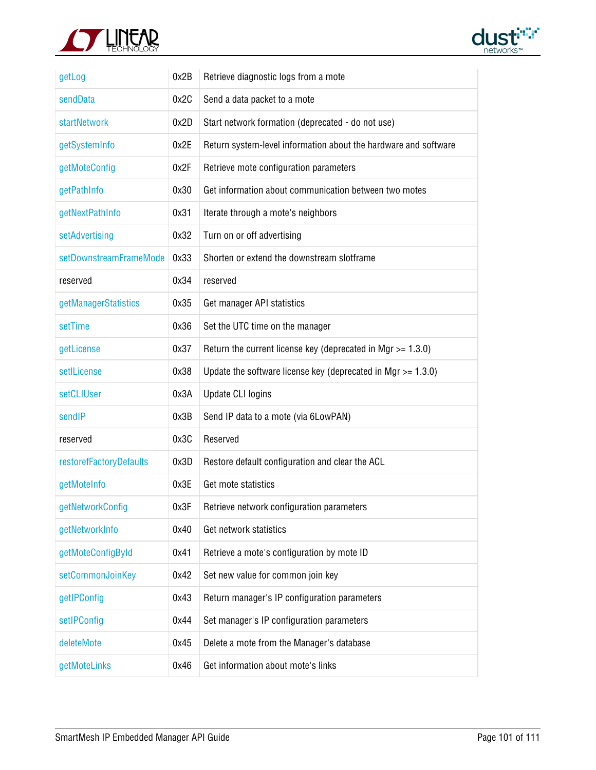



| getLog                  | 0x2B | Retrieve diagnostic logs from a mote                             |
|-------------------------|------|------------------------------------------------------------------|
| sendData                | 0x2C | Send a data packet to a mote                                     |
| startNetwork            | 0x2D | Start network formation (deprecated - do not use)                |
| getSystemInfo           | 0x2E | Return system-level information about the hardware and software  |
| getMoteConfig           | 0x2F | Retrieve mote configuration parameters                           |
| getPathInfo             | 0x30 | Get information about communication between two motes            |
| getNextPathInfo         | 0x31 | Iterate through a mote's neighbors                               |
| setAdvertising          | 0x32 | Turn on or off advertising                                       |
| setDownstreamFrameMode  | 0x33 | Shorten or extend the downstream slotframe                       |
| reserved                | 0x34 | reserved                                                         |
| getManagerStatistics    | 0x35 | Get manager API statistics                                       |
| setTime                 | 0x36 | Set the UTC time on the manager                                  |
| getLicense              | 0x37 | Return the current license key (deprecated in Mgr $> = 1.3.0$ )  |
| setILicense             | 0x38 | Update the software license key (deprecated in Mgr $> = 1.3.0$ ) |
| setCLIUser              | 0x3A | <b>Update CLI logins</b>                                         |
| sendIP                  | 0x3B | Send IP data to a mote (via 6LowPAN)                             |
| reserved                | 0x3C | Reserved                                                         |
| restorefFactoryDefaults | 0x3D | Restore default configuration and clear the ACL                  |
| getMoteInfo             | 0x3E | Get mote statistics                                              |
| getNetworkConfig        | 0x3F | Retrieve network configuration parameters                        |
| getNetworkInfo          | 0x40 | Get network statistics                                           |
| getMoteConfigById       | 0x41 | Retrieve a mote's configuration by mote ID                       |
| setCommonJoinKey        | 0x42 | Set new value for common join key                                |
| getIPConfig             | 0x43 | Return manager's IP configuration parameters                     |
| setIPConfig             | 0x44 | Set manager's IP configuration parameters                        |
| deleteMote              | 0x45 | Delete a mote from the Manager's database                        |
| getMoteLinks            | 0x46 | Get information about mote's links                               |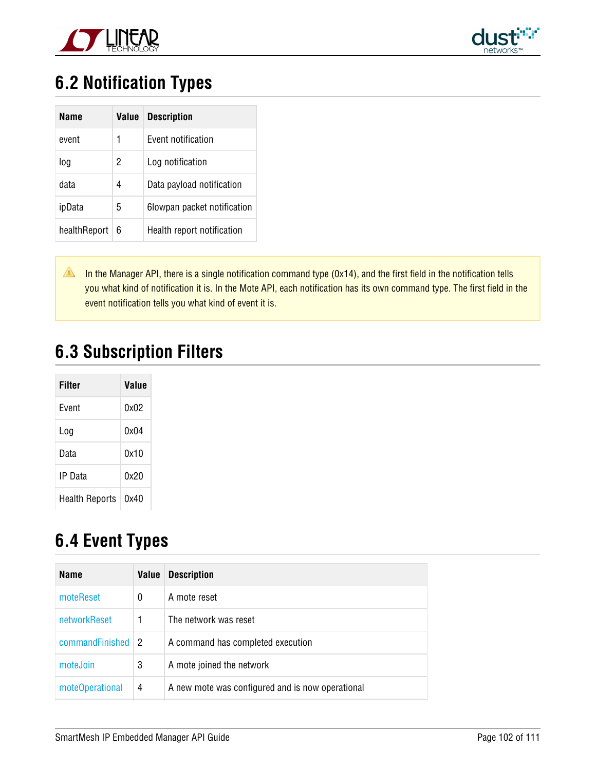



## <span id="page-101-0"></span>**6.2 Notification Types**

| Name         | Value | <b>Description</b>          |
|--------------|-------|-----------------------------|
| event        | 1     | Event notification          |
| log          | 2     | Log notification            |
| data         | 4     | Data payload notification   |
| ipData       | 5     | 6lowpan packet notification |
| healthReport | 6     | Health report notification  |

In the Manager API, there is a single notification command type (0x14), and the first field in the notification tells you what kind of notification it is. In the Mote API, each notification has its own command type. The first field in the event notification tells you what kind of event it is.

### **6.3 Subscription Filters**

| Filter         | Value |
|----------------|-------|
| Fvent          | 0x02  |
| Loa            | nxn4  |
| Data           | 0x10  |
| IP Data        | 0x20  |
| Health Reports | 0x40  |

## <span id="page-101-1"></span>**6.4 Event Types**

| Name            | Value | <b>Description</b>                               |
|-----------------|-------|--------------------------------------------------|
| moteReset       | 0     | A mote reset                                     |
| networkReset    |       | The network was reset                            |
| commandFinished | 2     | A command has completed execution                |
| moteJoin        | 3     | A mote joined the network                        |
| moteOperational | 4     | A new mote was configured and is now operational |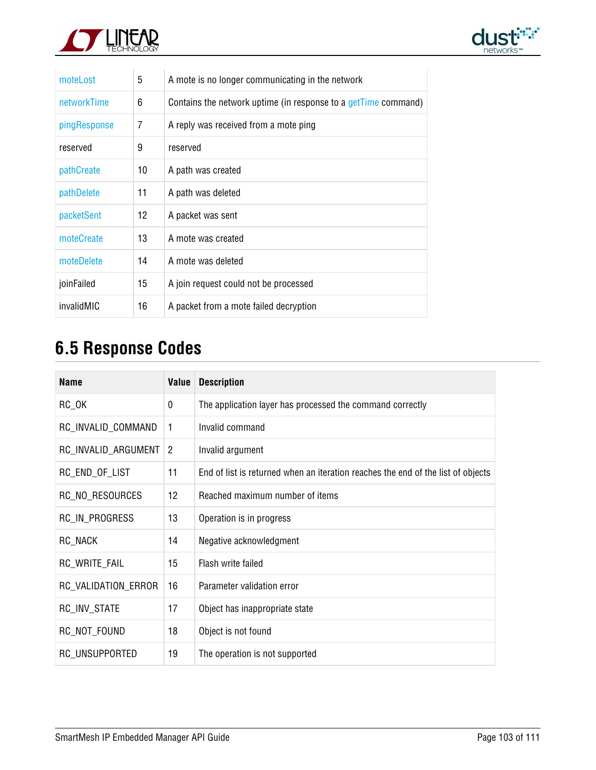



| moteLost     | 5   | A mote is no longer communicating in the network               |
|--------------|-----|----------------------------------------------------------------|
| networkTime  | 6   | Contains the network uptime (in response to a getTime command) |
| pingResponse | 7   | A reply was received from a mote ping                          |
| reserved     | 9   | reserved                                                       |
| pathCreate   | 10  | A path was created                                             |
| pathDelete   | 11  | A path was deleted                                             |
| packetSent   | 12  | A packet was sent                                              |
| moteCreate   | 13. | A mote was created                                             |
| moteDelete   | 14  | A mote was deleted                                             |
| joinFailed   | 15  | A join request could not be processed                          |
| invalidMIC   | 16  | A packet from a mote failed decryption                         |

# **6.5 Response Codes**

| <b>Name</b>         | <b>Value</b>   | <b>Description</b>                                                               |
|---------------------|----------------|----------------------------------------------------------------------------------|
| $RC_0$ K            | 0              | The application layer has processed the command correctly                        |
| RC_INVALID_COMMAND  | 1              | Invalid command                                                                  |
| RC_INVALID_ARGUMENT | $\overline{2}$ | Invalid argument                                                                 |
| RC_END_OF_LIST      | 11             | End of list is returned when an iteration reaches the end of the list of objects |
| RC_NO_RESOURCES     | 12             | Reached maximum number of items                                                  |
| RC_IN_PROGRESS      | 13             | Operation is in progress                                                         |
| RC NACK             | 14             | Negative acknowledgment                                                          |
| RC_WRITE_FAIL       | 15             | Flash write failed                                                               |
| RC_VALIDATION_ERROR | 16             | Parameter validation error                                                       |
| RC_INV_STATE        | 17             | Object has inappropriate state                                                   |
| RC_NOT_FOUND        | 18             | Object is not found                                                              |
| RC_UNSUPPORTED      | 19             | The operation is not supported                                                   |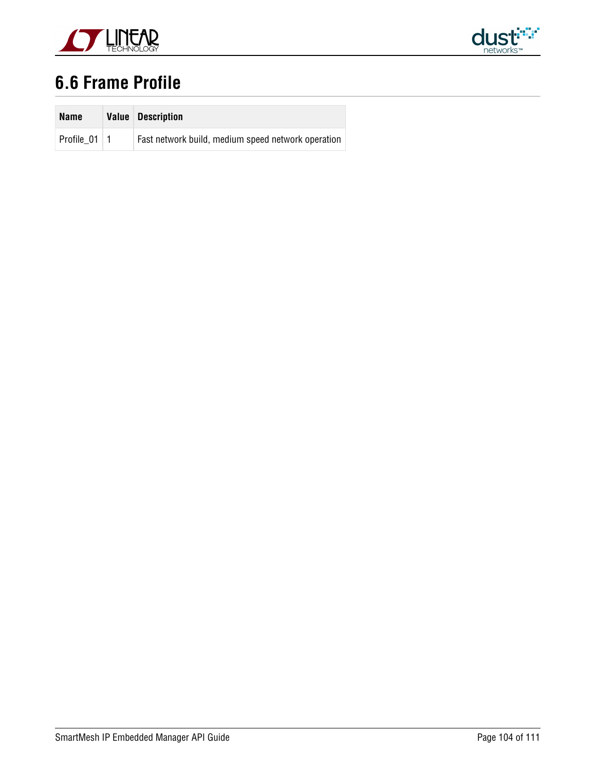



## **6.6 Frame Profile**

| <b>Name</b>    | Value | <b>Description</b>                                 |
|----------------|-------|----------------------------------------------------|
| Profile 01   1 |       | Fast network build, medium speed network operation |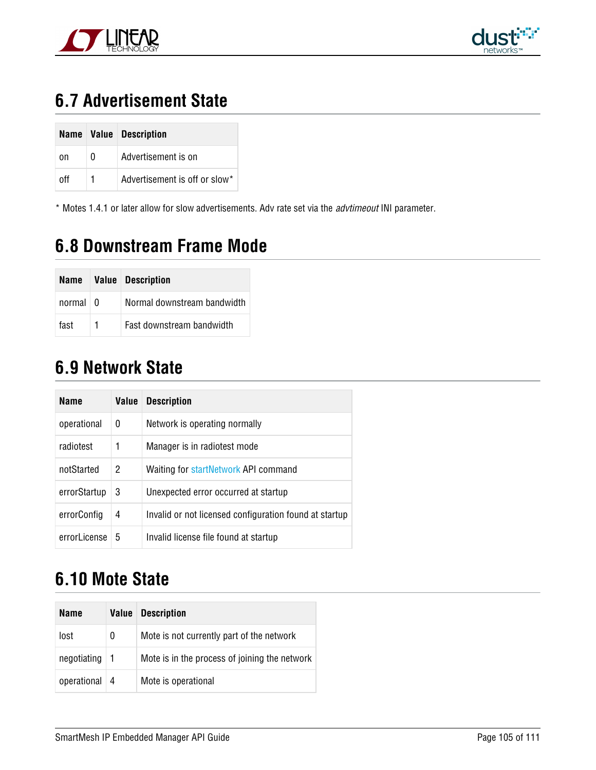



## **6.7 Advertisement State**

|     |              | Name   Value   Description    |
|-----|--------------|-------------------------------|
| on  | <sup>0</sup> | Advertisement is on           |
| nff | 1            | Advertisement is off or slow* |

\* Motes 1.4.1 or later allow for slow advertisements. Adv rate set via the advtimeout INI parameter.

## **6.8 Downstream Frame Mode**

|            |                | Name   Value   Description  |
|------------|----------------|-----------------------------|
| normal < 0 |                | Normal downstream bandwidth |
| fast       | $\overline{1}$ | Fast downstream bandwidth   |

### **6.9 Network State**

| <b>Name</b>   | Value | <b>Description</b>                                     |
|---------------|-------|--------------------------------------------------------|
| operational   | 0     | Network is operating normally                          |
| radiotest     | 1     | Manager is in radiotest mode                           |
| notStarted    | 2     | Waiting for startNetwork API command                   |
| errorStartup  | 3     | Unexpected error occurred at startup                   |
| errorConfig   | 4     | Invalid or not licensed configuration found at startup |
| errorl icense | 5     | Invalid license file found at startup                  |

## **6.10 Mote State**

| Name        | Value      | <b>Description</b>                            |
|-------------|------------|-----------------------------------------------|
| lost        | 0          | Mote is not currently part of the network     |
| negotiating | -1         | Mote is in the process of joining the network |
| operational | $\sqrt{4}$ | Mote is operational                           |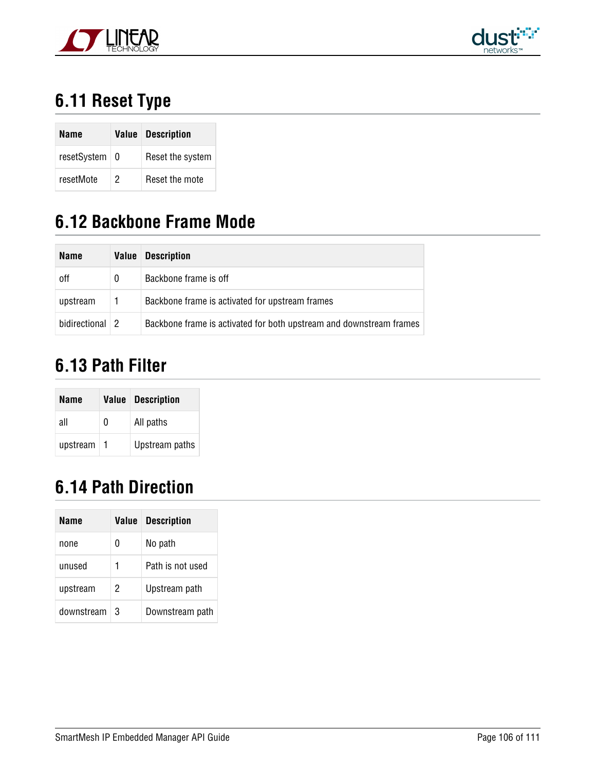



# **6.11 Reset Type**

| Name            |   | <b>Value</b> Description |
|-----------------|---|--------------------------|
| resetSystem   0 |   | Reset the system         |
| resetMote       | 2 | Reset the mote           |

### **6.12 Backbone Frame Mode**

| <b>Name</b>    | <b>Value</b> | <b>Description</b>                                                  |
|----------------|--------------|---------------------------------------------------------------------|
| <sub>off</sub> |              | Backbone frame is off                                               |
| upstream       |              | Backbone frame is activated for upstream frames                     |
| bidirectional  | 2            | Backbone frame is activated for both upstream and downstream frames |

## **6.13 Path Filter**

| Name     |   | <b>Value Description</b> |
|----------|---|--------------------------|
| all      | 0 | All paths                |
| upstream |   | Upstream paths           |

## <span id="page-105-0"></span>**6.14 Path Direction**

| Name       | Value | <b>Description</b> |
|------------|-------|--------------------|
| none       | 0     | No path            |
| unused     | 1     | Path is not used   |
| upstream   | 2     | Upstream path      |
| downstream | 3     | Downstream path    |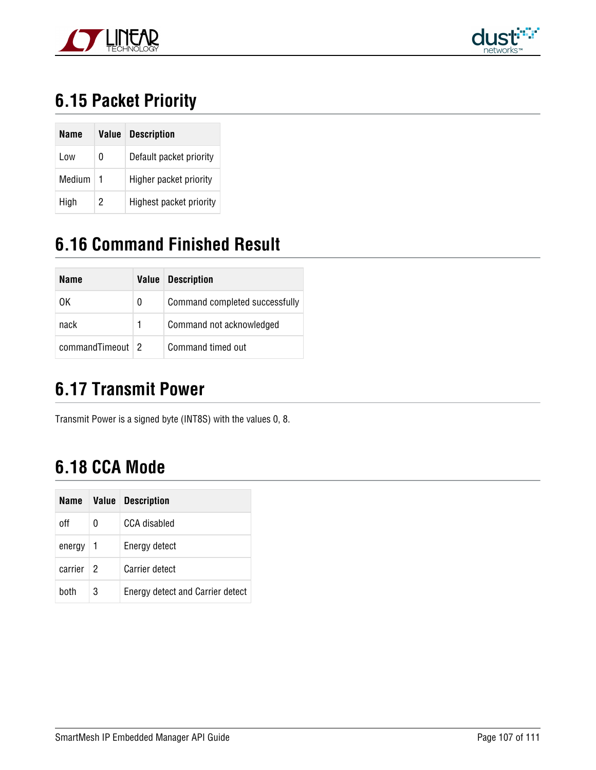



# **6.15 Packet Priority**

| Name   | Value | <b>Description</b>      |
|--------|-------|-------------------------|
| Low    | 0     | Default packet priority |
| Medium | -1    | Higher packet priority  |
| High   | 2     | Highest packet priority |

## <span id="page-106-0"></span>**6.16 Command Finished Result**

| Name               | Value | <b>Description</b>             |
|--------------------|-------|--------------------------------|
| 0K                 | 0     | Command completed successfully |
| nack               |       | Command not acknowledged       |
| commandTimeout   2 |       | Command timed out              |

## **6.17 Transmit Power**

Transmit Power is a signed byte (INT8S) with the values 0, 8.

## **6.18 CCA Mode**

| Name    | Value | <b>Description</b>               |
|---------|-------|----------------------------------|
| off     | 0     | CCA disabled                     |
| energy  | 1     | Energy detect                    |
| carrier | 2     | <b>Carrier detect</b>            |
| hoth    | 3     | Energy detect and Carrier detect |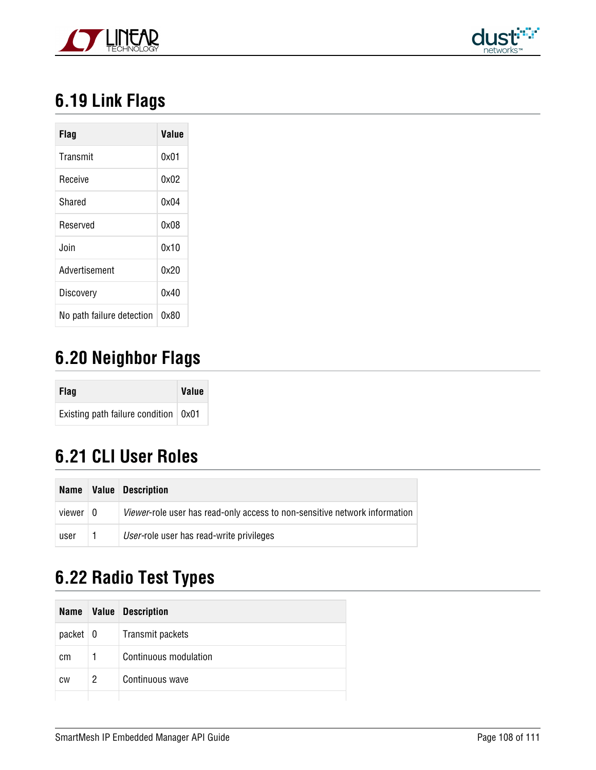



# **6.19 Link Flags**

| Flag                      | Value |
|---------------------------|-------|
| Transmit                  | 0x01  |
| Receive                   | 0x02  |
| Shared                    | 0x04  |
| Reserved                  | 0x08  |
| Join                      | 0x10  |
| Advertisement             | 0x20  |
| Discovery                 | 0x40  |
| No path failure detection | 0x80  |

## <span id="page-107-0"></span>**6.20 Neighbor Flags**

| <b>Flag</b>                                  | <b>Value</b> |
|----------------------------------------------|--------------|
| Existing path failure condition $\vert$ 0x01 |              |

## **6.21 CLI User Roles**

| Name       | Value | <b>Description</b>                                                                |
|------------|-------|-----------------------------------------------------------------------------------|
| viewer   0 |       | <i>Viewer-role user has read-only access to non-sensitive network information</i> |
| user       |       | User-role user has read-write privileges                                          |

## **6.22 Radio Test Types**

|                 |   | Name   Value   Description |
|-----------------|---|----------------------------|
| $packet \mid 0$ |   | Transmit packets           |
| <sub>cm</sub>   |   | Continuous modulation      |
| <b>CW</b>       | 2 | Continuous wave            |
|                 |   |                            |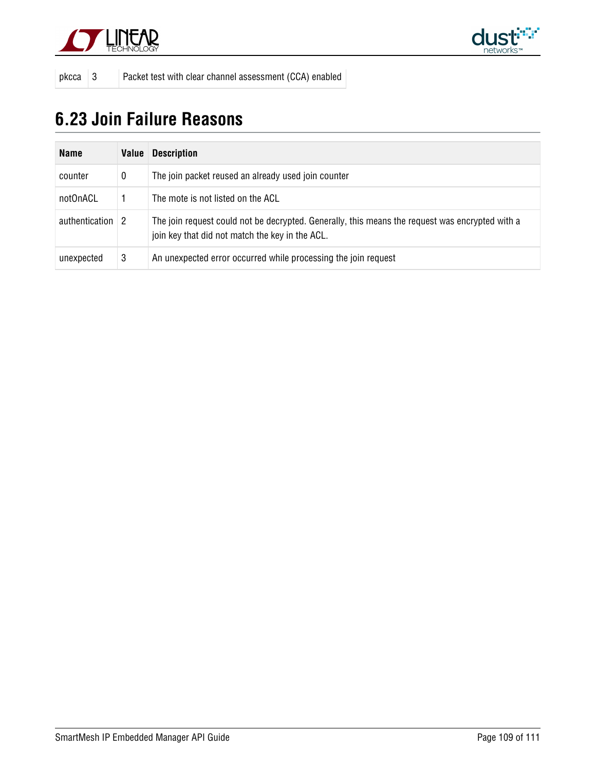



pkcca 3 Packet test with clear channel assessment (CCA) enabled

## **6.23 Join Failure Reasons**

| <b>Name</b>                    | Value | <b>Description</b>                                                                                                                                 |
|--------------------------------|-------|----------------------------------------------------------------------------------------------------------------------------------------------------|
| counter                        | 0     | The join packet reused an already used join counter                                                                                                |
| notOnACL                       |       | The mote is not listed on the ACL                                                                                                                  |
| authentication $\vert 2 \vert$ |       | The join request could not be decrypted. Generally, this means the request was encrypted with a<br>join key that did not match the key in the ACL. |
| unexpected                     | 3     | An unexpected error occurred while processing the join request                                                                                     |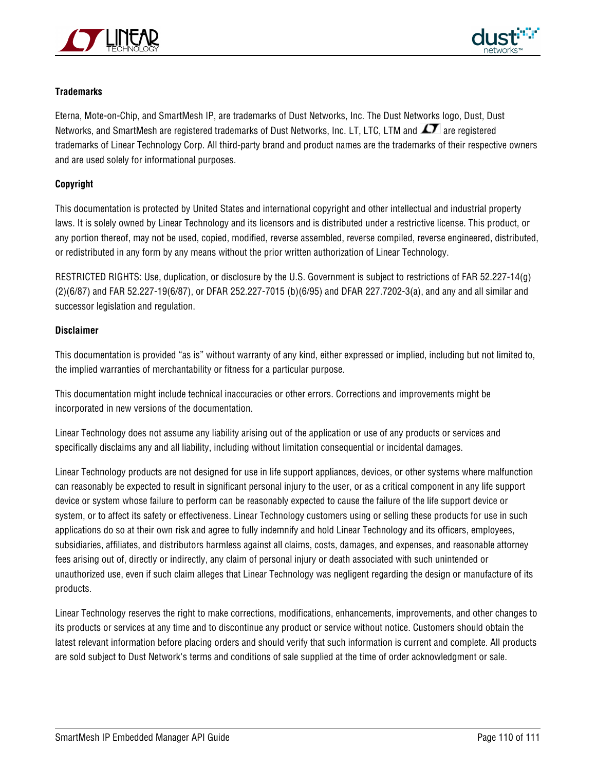



## **Trademarks**

Eterna, Mote-on-Chip, and SmartMesh IP, are trademarks of Dust Networks, Inc. The Dust Networks logo, Dust, Dust Networks, and SmartMesh are registered trademarks of Dust Networks, Inc. LT, LTC, LTM and  $\mathcal{I}$  are registered trademarks of Linear Technology Corp. All third-party brand and product names are the trademarks of their respective owners and are used solely for informational purposes.

## **Copyright**

This documentation is protected by United States and international copyright and other intellectual and industrial property laws. It is solely owned by Linear Technology and its licensors and is distributed under a restrictive license. This product, or any portion thereof, may not be used, copied, modified, reverse assembled, reverse compiled, reverse engineered, distributed, or redistributed in any form by any means without the prior written authorization of Linear Technology.

RESTRICTED RIGHTS: Use, duplication, or disclosure by the U.S. Government is subject to restrictions of FAR 52.227-14(g) (2)(6/87) and FAR 52.227-19(6/87), or DFAR 252.227-7015 (b)(6/95) and DFAR 227.7202-3(a), and any and all similar and successor legislation and regulation.

## **Disclaimer**

This documentation is provided "as is" without warranty of any kind, either expressed or implied, including but not limited to, the implied warranties of merchantability or fitness for a particular purpose.

This documentation might include technical inaccuracies or other errors. Corrections and improvements might be incorporated in new versions of the documentation.

Linear Technology does not assume any liability arising out of the application or use of any products or services and specifically disclaims any and all liability, including without limitation consequential or incidental damages.

Linear Technology products are not designed for use in life support appliances, devices, or other systems where malfunction can reasonably be expected to result in significant personal injury to the user, or as a critical component in any life support device or system whose failure to perform can be reasonably expected to cause the failure of the life support device or system, or to affect its safety or effectiveness. Linear Technology customers using or selling these products for use in such applications do so at their own risk and agree to fully indemnify and hold Linear Technology and its officers, employees, subsidiaries, affiliates, and distributors harmless against all claims, costs, damages, and expenses, and reasonable attorney fees arising out of, directly or indirectly, any claim of personal injury or death associated with such unintended or unauthorized use, even if such claim alleges that Linear Technology was negligent regarding the design or manufacture of its products.

Linear Technology reserves the right to make corrections, modifications, enhancements, improvements, and other changes to its products or services at any time and to discontinue any product or service without notice. Customers should obtain the latest relevant information before placing orders and should verify that such information is current and complete. All products are sold subject to Dust Network's terms and conditions of sale supplied at the time of order acknowledgment or sale.